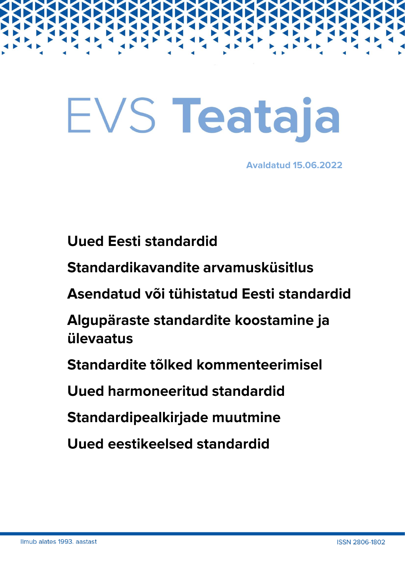# EVS Teataja

**Avaldatud 15.06.2022** 

**Uued Eesti standardid** 

Standardikavandite arvamusküsitlus

Asendatud või tühistatud Eesti standardid

Algupäraste standardite koostamine ja ülevaatus

Standardite tõlked kommenteerimisel

Uued harmoneeritud standardid

Standardipealkirjade muutmine

Uued eestikeelsed standardid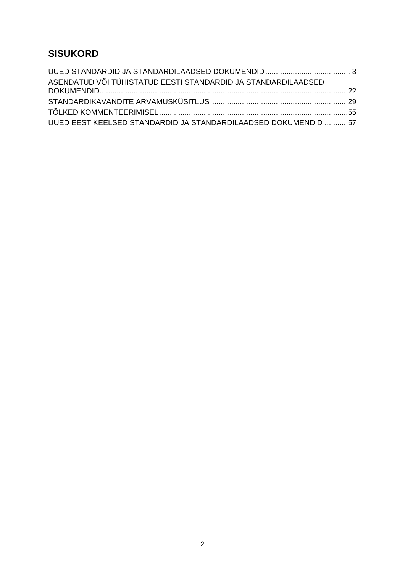# **SISUKORD**

| ASENDATUD VÕI TÜHISTATUD EESTI STANDARDID JA STANDARDILAADSED  |  |
|----------------------------------------------------------------|--|
|                                                                |  |
|                                                                |  |
|                                                                |  |
| UUED EESTIKEELSED STANDARDID JA STANDARDILAADSED DOKUMENDID 57 |  |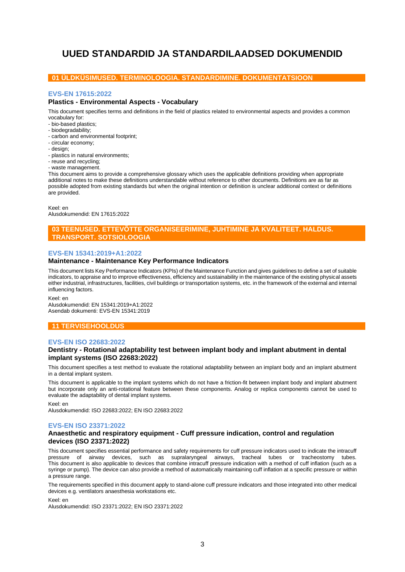# <span id="page-2-0"></span>**UUED STANDARDID JA STANDARDILAADSED DOKUMENDID**

## **01 ÜLDKÜSIMUSED. TERMINOLOOGIA. STANDARDIMINE. DOKUMENTATSIOON**

## **EVS-EN 17615:2022**

## **Plastics - Environmental Aspects - Vocabulary**

This document specifies terms and definitions in the field of plastics related to environmental aspects and provides a common vocabulary for:

- bio-based plastics;
- biodegradability;
- carbon and environmental footprint;
- circular economy;
- design;
- plastics in natural environments;
- reuse and recycling;
- waste management.

This document aims to provide a comprehensive glossary which uses the applicable definitions providing when appropriate additional notes to make these definitions understandable without reference to other documents. Definitions are as far as possible adopted from existing standards but when the original intention or definition is unclear additional context or definitions are provided.

Keel: en

Alusdokumendid: EN 17615:2022

## **03 TEENUSED. ETTEVÕTTE ORGANISEERIMINE, JUHTIMINE JA KVALITEET. HALDUS. TRANSPORT. SOTSIOLOOGIA**

#### **EVS-EN 15341:2019+A1:2022**

#### **Maintenance - Maintenance Key Performance Indicators**

This document lists Key Performance Indicators (KPIs) of the Maintenance Function and gives guidelines to define a set of suitable indicators, to appraise and to improve effectiveness, efficiency and sustainability in the maintenance of the existing physical assets either industrial, infrastructures, facilities, civil buildings or transportation systems, etc. in the framework of the external and internal influencing factors.

Keel: en

Alusdokumendid: EN 15341:2019+A1:2022 Asendab dokumenti: EVS-EN 15341:2019

## **11 TERVISEHOOLDUS**

#### **EVS-EN ISO 22683:2022**

#### **Dentistry - Rotational adaptability test between implant body and implant abutment in dental implant systems (ISO 22683:2022)**

This document specifies a test method to evaluate the rotational adaptability between an implant body and an implant abutment in a dental implant system.

This document is applicable to the implant systems which do not have a friction-fit between implant body and implant abutment but incorporate only an anti-rotational feature between these components. Analog or replica components cannot be used to evaluate the adaptability of dental implant systems.

Keel: en

Alusdokumendid: ISO 22683:2022; EN ISO 22683:2022

#### **EVS-EN ISO 23371:2022**

#### **Anaesthetic and respiratory equipment - Cuff pressure indication, control and regulation devices (ISO 23371:2022)**

This document specifies essential performance and safety requirements for cuff pressure indicators used to indicate the intracuff pressure of airway devices, such as supralaryngeal airways, tracheal tubes or tracheostomy tubes. This document is also applicable to devices that combine intracuff pressure indication with a method of cuff inflation (such as a syringe or pump). The device can also provide a method of automatically maintaining cuff inflation at a specific pressure or within a pressure range.

The requirements specified in this document apply to stand-alone cuff pressure indicators and those integrated into other medical devices e.g. ventilators anaesthesia workstations etc.

Keel: en Alusdokumendid: ISO 23371:2022; EN ISO 23371:2022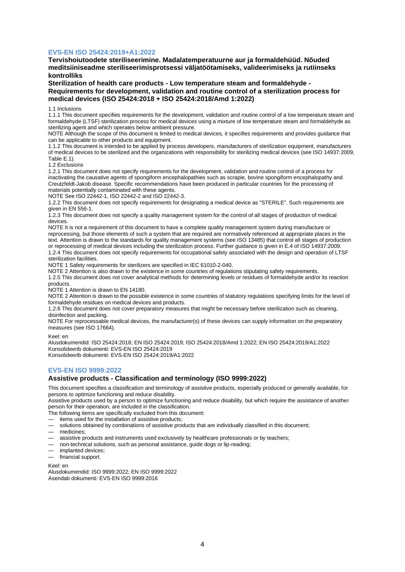## **EVS-EN ISO 25424:2019+A1:2022**

**Tervishoiutoodete steriliseerimine. Madalatemperatuurne aur ja formaldehüüd. Nõuded meditsiiniseadme steriliseerimisprotsessi väljatöötamiseks, valideerimiseks ja rutiinseks kontrolliks**

**Sterilization of health care products - Low temperature steam and formaldehyde - Requirements for development, validation and routine control of a sterilization process for medical devices (ISO 25424:2018 + ISO 25424:2018/Amd 1:2022)**

1.1 Inclusions

1.1.1 This document specifies requirements for the development, validation and routine control of a low temperature steam and formaldehyde (LTSF) sterilization process for medical devices using a mixture of low temperature steam and formaldehyde as sterilizing agent and which operates below ambient pressure.

NOTE Although the scope of this document is limited to medical devices, it specifies requirements and provides guidance that can be applicable to other products and equipment.

1.1.2 This document is intended to be applied by process developers, manufacturers of sterilization equipment, manufacturers of medical devices to be sterilized and the organizations with responsibility for sterilizing medical devices (see ISO 14937:2009, Table E.1).

1.2 Exclusions

1.2.1 This document does not specify requirements for the development, validation and routine control of a process for inactivating the causative agents of spongiform encephalopathies such as scrapie, bovine spongiform encephalopathy and Creutzfeldt-Jakob disease. Specific recommendations have been produced in particular countries for the processing of materials potentially contaminated with these agents.

NOTE See ISO 22442-1, ISO 22442-2 and ISO 22442-3.

1.2.2 This document does not specify requirements for designating a medical device as "STERILE". Such requirements are given in EN 556-1.

1.2.3 This document does not specify a quality management system for the control of all stages of production of medical devices.

NOTE It is not a requirement of this document to have a complete quality management system during manufacture or reprocessing, but those elements of such a system that are required are normatively referenced at appropriate places in the text. Attention is drawn to the standards for quality management systems (see ISO 13485) that control all stages of production or reprocessing of medical devices including the sterilization process. Further guidance is given in E.4 of ISO 14937:2009. 1.2.4 This document does not specify requirements for occupational safety associated with the design and operation of LTSF

sterilization facilities. NOTE 1 Safety requirements for sterilizers are specified in IEC 61010-2-040.

NOTE 2 Attention is also drawn to the existence in some countries of regulations stipulating safety requirements.

1.2.5 This document does not cover analytical methods for determining levels or residues of formaldehyde and/or its reaction products.

NOTE 1 Attention is drawn to EN 14180.

NOTE 2 Attention is drawn to the possible existence in some countries of statutory regulations specifying limits for the level of formaldehyde residues on medical devices and products.

1.2.6 This document does not cover preparatory measures that might be necessary before sterilization such as cleaning, disinfection and packing.

NOTE For reprocessable medical devices, the manufacturer(s) of these devices can supply information on the preparatory measures (see ISO 17664).

Keel: en

Alusdokumendid: ISO 25424:2018; EN ISO 25424:2019; ISO 25424:2018/Amd 1:2022; EN ISO 25424:2019/A1:2022 Konsolideerib dokumenti: EVS-EN ISO 25424:2019 Konsolideerib dokumenti: EVS-EN ISO 25424:2019/A1:2022

#### **EVS-EN ISO 9999:2022**

## **Assistive products - Classification and terminology (ISO 9999:2022)**

This document specifies a classification and terminology of assistive products, especially produced or generally available, for persons to optimize functioning and reduce disability.

Assistive products used by a person to optimize functioning and reduce disability, but which require the assistance of another person for their operation, are included in the classification.

The following items are specifically excluded from this document:

- items used for the installation of assistive products;
- solutions obtained by combinations of assistive products that are individually classified in this document;
- medicines;
- assistive products and instruments used exclusively by healthcare professionals or by teachers;
- non-technical solutions, such as personal assistance, guide dogs or lip-reading;
- implanted devices;
- financial support.

Keel: en Alusdokumendid: ISO 9999:2022; EN ISO 9999:2022 Asendab dokumenti: EVS-EN ISO 9999:2016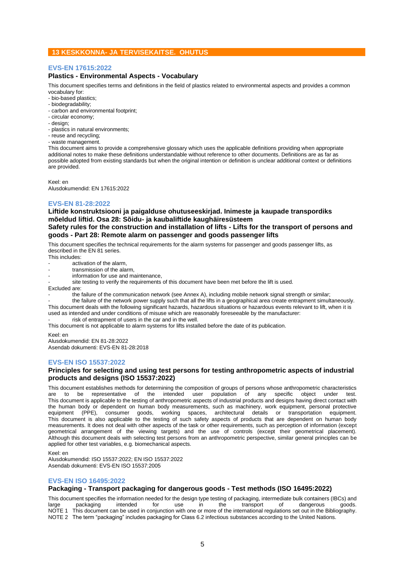## **13 KESKKONNA- JA TERVISEKAITSE. OHUTUS**

## **EVS-EN 17615:2022**

## **Plastics - Environmental Aspects - Vocabulary**

This document specifies terms and definitions in the field of plastics related to environmental aspects and provides a common vocabulary for:

- bio-based plastics;
- biodegradability;
- carbon and environmental footprint;
- circular economy;
- design;
- plastics in natural environments;
- reuse and recycling;
- waste management.

This document aims to provide a comprehensive glossary which uses the applicable definitions providing when appropriate additional notes to make these definitions understandable without reference to other documents. Definitions are as far as possible adopted from existing standards but when the original intention or definition is unclear additional context or definitions are provided.

Keel: en

Alusdokumendid: EN 17615:2022

## **EVS-EN 81-28:2022**

**Liftide konstruktsiooni ja paigalduse ohutuseeskirjad. Inimeste ja kaupade transpordiks mõeldud liftid. Osa 28: Sõidu- ja kaubaliftide kaughäiresüsteem**

## **Safety rules for the construction and installation of lifts - Lifts for the transport of persons and goods - Part 28: Remote alarm on passenger and goods passenger lifts**

This document specifies the technical requirements for the alarm systems for passenger and goods passenger lifts, as described in the EN 81 series.

This includes:

activation of the alarm,

- transmission of the alarm.
- information for use and maintenance.

site testing to verify the requirements of this document have been met before the lift is used.

Excluded are:

the failure of the communication network (see Annex A), including mobile network signal strength or similar;

- the failure of the network power supply such that all the lifts in a geographical area create entrapment simultaneously. This document deals with the following significant hazards, hazardous situations or hazardous events relevant to lift, when it is

used as intended and under conditions of misuse which are reasonably foreseeable by the manufacturer: risk of entrapment of users in the car and in the well.

This document is not applicable to alarm systems for lifts installed before the date of its publication.

Keel: en

Alusdokumendid: EN 81-28:2022 Asendab dokumenti: EVS-EN 81-28:2018

#### **EVS-EN ISO 15537:2022**

## **Principles for selecting and using test persons for testing anthropometric aspects of industrial products and designs (ISO 15537:2022)**

This document establishes methods for determining the composition of groups of persons whose anthropometric characteristics are to be representative of the intended user population of any specific object under test. This document is applicable to the testing of anthropometric aspects of industrial products and designs having direct contact with the human body or dependent on human body measurements, such as machinery, work equipment, personal protective<br>equipment (PPE), consumer goods, working spaces, architectural details or transportation equipment. working spaces, architectural details or transportation equipment. This document is also applicable to the testing of such safety aspects of products that are dependent on human body measurements. It does not deal with other aspects of the task or other requirements, such as perception of information (except geometrical arrangement of the viewing targets) and the use of controls (except their geometrical placement). Although this document deals with selecting test persons from an anthropometric perspective, similar general principles can be applied for other test variables, e.g. biomechanical aspects.

Keel: en

Alusdokumendid: ISO 15537:2022; EN ISO 15537:2022 Asendab dokumenti: EVS-EN ISO 15537:2005

#### **EVS-EN ISO 16495:2022**

## **Packaging - Transport packaging for dangerous goods - Test methods (ISO 16495:2022)**

This document specifies the information needed for the design type testing of packaging, intermediate bulk containers (IBCs) and<br>Large speckaging intended for use in the transport of dangerous goods large packaging intended for use in the transport of dangerous goods. NOTE 1 This document can be used in conjunction with one or more of the international regulations set out in the Bibliography. NOTE 2 The term "packaging" includes packaging for Class 6.2 infectious substances according to the United Nations.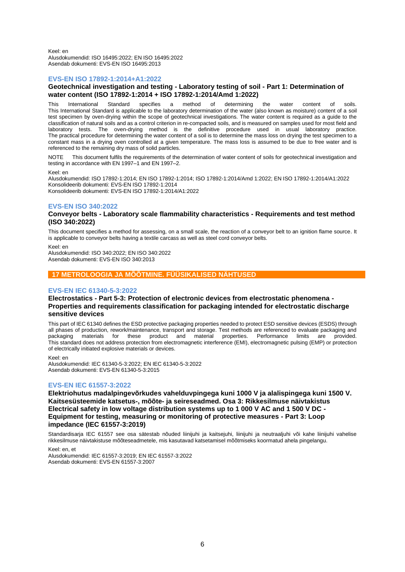Keel: en Alusdokumendid: ISO 16495:2022; EN ISO 16495:2022 Asendab dokumenti: EVS-EN ISO 16495:2013

## **EVS-EN ISO 17892-1:2014+A1:2022**

## **Geotechnical investigation and testing - Laboratory testing of soil - Part 1: Determination of water content (ISO 17892-1:2014 + ISO 17892-1:2014/Amd 1:2022)**

This International Standard specifies a method of determining the water content of soils. This International Standard is applicable to the laboratory determination of the water (also known as moisture) content of a soil test specimen by oven-drying within the scope of geotechnical investigations. The water content is required as a guide to the classification of natural soils and as a control criterion in re-compacted soils, and is measured on samples used for most field and laboratory tests. The oven-drying method is the definitive procedure used in usual laboratory practice. The practical procedure for determining the water content of a soil is to determine the mass loss on drying the test specimen to a constant mass in a drying oven controlled at a given temperature. The mass loss is assumed to be due to free water and is referenced to the remaining dry mass of solid particles.

NOTE This document fulfils the requirements of the determination of water content of soils for geotechnical investigation and testing in accordance with EN 1997–1 and EN 1997–2.

#### Keel: en

Alusdokumendid: ISO 17892-1:2014; EN ISO 17892-1:2014; ISO 17892-1:2014/Amd 1:2022; EN ISO 17892-1:2014/A1:2022 Konsolideerib dokumenti: EVS-EN ISO 17892-1:2014 Konsolideerib dokumenti: EVS-EN ISO 17892-1:2014/A1:2022

#### **EVS-EN ISO 340:2022**

## **Conveyor belts - Laboratory scale flammability characteristics - Requirements and test method (ISO 340:2022)**

This document specifies a method for assessing, on a small scale, the reaction of a conveyor belt to an ignition flame source. It is applicable to conveyor belts having a textile carcass as well as steel cord conveyor belts.

Keel: en

Alusdokumendid: ISO 340:2022; EN ISO 340:2022 Asendab dokumenti: EVS-EN ISO 340:2013

## **17 METROLOOGIA JA MÕÕTMINE. FÜÜSIKALISED NÄHTUSED**

#### **EVS-EN IEC 61340-5-3:2022**

## **Electrostatics - Part 5-3: Protection of electronic devices from electrostatic phenomena - Properties and requirements classification for packaging intended for electrostatic discharge sensitive devices**

This part of IEC 61340 defines the ESD protective packaging properties needed to protect ESD sensitive devices (ESDS) through all phases of production, rework/maintenance, transport and storage. Test methods are referenced to evaluate packaging and packaging materials for these product and material properties. Performance limits are provided. materials for these product and material properties. Performance limits are provided. This standard does not address protection from electromagnetic interference (EMI), electromagnetic pulsing (EMP) or protection of electrically initiated explosive materials or devices.

Keel: en Alusdokumendid: IEC 61340-5-3:2022; EN IEC 61340-5-3:2022 Asendab dokumenti: EVS-EN 61340-5-3:2015

#### **EVS-EN IEC 61557-3:2022**

**Elektriohutus madalpingevõrkudes vahelduvpingega kuni 1000 V ja alalispingega kuni 1500 V. Kaitsesüsteemide katsetus-, mõõte- ja seireseadmed. Osa 3: Rikkesilmuse näivtakistus Electrical safety in low voltage distribution systems up to 1 000 V AC and 1 500 V DC - Equipment for testing, measuring or monitoring of protective measures - Part 3: Loop impedance (IEC 61557-3:2019)**

Standardisarja IEC 61557 see osa sätestab nõuded liinijuhi ja kaitsejuhi, liinijuhi ja neutraaljuhi või kahe liinijuhi vahelise rikkesilmuse näivtakistuse mõõteseadmetele, mis kasutavad katsetamisel mõõtmiseks koormatud ahela pingelangu.

Keel: en, et

Alusdokumendid: IEC 61557-3:2019; EN IEC 61557-3:2022 Asendab dokumenti: EVS-EN 61557-3:2007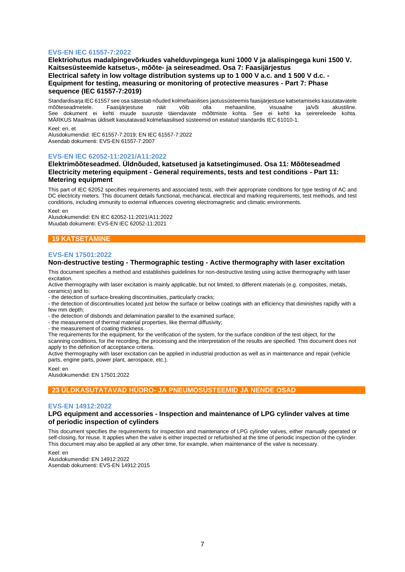## **EVS-EN IEC 61557-7:2022**

**Elektriohutus madalpingevõrkudes vahelduvpingega kuni 1000 V ja alalispingega kuni 1500 V. Kaitsesüsteemide katsetus-, mõõte- ja seireseadmed. Osa 7: Faasijärjestus Electrical safety in low voltage distribution systems up to 1 000 V a.c. and 1 500 V d.c. - Equipment for testing, measuring or monitoring of protective measures - Part 7: Phase sequence (IEC 61557-7:2019)**

Standardisarja IEC 61557 see osa sätestab nõuded kolmefaasilises jaotussüsteemis faasijärjestuse katsetamiseks kasutatavatele<br>mõõteseadmetele. Eaasijärjestuse näit võib olla mehaaniline, visuaalne ja/või akustiline. mõõteseadmetele. See dokument ei kehti muude suuruste täiendavate mõõtmiste kohta. See ei kehti ka seirereleede kohta. MÄRKUS Maailmas üldiselt kasutatavad kolmefaasilised süsteemid on esitatud standardis IEC 61010-1.

Keel: en, et Alusdokumendid: IEC 61557-7:2019; EN IEC 61557-7:2022 Asendab dokumenti: EVS-EN 61557-7:2007

## **EVS-EN IEC 62052-11:2021/A11:2022**

## **Elektrimõõteseadmed. Üldnõuded, katsetused ja katsetingimused. Osa 11: Mõõteseadmed Electricity metering equipment - General requirements, tests and test conditions - Part 11: Metering equipment**

This part of IEC 62052 specifies requirements and associated tests, with their appropriate conditions for type testing of AC and DC electricity meters. This document details functional, mechanical, electrical and marking requirements, test methods, and test conditions, including immunity to external influences covering electromagnetic and climatic environments.

Keel: en

Alusdokumendid: EN IEC 62052-11:2021/A11:2022 Muudab dokumenti: EVS-EN IEC 62052-11:2021

## **19 KATSETAMINE**

## **EVS-EN 17501:2022**

#### **Non-destructive testing - Thermographic testing - Active thermography with laser excitation**

This document specifies a method and establishes guidelines for non-destructive testing using active thermography with laser excitation.

Active thermography with laser excitation is mainly applicable, but not limited, to different materials (e.g. composites, metals, ceramics) and to:

- the detection of surface-breaking discontinuities, particularly cracks;

- the detection of discontinuities located just below the surface or below coatings with an efficiency that diminishes rapidly with a few mm depth;

- the detection of disbonds and delamination parallel to the examined surface;

- the measurement of thermal material properties, like thermal diffusivity;

- the measurement of coating thickness.

The requirements for the equipment, for the verification of the system, for the surface condition of the test object, for the scanning conditions, for the recording, the processing and the interpretation of the results are specified. This document does not apply to the definition of acceptance criteria.

Active thermography with laser excitation can be applied in industrial production as well as in maintenance and repair (vehicle parts, engine parts, power plant, aerospace, etc.).

Keel: en Alusdokumendid: EN 17501:2022

## **23 ÜLDKASUTATAVAD HÜDRO- JA PNEUMOSÜSTEEMID JA NENDE OSAD**

#### **EVS-EN 14912:2022**

## **LPG equipment and accessories - Inspection and maintenance of LPG cylinder valves at time of periodic inspection of cylinders**

This document specifies the requirements for inspection and maintenance of LPG cylinder valves, either manually operated or self-closing, for reuse. It applies when the valve is either inspected or refurbished at the time of periodic inspection of the cylinder. This document may also be applied at any other time, for example, when maintenance of the valve is necessary.

Keel: en Alusdokumendid: EN 14912:2022 Asendab dokumenti: EVS-EN 14912:2015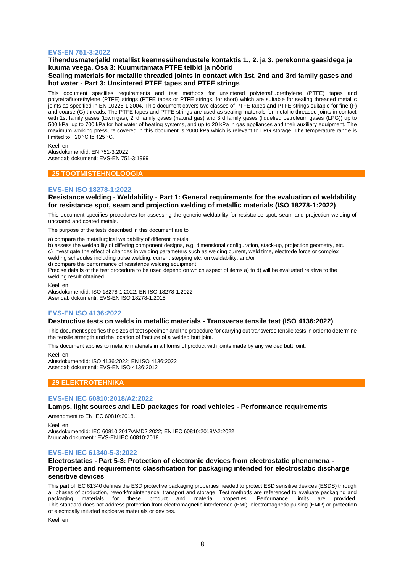#### **EVS-EN 751-3:2022**

## **Tihendusmaterjalid metallist keermesühendustele kontaktis 1., 2. ja 3. perekonna gaasidega ja kuuma veega. Osa 3: Kuumutamata PTFE teibid ja nöörid**

## **Sealing materials for metallic threaded joints in contact with 1st, 2nd and 3rd family gases and hot water - Part 3: Unsintered PTFE tapes and PTFE strings**

This document specifies requirements and test methods for unsintered polytetrafluorethylene (PTFE) tapes and polytetrafluorethylene (PTFE) strings (PTFE tapes or PTFE strings, for short) which are suitable for sealing threaded metallic joints as specified in EN 10226-1:2004. This document covers two classes of PTFE tapes and PTFE strings suitable for fine (F) and coarse (G) threads. The PTFE tapes and PTFE strings are used as sealing materials for metallic threaded joints in contact with 1st family gases (town gas), 2nd family gases (natural gas) and 3rd family gases (liquefied petroleum gases (LPG)) up to 500 kPa, up to 700 kPa for hot water of heating systems, and up to 20 kPa in gas appliances and their auxiliary equipment. The maximum working pressure covered in this document is 2000 kPa which is relevant to LPG storage. The temperature range is limited to −20 °C to 125 °C.

Keel: en Alusdokumendid: EN 751-3:2022 Asendab dokumenti: EVS-EN 751-3:1999

#### **25 TOOTMISTEHNOLOOGIA**

## **EVS-EN ISO 18278-1:2022**

#### **Resistance welding - Weldability - Part 1: General requirements for the evaluation of weldability for resistance spot, seam and projection welding of metallic materials (ISO 18278-1:2022)**

This document specifies procedures for assessing the generic weldability for resistance spot, seam and projection welding of uncoated and coated metals.

The purpose of the tests described in this document are to

a) compare the metallurgical weldability of different metals,

b) assess the weldability of differing component designs, e.g. dimensional configuration, stack-up, projection geometry, etc., c) investigate the effect of changes in welding parameters such as welding current, weld time, electrode force or complex welding schedules including pulse welding, current stepping etc. on weldability, and/or

d) compare the performance of resistance welding equipment.

Precise details of the test procedure to be used depend on which aspect of items a) to d) will be evaluated relative to the welding result obtained.

Keel: en

Alusdokumendid: ISO 18278-1:2022; EN ISO 18278-1:2022 Asendab dokumenti: EVS-EN ISO 18278-1:2015

#### **EVS-EN ISO 4136:2022**

## **Destructive tests on welds in metallic materials - Transverse tensile test (ISO 4136:2022)**

This document specifies the sizes of test specimen and the procedure for carrying out transverse tensile tests in order to determine the tensile strength and the location of fracture of a welded butt joint.

This document applies to metallic materials in all forms of product with joints made by any welded butt joint.

Keel: en Alusdokumendid: ISO 4136:2022; EN ISO 4136:2022 Asendab dokumenti: EVS-EN ISO 4136:2012

## **29 ELEKTROTEHNIKA**

#### **EVS-EN IEC 60810:2018/A2:2022**

## **Lamps, light sources and LED packages for road vehicles - Performance requirements**

Amendment to EN IEC 60810:2018.

Keel: en

Alusdokumendid: IEC 60810:2017/AMD2:2022; EN IEC 60810:2018/A2:2022 Muudab dokumenti: EVS-EN IEC 60810:2018

#### **EVS-EN IEC 61340-5-3:2022**

## **Electrostatics - Part 5-3: Protection of electronic devices from electrostatic phenomena - Properties and requirements classification for packaging intended for electrostatic discharge sensitive devices**

This part of IEC 61340 defines the ESD protective packaging properties needed to protect ESD sensitive devices (ESDS) through all phases of production, rework/maintenance, transport and storage. Test methods are referenced to evaluate packaging and packaging materials for these product and material properties. Performance limits are provided. This standard does not address protection from electromagnetic interference (EMI), electromagnetic pulsing (EMP) or protection of electrically initiated explosive materials or devices.

Keel: en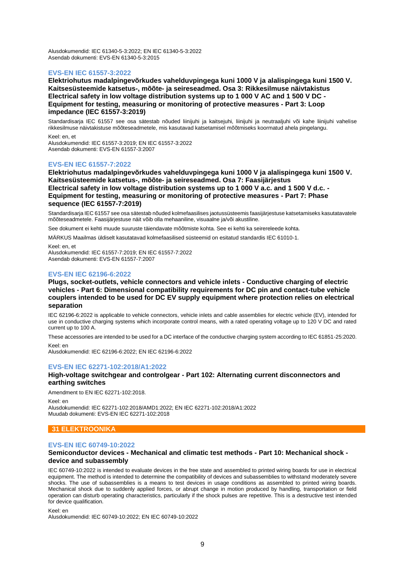Alusdokumendid: IEC 61340-5-3:2022; EN IEC 61340-5-3:2022 Asendab dokumenti: EVS-EN 61340-5-3:2015

## **EVS-EN IEC 61557-3:2022**

**Elektriohutus madalpingevõrkudes vahelduvpingega kuni 1000 V ja alalispingega kuni 1500 V. Kaitsesüsteemide katsetus-, mõõte- ja seireseadmed. Osa 3: Rikkesilmuse näivtakistus Electrical safety in low voltage distribution systems up to 1 000 V AC and 1 500 V DC - Equipment for testing, measuring or monitoring of protective measures - Part 3: Loop impedance (IEC 61557-3:2019)**

Standardisarja IEC 61557 see osa sätestab nõuded liinijuhi ja kaitsejuhi, liinijuhi ja neutraaljuhi või kahe liinijuhi vahelise rikkesilmuse näivtakistuse mõõteseadmetele, mis kasutavad katsetamisel mõõtmiseks koormatud ahela pingelangu.

Keel: en, et Alusdokumendid: IEC 61557-3:2019; EN IEC 61557-3:2022 Asendab dokumenti: EVS-EN 61557-3:2007

#### **EVS-EN IEC 61557-7:2022**

**Elektriohutus madalpingevõrkudes vahelduvpingega kuni 1000 V ja alalispingega kuni 1500 V. Kaitsesüsteemide katsetus-, mõõte- ja seireseadmed. Osa 7: Faasijärjestus Electrical safety in low voltage distribution systems up to 1 000 V a.c. and 1 500 V d.c. - Equipment for testing, measuring or monitoring of protective measures - Part 7: Phase sequence (IEC 61557-7:2019)**

Standardisarja IEC 61557 see osa sätestab nõuded kolmefaasilises jaotussüsteemis faasijärjestuse katsetamiseks kasutatavatele mõõteseadmetele. Faasijärjestuse näit võib olla mehaaniline, visuaalne ja/või akustiline.

See dokument ei kehti muude suuruste täiendavate mõõtmiste kohta. See ei kehti ka seirereleede kohta.

MÄRKUS Maailmas üldiselt kasutatavad kolmefaasilised süsteemid on esitatud standardis IEC 61010-1.

Keel: en, et Alusdokumendid: IEC 61557-7:2019; EN IEC 61557-7:2022 Asendab dokumenti: EVS-EN 61557-7:2007

## **EVS-EN IEC 62196-6:2022**

## **Plugs, socket-outlets, vehicle connectors and vehicle inlets - Conductive charging of electric vehicles - Part 6: Dimensional compatibility requirements for DC pin and contact-tube vehicle couplers intended to be used for DC EV supply equipment where protection relies on electrical separation**

IEC 62196-6:2022 is applicable to vehicle connectors, vehicle inlets and cable assemblies for electric vehicle (EV), intended for use in conductive charging systems which incorporate control means, with a rated operating voltage up to 120 V DC and rated current up to 100 A.

These accessories are intended to be used for a DC interface of the conductive charging system according to IEC 61851-25:2020. Keel: en

Alusdokumendid: IEC 62196-6:2022; EN IEC 62196-6:2022

#### **EVS-EN IEC 62271-102:2018/A1:2022**

## **High-voltage switchgear and controlgear - Part 102: Alternating current disconnectors and earthing switches**

Amendment to EN IEC 62271-102:2018.

Keel: en Alusdokumendid: IEC 62271-102:2018/AMD1:2022; EN IEC 62271-102:2018/A1:2022 Muudab dokumenti: EVS-EN IEC 62271-102:2018

## **31 ELEKTROONIKA**

## **EVS-EN IEC 60749-10:2022**

#### **Semiconductor devices - Mechanical and climatic test methods - Part 10: Mechanical shock device and subassembly**

IEC 60749-10:2022 is intended to evaluate devices in the free state and assembled to printed wiring boards for use in electrical equipment. The method is intended to determine the compatibility of devices and subassemblies to withstand moderately severe shocks. The use of subassemblies is a means to test devices in usage conditions as assembled to printed wiring boards. Mechanical shock due to suddenly applied forces, or abrupt change in motion produced by handling, transportation or field operation can disturb operating characteristics, particularly if the shock pulses are repetitive. This is a destructive test intended for device qualification.

Keel: en

Alusdokumendid: IEC 60749-10:2022; EN IEC 60749-10:2022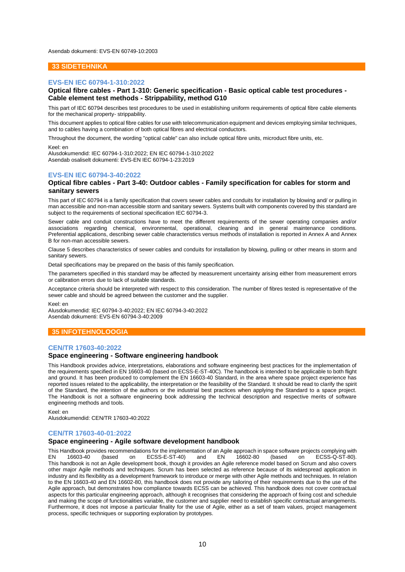Asendab dokumenti: EVS-EN 60749-10:2003

#### **33 SIDETEHNIKA**

#### **EVS-EN IEC 60794-1-310:2022**

## **Optical fibre cables - Part 1-310: Generic specification - Basic optical cable test procedures - Cable element test methods - Strippability, method G10**

This part of IEC 60794 describes test procedures to be used in establishing uniform requirements of optical fibre cable elements for the mechanical property- strippability.

This document applies to optical fibre cables for use with telecommunication equipment and devices employing similar techniques, and to cables having a combination of both optical fibres and electrical conductors.

Throughout the document, the wording "optical cable" can also include optical fibre units, microduct fibre units, etc.

Keel: en

Alusdokumendid: IEC 60794-1-310:2022; EN IEC 60794-1-310:2022 Asendab osaliselt dokumenti: EVS-EN IEC 60794-1-23:2019

## **EVS-EN IEC 60794-3-40:2022**

#### **Optical fibre cables - Part 3-40: Outdoor cables - Family specification for cables for storm and sanitary sewers**

This part of IEC 60794 is a family specification that covers sewer cables and conduits for installation by blowing and/ or pulling in man accessible and non-man accessible storm and sanitary sewers. Systems built with components covered by this standard are subject to the requirements of sectional specification IEC 60794-3.

Sewer cable and conduit constructions have to meet the different requirements of the sewer operating companies and/or associations regarding chemical, environmental, operational, cleaning and in general maintenance conditions. Preferential applications, describing sewer cable characteristics versus methods of installation is reported in Annex A and Annex B for non-man accessible sewers.

Clause 5 describes characteristics of sewer cables and conduits for installation by blowing, pulling or other means in storm and sanitary sewers.

Detail specifications may be prepared on the basis of this family specification.

The parameters specified in this standard may be affected by measurement uncertainty arising either from measurement errors or calibration errors due to lack of suitable standards.

Acceptance criteria should be interpreted with respect to this consideration. The number of fibres tested is representative of the sewer cable and should be agreed between the customer and the supplier.

Keel: en

Alusdokumendid: IEC 60794-3-40:2022; EN IEC 60794-3-40:2022 Asendab dokumenti: EVS-EN 60794-3-40:2009

## **35 INFOTEHNOLOOGIA**

#### **CEN/TR 17603-40:2022**

#### **Space engineering - Software engineering handbook**

This Handbook provides advice, interpretations, elaborations and software engineering best practices for the implementation of the requirements specified in EN 16603-40 (based on ECSS-E-ST-40C). The handbook is intended to be applicable to both flight and ground. It has been produced to complement the EN 16603-40 Standard, in the area where space project experience has reported issues related to the applicability, the interpretation or the feasibility of the Standard. It should be read to clarify the spirit of the Standard, the intention of the authors or the industrial best practices when applying the Standard to a space project. The Handbook is not a software engineering book addressing the technical description and respective merits of software engineering methods and tools.

Keel: en

Alusdokumendid: CEN/TR 17603-40:2022

#### **CEN/TR 17603-40-01:2022**

## **Space engineering - Agile software development handbook**

This Handbook provides recommendations for the implementation of an Agile approach in space software projects complying with<br>EN 16603-40 (based on ECSS-E-ST-40) and EN 16602-80 (based on ECSS-Q-ST-80).  $ECSS-E-ST-40$ This handbook is not an Agile development book, though it provides an Agile reference model based on Scrum and also covers other major Agile methods and techniques. Scrum has been selected as reference because of its widespread application in industry and its flexibility as a development framework to introduce or merge with other Agile methods and techniques. In relation to the EN 16603-40 and EN 16602-80, this handbook does not provide any tailoring of their requirements due to the use of the Agile approach, but demonstrates how compliance towards ECSS can be achieved. This handbook does not cover contractual aspects for this particular engineering approach, although it recognises that considering the approach of fixing cost and schedule and making the scope of functionalities variable, the customer and supplier need to establish specific contractual arrangements. Furthermore, it does not impose a particular finality for the use of Agile, either as a set of team values, project management process, specific techniques or supporting exploration by prototypes.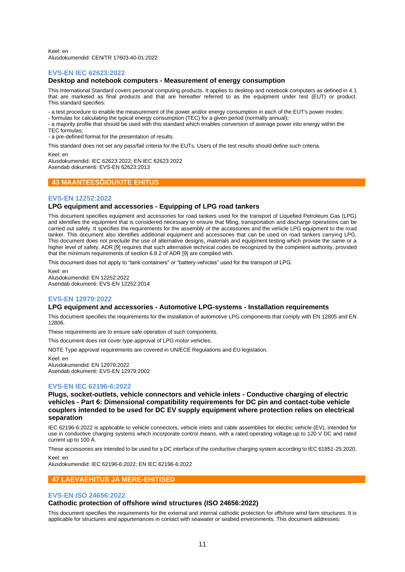Keel: en Alusdokumendid: CEN/TR 17603-40-01:2022

#### **EVS-EN IEC 62623:2022**

## **Desktop and notebook computers - Measurement of energy consumption**

This International Standard covers personal computing products. It applies to desktop and notebook computers as defined in 4.1 that are marketed as final products and that are hereafter referred to as the equipment under test (EUT) or product. This standard specifies:

- a test procedure to enable the measurement of the power and/or energy consumption in each of the EUT's power modes;

- formulas for calculating the typical energy consumption (TEC) for a given period (normally annual);

- a majority profile that should be used with this standard which enables conversion of average power into energy within the TEC formulas;

- a pre-defined format for the presentation of results.

This standard does not set any pass/fail criteria for the EUTs. Users of the test results should define such criteria.

Keel: en

Alusdokumendid: IEC 62623:2022; EN IEC 62623:2022 Asendab dokumenti: EVS-EN 62623:2013

## **43 MAANTEESÕIDUKITE EHITUS**

#### **EVS-EN 12252:2022**

#### **LPG equipment and accessories - Equipping of LPG road tankers**

This document specifies equipment and accessories for road tankers used for the transport of Liquefied Petroleum Gas (LPG) and identifies the equipment that is considered necessary to ensure that filling, transportation and discharge operations can be carried out safely. It specifies the requirements for the assembly of the accessories and the vehicle LPG equipment to the road tanker. This document also identifies additional equipment and accessories that can be used on road tankers carrying LPG. This document does not preclude the use of alternative designs, materials and equipment testing which provide the same or a higher level of safety. ADR [9] requires that such alternative technical codes be recognized by the competent authority, provided that the minimum requirements of section 6.8.2 of ADR [9] are complied with.

This document does not apply to "tank-containers" or "battery-vehicles" used for the transport of LPG.

Keel: en Alusdokumendid: EN 12252:2022 Asendab dokumenti: EVS-EN 12252:2014

## **EVS-EN 12979:2022**

#### **LPG equipment and accessories - Automotive LPG-systems - Installation requirements**

This document specifies the requirements for the installation of automotive LPG components that comply with EN 12805 and EN 12806.

These requirements are to ensure safe operation of such components.

This document does not cover type approval of LPG motor vehicles.

NOTE Type approval requirements are covered in UN/ECE Regulations and EU legislation.

Keel: en Alusdokumendid: EN 12979:2022 Asendab dokumenti: EVS-EN 12979:2002

## **EVS-EN IEC 62196-6:2022**

**Plugs, socket-outlets, vehicle connectors and vehicle inlets - Conductive charging of electric vehicles - Part 6: Dimensional compatibility requirements for DC pin and contact-tube vehicle couplers intended to be used for DC EV supply equipment where protection relies on electrical separation**

IEC 62196-6:2022 is applicable to vehicle connectors, vehicle inlets and cable assemblies for electric vehicle (EV), intended for use in conductive charging systems which incorporate control means, with a rated operating voltage up to 120 V DC and rated current up to 100 A.

These accessories are intended to be used for a DC interface of the conductive charging system according to IEC 61851-25:2020.

Keel: en

Alusdokumendid: IEC 62196-6:2022; EN IEC 62196-6:2022

## **47 LAEVAEHITUS JA MERE-EHITISED**

#### **EVS-EN ISO 24656:2022**

#### **Cathodic protection of offshore wind structures (ISO 24656:2022)**

This document specifies the requirements for the external and internal cathodic protection for offshore wind farm structures. It is applicable for structures and appurtenances in contact with seawater or seabed environments. This document addresses: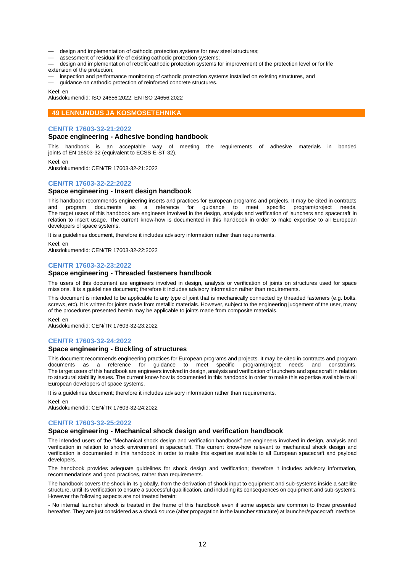- design and implementation of cathodic protection systems for new steel structures;
- assessment of residual life of existing cathodic protection systems;
- design and implementation of retrofit cathodic protection systems for improvement of the protection level or for life extension of the protection;
- inspection and performance monitoring of cathodic protection systems installed on existing structures, and — guidance on cathodic protection of reinforced concrete structures.

Keel: en

Alusdokumendid: ISO 24656:2022; EN ISO 24656:2022

#### **49 LENNUNDUS JA KOSMOSETEHNIKA**

#### **CEN/TR 17603-32-21:2022**

#### **Space engineering - Adhesive bonding handbook**

This handbook is an acceptable way of meeting the requirements of adhesive materials in bonded joints of EN 16603-32 (equivalent to ECSS‐E‐ST‐32).

Keel: en

Alusdokumendid: CEN/TR 17603-32-21:2022

## **CEN/TR 17603-32-22:2022**

## **Space engineering - Insert design handbook**

This handbook recommends engineering inserts and practices for European programs and projects. It may be cited in contracts and program documents as a reference for quidance to meet specific program/project needs. and program documents as a reference for guidance to meet specific program/project needs. The target users of this handbook are engineers involved in the design, analysis and verification of launchers and spacecraft in relation to insert usage. The current know‐how is documented in this handbook in order to make expertise to all European developers of space systems.

It is a guidelines document, therefore it includes advisory information rather than requirements.

Keel: en Alusdokumendid: CEN/TR 17603-32-22:2022

#### **CEN/TR 17603-32-23:2022**

## **Space engineering - Threaded fasteners handbook**

The users of this document are engineers involved in design, analysis or verification of joints on structures used for space missions. It is a guidelines document; therefore it includes advisory information rather than requirements.

This document is intended to be applicable to any type of joint that is mechanically connected by threaded fasteners (e.g. bolts, screws, etc). It is written for joints made from metallic materials. However, subject to the engineering judgement of the user, many of the procedures presented herein may be applicable to joints made from composite materials.

Keel: en

Alusdokumendid: CEN/TR 17603-32-23:2022

#### **CEN/TR 17603-32-24:2022**

#### **Space engineering - Buckling of structures**

This document recommends engineering practices for European programs and projects. It may be cited in contracts and program documents as a reference for guidance to meet specific program/project needs and constraints. The target users of this handbook are engineers involved in design, analysis and verification of launchers and spacecraft in relation to structural stability issues. The current know‐how is documented in this handbook in order to make this expertise available to all European developers of space systems.

It is a guidelines document; therefore it includes advisory information rather than requirements.

Keel: en

Alusdokumendid: CEN/TR 17603-32-24:2022

#### **CEN/TR 17603-32-25:2022**

#### **Space engineering - Mechanical shock design and verification handbook**

The intended users of the "Mechanical shock design and verification handbook" are engineers involved in design, analysis and verification in relation to shock environment in spacecraft. The current know-how relevant to mechanical shock design and verification is documented in this handbook in order to make this expertise available to all European spacecraft and payload developers.

The handbook provides adequate guidelines for shock design and verification; therefore it includes advisory information, recommendations and good practices, rather than requirements.

The handbook covers the shock in its globally, from the derivation of shock input to equipment and sub-systems inside a satellite structure, until its verification to ensure a successful qualification, and including its consequences on equipment and sub-systems. However the following aspects are not treated herein:

- No internal launcher shock is treated in the frame of this handbook even if some aspects are common to those presented hereafter. They are just considered as a shock source (after propagation in the launcher structure) at launcher/spacecraft interface.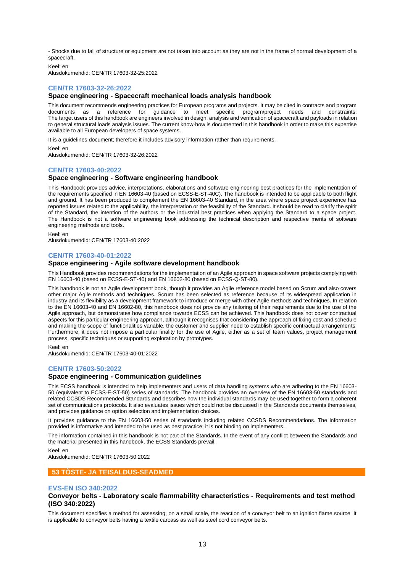- Shocks due to fall of structure or equipment are not taken into account as they are not in the frame of normal development of a spacecraft.

Keel: en

Alusdokumendid: CEN/TR 17603-32-25:2022

## **CEN/TR 17603-32-26:2022**

## **Space engineering - Spacecraft mechanical loads analysis handbook**

This document recommends engineering practices for European programs and projects. It may be cited in contracts and program documents as a reference for guidance to meet specific program/project needs and constraints. The target users of this handbook are engineers involved in design, analysis and verification of spacecraft and payloads in relation to general structural loads analysis issues. The current know‐how is documented in this handbook in order to make this expertise available to all European developers of space systems.

It is a guidelines document; therefore it includes advisory information rather than requirements.

Keel: en Alusdokumendid: CEN/TR 17603-32-26:2022

#### **CEN/TR 17603-40:2022**

## **Space engineering - Software engineering handbook**

This Handbook provides advice, interpretations, elaborations and software engineering best practices for the implementation of the requirements specified in EN 16603-40 (based on ECSS-E-ST-40C). The handbook is intended to be applicable to both flight and ground. It has been produced to complement the EN 16603-40 Standard, in the area where space project experience has reported issues related to the applicability, the interpretation or the feasibility of the Standard. It should be read to clarify the spirit of the Standard, the intention of the authors or the industrial best practices when applying the Standard to a space project. The Handbook is not a software engineering book addressing the technical description and respective merits of software engineering methods and tools.

Keel: en

Alusdokumendid: CEN/TR 17603-40:2022

#### **CEN/TR 17603-40-01:2022**

#### **Space engineering - Agile software development handbook**

This Handbook provides recommendations for the implementation of an Agile approach in space software projects complying with EN 16603-40 (based on ECSS-E-ST-40) and EN 16602-80 (based on ECSS-Q-ST-80).

This handbook is not an Agile development book, though it provides an Agile reference model based on Scrum and also covers other major Agile methods and techniques. Scrum has been selected as reference because of its widespread application in industry and its flexibility as a development framework to introduce or merge with other Agile methods and techniques. In relation to the EN 16603-40 and EN 16602-80, this handbook does not provide any tailoring of their requirements due to the use of the Agile approach, but demonstrates how compliance towards ECSS can be achieved. This handbook does not cover contractual aspects for this particular engineering approach, although it recognises that considering the approach of fixing cost and schedule and making the scope of functionalities variable, the customer and supplier need to establish specific contractual arrangements. Furthermore, it does not impose a particular finality for the use of Agile, either as a set of team values, project management process, specific techniques or supporting exploration by prototypes.

Keel: en

Alusdokumendid: CEN/TR 17603-40-01:2022

## **CEN/TR 17603-50:2022**

#### **Space engineering - Communication guidelines**

This ECSS handbook is intended to help implementers and users of data handling systems who are adhering to the EN 16603- 50 (equivalent to ECSS-E-ST-50) series of standards. The handbook provides an overview of the EN 16603-50 standards and related CCSDS Recommended Standards and describes how the individual standards may be used together to form a coherent set of communications protocols. It also evaluates issues which could not be discussed in the Standards documents themselves, and provides guidance on option selection and implementation choices.

It provides guidance to the EN 16603-50 series of standards including related CCSDS Recommendations. The information provided is informative and intended to be used as best practice; it is not binding on implementers.

The information contained in this handbook is not part of the Standards. In the event of any conflict between the Standards and the material presented in this handbook, the ECSS Standards prevail.

Keel: en

Alusdokumendid: CEN/TR 17603-50:2022

## **53 TÕSTE- JA TEISALDUS-SEADMED**

#### **EVS-EN ISO 340:2022**

## **Conveyor belts - Laboratory scale flammability characteristics - Requirements and test method (ISO 340:2022)**

This document specifies a method for assessing, on a small scale, the reaction of a conveyor belt to an ignition flame source. It is applicable to conveyor belts having a textile carcass as well as steel cord conveyor belts.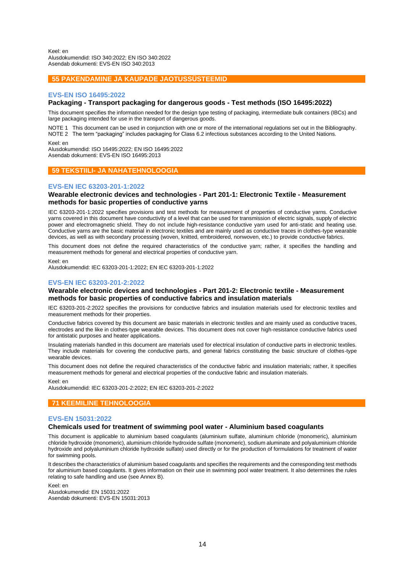Keel: en Alusdokumendid: ISO 340:2022; EN ISO 340:2022 Asendab dokumenti: EVS-EN ISO 340:2013

## **55 PAKENDAMINE JA KAUPADE JAOTUSSÜSTEEMID**

#### **EVS-EN ISO 16495:2022**

#### **Packaging - Transport packaging for dangerous goods - Test methods (ISO 16495:2022)**

This document specifies the information needed for the design type testing of packaging, intermediate bulk containers (IBCs) and large packaging intended for use in the transport of dangerous goods.

NOTE 1 This document can be used in conjunction with one or more of the international regulations set out in the Bibliography. NOTE 2 The term "packaging" includes packaging for Class 6.2 infectious substances according to the United Nations.

Keel: en

Alusdokumendid: ISO 16495:2022; EN ISO 16495:2022 Asendab dokumenti: EVS-EN ISO 16495:2013

## **59 TEKSTIILI- JA NAHATEHNOLOOGIA**

#### **EVS-EN IEC 63203-201-1:2022**

## **Wearable electronic devices and technologies - Part 201-1: Electronic Textile - Measurement methods for basic properties of conductive yarns**

IEC 63203-201-1:2022 specifies provisions and test methods for measurement of properties of conductive yarns. Conductive yarns covered in this document have conductivity of a level that can be used for transmission of electric signals, supply of electric power and electromagnetic shield. They do not include high-resistance conductive yarn used for anti-static and heating use. Conductive yarns are the basic material in electronic textiles and are mainly used as conductive traces in clothes-type wearable devices, as well as with secondary processing (woven, knitted, embroidered, nonwoven, etc.) to provide conductive fabrics.

This document does not define the required characteristics of the conductive yarn; rather, it specifies the handling and measurement methods for general and electrical properties of conductive yarn.

Keel: en

Alusdokumendid: IEC 63203-201-1:2022; EN IEC 63203-201-1:2022

#### **EVS-EN IEC 63203-201-2:2022**

## **Wearable electronic devices and technologies - Part 201-2: Electronic textile - Measurement methods for basic properties of conductive fabrics and insulation materials**

IEC 63203-201-2:2022 specifies the provisions for conductive fabrics and insulation materials used for electronic textiles and measurement methods for their properties.

Conductive fabrics covered by this document are basic materials in electronic textiles and are mainly used as conductive traces, electrodes and the like in clothes-type wearable devices. This document does not cover high-resistance conductive fabrics used for antistatic purposes and heater applications.

Insulating materials handled in this document are materials used for electrical insulation of conductive parts in electronic textiles. They include materials for covering the conductive parts, and general fabrics constituting the basic structure of clothes‐type wearable devices.

This document does not define the required characteristics of the conductive fabric and insulation materials; rather, it specifies measurement methods for general and electrical properties of the conductive fabric and insulation materials.

#### Keel: en

Alusdokumendid: IEC 63203-201-2:2022; EN IEC 63203-201-2:2022

## **71 KEEMILINE TEHNOLOOGIA**

## **EVS-EN 15031:2022**

## **Chemicals used for treatment of swimming pool water - Aluminium based coagulants**

This document is applicable to aluminium based coagulants (aluminium sulfate, aluminium chloride (monomeric), aluminium chloride hydroxide (monomeric), aluminium chloride hydroxide sulfate (monomeric), sodium aluminate and polyaluminium chloride hydroxide and polyaluminium chloride hydroxide sulfate) used directly or for the production of formulations for treatment of water for swimming pools.

It describes the characteristics of aluminium based coagulants and specifies the requirements and the corresponding test methods for aluminium based coagulants. It gives information on their use in swimming pool water treatment. It also determines the rules relating to safe handling and use (see Annex B).

Keel: en Alusdokumendid: EN 15031:2022 Asendab dokumenti: EVS-EN 15031:2013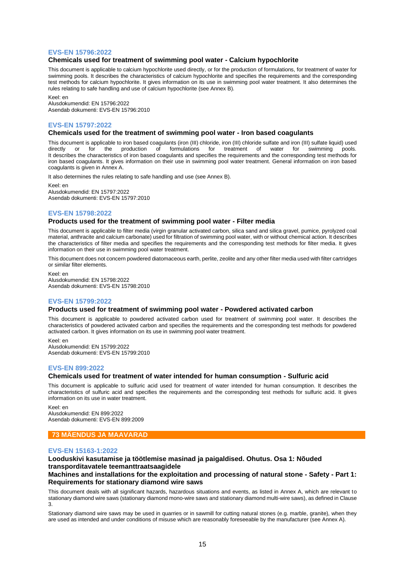#### **EVS-EN 15796:2022**

#### **Chemicals used for treatment of swimming pool water - Calcium hypochlorite**

This document is applicable to calcium hypochlorite used directly, or for the production of formulations, for treatment of water for swimming pools. It describes the characteristics of calcium hypochlorite and specifies the requirements and the corresponding test methods for calcium hypochlorite. It gives information on its use in swimming pool water treatment. It also determines the rules relating to safe handling and use of calcium hypochlorite (see Annex B).

Keel: en Alusdokumendid: EN 15796:2022 Asendab dokumenti: EVS-EN 15796:2010

## **EVS-EN 15797:2022**

#### **Chemicals used for the treatment of swimming pool water - Iron based coagulants**

This document is applicable to iron based coagulants (iron (III) chloride, iron (III) chloride sulfate and iron (III) sulfate liquid) used directly or for the production of formulations for treatment of water for swimming pools. It describes the characteristics of iron based coagulants and specifies the requirements and the corresponding test methods for iron based coagulants. It gives information on their use in swimming pool water treatment. General information on iron based coagulants is given in Annex A.

It also determines the rules relating to safe handling and use (see Annex B).

Keel: en Alusdokumendid: EN 15797:2022 Asendab dokumenti: EVS-EN 15797:2010

#### **EVS-EN 15798:2022**

#### **Products used for the treatment of swimming pool water - Filter media**

This document is applicable to filter media (virgin granular activated carbon, silica sand and silica gravel, pumice, pyrolyzed coal material, anthracite and calcium carbonate) used for filtration of swimming pool water, with or without chemical action. It describes the characteristics of filter media and specifies the requirements and the corresponding test methods for filter media. It gives information on their use in swimming pool water treatment.

This document does not concern powdered diatomaceous earth, perlite, zeolite and any other filter media used with filter cartridges or similar filter elements.

Keel: en Alusdokumendid: EN 15798:2022 Asendab dokumenti: EVS-EN 15798:2010

#### **EVS-EN 15799:2022**

#### **Products used for treatment of swimming pool water - Powdered activated carbon**

This document is applicable to powdered activated carbon used for treatment of swimming pool water. It describes the characteristics of powdered activated carbon and specifies the requirements and the corresponding test methods for powdered activated carbon. It gives information on its use in swimming pool water treatment.

Keel: en Alusdokumendid: EN 15799:2022 Asendab dokumenti: EVS-EN 15799:2010

## **EVS-EN 899:2022**

## **Chemicals used for treatment of water intended for human consumption - Sulfuric acid**

This document is applicable to sulfuric acid used for treatment of water intended for human consumption. It describes the characteristics of sulfuric acid and specifies the requirements and the corresponding test methods for sulfuric acid. It gives information on its use in water treatment.

Keel: en Alusdokumendid: EN 899:2022 Asendab dokumenti: EVS-EN 899:2009

## **73 MÄENDUS JA MAAVARAD**

## **EVS-EN 15163-1:2022**

## **Looduskivi kasutamise ja töötlemise masinad ja paigaldised. Ohutus. Osa 1: Nõuded transporditavatele teemanttraatsaagidele**

## **Machines and installations for the exploitation and processing of natural stone - Safety - Part 1: Requirements for stationary diamond wire saws**

This document deals with all significant hazards, hazardous situations and events, as listed in Annex A, which are relevant to stationary diamond wire saws (stationary diamond mono-wire saws and stationary diamond multi-wire saws), as defined in Clause 3.

Stationary diamond wire saws may be used in quarries or in sawmill for cutting natural stones (e.g. marble, granite), when they are used as intended and under conditions of misuse which are reasonably foreseeable by the manufacturer (see Annex A).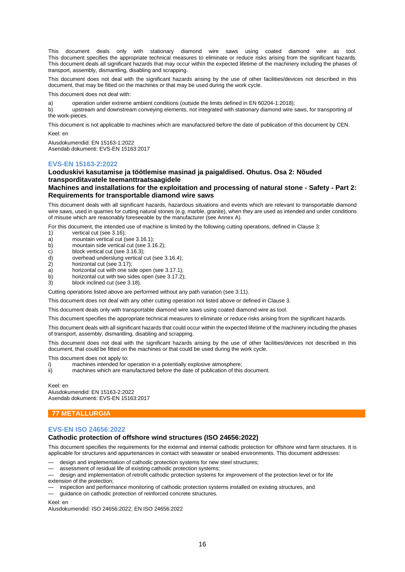This document deals only with stationary diamond wire saws using coated diamond wire as tool. This document specifies the appropriate technical measures to eliminate or reduce risks arising from the significant hazards. This document deals all significant hazards that may occur within the expected lifetime of the machinery including the phases of transport, assembly, dismantling, disabling and scrapping.

This document does not deal with the significant hazards arising by the use of other facilities/devices not described in this document, that may be fitted on the machines or that may be used during the work cycle.

This document does not deal with:

a) operation under extreme ambient conditions (outside the limits defined in EN 60204-1:2018);

b) upstream and downstream conveying elements, not integrated with stationary diamond wire saws, for transporting of the work-pieces.

This document is not applicable to machines which are manufactured before the date of publication of this document by CEN. Keel: en

Alusdokumendid: EN 15163-1:2022

Asendab dokumenti: EVS-EN 15163:2017

## **EVS-EN 15163-2:2022**

## **Looduskivi kasutamise ja töötlemise masinad ja paigaldised. Ohutus. Osa 2: Nõuded transporditavatele teemanttraatsaagidele**

**Machines and installations for the exploitation and processing of natural stone - Safety - Part 2: Requirements for transportable diamond wire saws**

This document deals with all significant hazards, hazardous situations and events which are relevant to transportable diamond wire saws, used in quarries for cutting natural stones (e.g. marble, granite), when they are used as intended and under conditions of misuse which are reasonably foreseeable by the manufacturer (see Annex A).

For this document, the intended use of machine is limited by the following cutting operations, defined in Clause 3:

- 1) vertical cut (see 3.16);
- a) mountain vertical cut (see 3.16.1);
- b) mountain side vertical cut (see 3.16.2);
- c) block vertical cut (see 3.16.3);<br>d) overhead underslung vertical
- d) overhead underslung vertical cut (see 3.16.4);
- horizontal cut (see 3.17);
- a) horizontal cut with one side open (see 3.17.1);
- b) horizontal cut with two sides open (see 3.17.2);
- 3) block inclined cut (see 3.18).

Cutting operations listed above are performed without any path variation (see 3.11).

This document does not deal with any other cutting operation not listed above or defined in Clause 3.

This document deals only with transportable diamond wire saws using coated diamond wire as tool.

This document specifies the appropriate technical measures to eliminate or reduce risks arising from the significant hazards.

This document deals with all significant hazards that could occur within the expected lifetime of the machinery including the phases of transport, assembly, dismantling, disabling and scrapping.

This document does not deal with the significant hazards arising by the use of other facilities/devices not described in this document, that could be fitted on the machines or that could be used during the work cycle.

This document does not apply to:

- i) machines intended for operation in a potentially explosive atmosphere;<br>ii) machines which are manufactured before the date of publication of this
- machines which are manufactured before the date of publication of this document.

Keel: en Alusdokumendid: EN 15163-2:2022

Asendab dokumenti: EVS-EN 15163:2017

## **77 METALLURGIA**

## **EVS-EN ISO 24656:2022**

## **Cathodic protection of offshore wind structures (ISO 24656:2022)**

This document specifies the requirements for the external and internal cathodic protection for offshore wind farm structures. It is applicable for structures and appurtenances in contact with seawater or seabed environments. This document addresses:

design and implementation of cathodic protection systems for new steel structures;

assessment of residual life of existing cathodic protection systems;

— design and implementation of retrofit cathodic protection systems for improvement of the protection level or for life extension of the protection;

- inspection and performance monitoring of cathodic protection systems installed on existing structures, and
- guidance on cathodic protection of reinforced concrete structures.

Keel: en

Alusdokumendid: ISO 24656:2022; EN ISO 24656:2022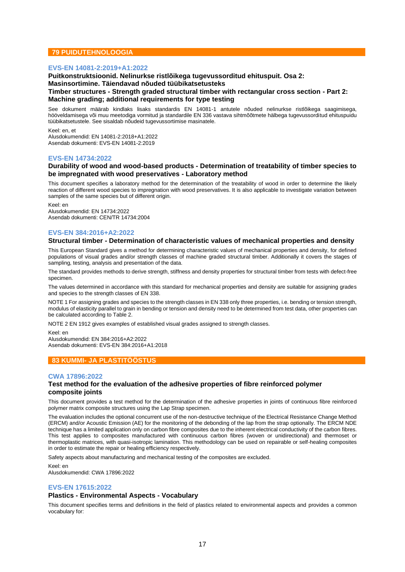## **79 PUIDUTEHNOLOOGIA**

## **EVS-EN 14081-2:2019+A1:2022**

**Puitkonstruktsioonid. Nelinurkse ristlõikega tugevussorditud ehituspuit. Osa 2: Masinsortimine. Täiendavad nõuded tüübikatsetusteks Timber structures - Strength graded structural timber with rectangular cross section - Part 2: Machine grading; additional requirements for type testing**

See dokument määrab kindlaks lisaks standardis EN 14081-1 antutele nõuded nelinurkse ristlõikega saagimisega, hööveldamisega või muu meetodiga vormitud ja standardile EN 336 vastava sihtmõõtmete hälbega tugevussorditud ehituspuidu tüübikatsetustele. See sisaldab nõudeid tugevussortimise masinatele.

Keel: en, et Alusdokumendid: EN 14081-2:2018+A1:2022 Asendab dokumenti: EVS-EN 14081-2:2019

#### **EVS-EN 14734:2022**

## **Durability of wood and wood-based products - Determination of treatability of timber species to be impregnated with wood preservatives - Laboratory method**

This document specifies a laboratory method for the determination of the treatability of wood in order to determine the likely reaction of different wood species to impregnation with wood preservatives. It is also applicable to investigate variation between samples of the same species but of different origin.

Keel: en Alusdokumendid: EN 14734:2022 Asendab dokumenti: CEN/TR 14734:2004

## **EVS-EN 384:2016+A2:2022**

#### **Structural timber - Determination of characteristic values of mechanical properties and density**

This European Standard gives a method for determining characteristic values of mechanical properties and density, for defined populations of visual grades and/or strength classes of machine graded structural timber. Additionally it covers the stages of sampling, testing, analysis and presentation of the data.

The standard provides methods to derive strength, stiffness and density properties for structural timber from tests with defect-free specimen.

The values determined in accordance with this standard for mechanical properties and density are suitable for assigning grades and species to the strength classes of EN 338.

NOTE 1 For assigning grades and species to the strength classes in EN 338 only three properties, i.e. bending or tension strength, modulus of elasticity parallel to grain in bending or tension and density need to be determined from test data, other properties can be calculated according to Table 2.

NOTE 2 EN 1912 gives examples of established visual grades assigned to strength classes.

Keel: en

Alusdokumendid: EN 384:2016+A2:2022 Asendab dokumenti: EVS-EN 384:2016+A1:2018

## **83 KUMMI- JA PLASTITÖÖSTUS**

#### **CWA 17896:2022**

## **Test method for the evaluation of the adhesive properties of fibre reinforced polymer composite joints**

This document provides a test method for the determination of the adhesive properties in joints of continuous fibre reinforced polymer matrix composite structures using the Lap Strap specimen.

The evaluation includes the optional concurrent use of the non-destructive technique of the Electrical Resistance Change Method (ERCM) and/or Acoustic Emission (AE) for the monitoring of the debonding of the lap from the strap optionally. The ERCM NDE technique has a limited application only on carbon fibre composites due to the inherent electrical conductivity of the carbon fibres. This test applies to composites manufactured with continuous carbon fibres (woven or unidirectional) and thermoset or thermoplastic matrices, with quasi-isotropic lamination. This methodology can be used on repairable or self-healing composites in order to estimate the repair or healing efficiency respectively.

Safety aspects about manufacturing and mechanical testing of the composites are excluded.

Keel: en Alusdokumendid: CWA 17896:2022

## **EVS-EN 17615:2022**

## **Plastics - Environmental Aspects - Vocabulary**

This document specifies terms and definitions in the field of plastics related to environmental aspects and provides a common vocabulary for: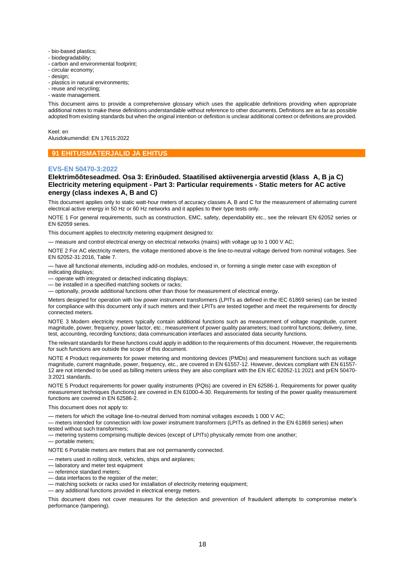- bio-based plastics;
- biodegradability;
- carbon and environmental footprint;
- circular economy;
- design;
- plastics in natural environments;
- reuse and recycling;
- waste management.

This document aims to provide a comprehensive glossary which uses the applicable definitions providing when appropriate additional notes to make these definitions understandable without reference to other documents. Definitions are as far as possible adopted from existing standards but when the original intention or definition is unclear additional context or definitions are provided.

Keel: en

Alusdokumendid: EN 17615:2022

#### **91 EHITUSMATERJALID JA EHITUS**

#### **EVS-EN 50470-3:2022**

## **Elektrimõõteseadmed. Osa 3: Erinõuded. Staatilised aktiivenergia arvestid (klass A, B ja C) Electricity metering equipment - Part 3: Particular requirements - Static meters for AC active energy (class indexes A, B and C)**

This document applies only to static watt-hour meters of accuracy classes A, B and C for the measurement of alternating current electrical active energy in 50 Hz or 60 Hz networks and it applies to their type tests only.

NOTE 1 For general requirements, such as construction, EMC, safety, dependability etc., see the relevant EN 62052 series or EN 62059 series.

This document applies to electricity metering equipment designed to:

— measure and control electrical energy on electrical networks (mains) with voltage up to 1 000 V AC;

NOTE 2 For AC electricity meters, the voltage mentioned above is the line-to-neutral voltage derived from nominal voltages. See EN 62052-31:2016, Table 7.

— have all functional elements, including add-on modules, enclosed in, or forming a single meter case with exception of indicating displays;

- operate with integrated or detached indicating displays;
- be installed in a specified matching sockets or racks;
- optionally, provide additional functions other than those for measurement of electrical energy.

Meters designed for operation with low power instrument transformers (LPITs as defined in the IEC 61869 series) can be tested for compliance with this document only if such meters and their LPITs are tested together and meet the requirements for directly connected meters.

NOTE 3 Modern electricity meters typically contain additional functions such as measurement of voltage magnitude, current magnitude, power, frequency, power factor, etc.; measurement of power quality parameters; load control functions; delivery, time, test, accounting, recording functions; data communication interfaces and associated data security functions.

The relevant standards for these functions could apply in addition to the requirements of this document. However, the requirements for such functions are outside the scope of this document.

NOTE 4 Product requirements for power metering and monitoring devices (PMDs) and measurement functions such as voltage magnitude, current magnitude, power, frequency, etc., are covered in EN 61557-12. However, devices compliant with EN 61557- 12 are not intended to be used as billing meters unless they are also compliant with the EN IEC 62052-11:2021 and prEN 50470- 3:2021 standards.

NOTE 5 Product requirements for power quality instruments (PQIs) are covered in EN 62586-1. Requirements for power quality measurement techniques (functions) are covered in EN 61000-4-30. Requirements for testing of the power quality measurement functions are covered in EN 62586-2.

This document does not apply to:

— meters for which the voltage line-to-neutral derived from nominal voltages exceeds 1 000 V AC;

— meters intended for connection with low power instrument transformers (LPITs as defined in the EN 61869 series) when tested without such transformers;

— metering systems comprising multiple devices (except of LPITs) physically remote from one another;

— portable meters;

NOTE 6 Portable meters are meters that are not permanently connected.

— meters used in rolling stock, vehicles, ships and airplanes;

- laboratory and meter test equipment
- reference standard meters;
- data interfaces to the register of the meter;

— matching sockets or racks used for installation of electricity metering equipment;

— any additional functions provided in electrical energy meters.

This document does not cover measures for the detection and prevention of fraudulent attempts to compromise meter's performance (tampering).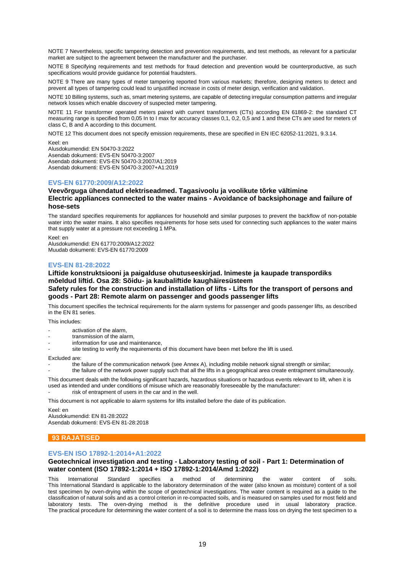NOTE 7 Nevertheless, specific tampering detection and prevention requirements, and test methods, as relevant for a particular market are subject to the agreement between the manufacturer and the purchaser.

NOTE 8 Specifying requirements and test methods for fraud detection and prevention would be counterproductive, as such specifications would provide quidance for potential fraudsters.

NOTE 9 There are many types of meter tampering reported from various markets; therefore, designing meters to detect and prevent all types of tampering could lead to unjustified increase in costs of meter design, verification and validation.

NOTE 10 Billing systems, such as, smart metering systems, are capable of detecting irregular consumption patterns and irregular network losses which enable discovery of suspected meter tampering.

NOTE 11 For transformer operated meters paired with current transformers (CTs) according EN 61869-2: the standard CT measuring range is specified from 0,05 In to I max for accuracy classes 0,1, 0,2, 0,5 and 1 and these CTs are used for meters of class C, B and A according to this document.

NOTE 12 This document does not specify emission requirements, these are specified in EN IEC 62052-11:2021, 9.3.14.

Keel: en

Alusdokumendid: EN 50470-3:2022 Asendab dokumenti: EVS-EN 50470-3:2007 Asendab dokumenti: EVS-EN 50470-3:2007/A1:2019 Asendab dokumenti: EVS-EN 50470-3:2007+A1:2019

## **EVS-EN 61770:2009/A12:2022**

## **Veevõrguga ühendatud elektriseadmed. Tagasivoolu ja voolikute tõrke vältimine Electric appliances connected to the water mains - Avoidance of backsiphonage and failure of hose-sets**

The standard specifies requirements for appliances for household and similar purposes to prevent the backflow of non-potable water into the water mains. It also specifies requirements for hose sets used for connecting such appliances to the water mains that supply water at a pressure not exceeding 1 MPa.

Keel: en Alusdokumendid: EN 61770:2009/A12:2022 Muudab dokumenti: EVS-EN 61770:2009

## **EVS-EN 81-28:2022**

## **Liftide konstruktsiooni ja paigalduse ohutuseeskirjad. Inimeste ja kaupade transpordiks mõeldud liftid. Osa 28: Sõidu- ja kaubaliftide kaughäiresüsteem Safety rules for the construction and installation of lifts - Lifts for the transport of persons and goods - Part 28: Remote alarm on passenger and goods passenger lifts**

This document specifies the technical requirements for the alarm systems for passenger and goods passenger lifts, as described in the EN 81 series.

This includes:

- activation of the alarm.
- transmission of the alarm.
- information for use and maintenance,
- site testing to verify the requirements of this document have been met before the lift is used.

#### Excluded are:

the failure of the communication network (see Annex A), including mobile network signal strength or similar;

- the failure of the network power supply such that all the lifts in a geographical area create entrapment simultaneously.

This document deals with the following significant hazards, hazardous situations or hazardous events relevant to lift, when it is used as intended and under conditions of misuse which are reasonably foreseeable by the manufacturer: risk of entrapment of users in the car and in the well.

This document is not applicable to alarm systems for lifts installed before the date of its publication.

Keel: en Alusdokumendid: EN 81-28:2022 Asendab dokumenti: EVS-EN 81-28:2018

## **93 RAJATISED**

#### **EVS-EN ISO 17892-1:2014+A1:2022**

## **Geotechnical investigation and testing - Laboratory testing of soil - Part 1: Determination of water content (ISO 17892-1:2014 + ISO 17892-1:2014/Amd 1:2022)**

This International Standard specifies a method of determining the water content of soils. This International Standard is applicable to the laboratory determination of the water (also known as moisture) content of a soil test specimen by oven-drying within the scope of geotechnical investigations. The water content is required as a guide to the classification of natural soils and as a control criterion in re-compacted soils, and is measured on samples used for most field and laboratory tests. The oven-drying method is the definitive procedure used in usual laboratory practice. The practical procedure for determining the water content of a soil is to determine the mass loss on drying the test specimen to a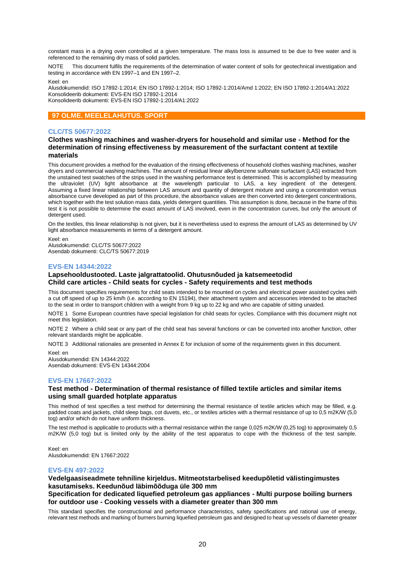constant mass in a drying oven controlled at a given temperature. The mass loss is assumed to be due to free water and is referenced to the remaining dry mass of solid particles.

NOTE This document fulfils the requirements of the determination of water content of soils for geotechnical investigation and testing in accordance with EN 1997–1 and EN 1997–2.

Keel: en

Alusdokumendid: ISO 17892-1:2014; EN ISO 17892-1:2014; ISO 17892-1:2014/Amd 1:2022; EN ISO 17892-1:2014/A1:2022 Konsolideerib dokumenti: EVS-EN ISO 17892-1:2014 Konsolideerib dokumenti: EVS-EN ISO 17892-1:2014/A1:2022

## **97 OLME. MEELELAHUTUS. SPORT**

## **CLC/TS 50677:2022**

## **Clothes washing machines and washer-dryers for household and similar use - Method for the determination of rinsing effectiveness by measurement of the surfactant content at textile materials**

This document provides a method for the evaluation of the rinsing effectiveness of household clothes washing machines, washer dryers and commercial washing machines. The amount of residual linear alkylbenzene sulfonate surfactant (LAS) extracted from the unstained test swatches of the strips used in the washing performance test is determined. This is accomplished by measuring the ultraviolet (UV) light absorbance at the wavelength particular to LAS, a key ingredient of the detergent. Assuming a fixed linear relationship between LAS amount and quantity of detergent mixture and using a concentration versus absorbance curve developed as part of this procedure, the absorbance values are then converted into detergent concentrations, which together with the test solution mass data, yields detergent quantities. This assumption is done, because in the frame of this test it is not possible to determine the exact amount of LAS involved, even in the concentration curves, but only the amount of detergent used.

On the textiles, this linear relationship is not given, but it is nevertheless used to express the amount of LAS as determined by UV light absorbance measurements in terms of a detergent amount.

Keel: en Alusdokumendid: CLC/TS 50677:2022 Asendab dokumenti: CLC/TS 50677:2019

#### **EVS-EN 14344:2022**

## **Lapsehooldustooted. Laste jalgrattatoolid. Ohutusnõuded ja katsemeetodid Child care articles - Child seats for cycles - Safety requirements and test methods**

This document specifies requirements for child seats intended to be mounted on cycles and electrical power assisted cycles with a cut off speed of up to 25 km/h (i.e. according to EN 15194), their attachment system and accessories intended to be attached to the seat in order to transport children with a weight from 9 kg up to 22 kg and who are capable of sitting unaided.

NOTE 1 Some European countries have special legislation for child seats for cycles. Compliance with this document might not meet this legislation.

NOTE 2 Where a child seat or any part of the child seat has several functions or can be converted into another function, other relevant standards might be applicable.

NOTE 3 Additional rationales are presented in Annex E for inclusion of some of the requirements given in this document.

Keel: en

Alusdokumendid: EN 14344:2022 Asendab dokumenti: EVS-EN 14344:2004

#### **EVS-EN 17667:2022**

## **Test method - Determination of thermal resistance of filled textile articles and similar items using small guarded hotplate apparatus**

This method of test specifies a test method for determining the thermal resistance of textile articles which may be filled, e.g. padded coats and jackets, child sleep bags, cot duvets, etc., or textiles articles with a thermal resistance of up to 0,5 m2K/W (5,0 tog) and/or which do not have uniform thickness.

The test method is applicable to products with a thermal resistance within the range 0,025 m2K/W (0,25 tog) to approximately 0,5 m2K/W (5,0 tog) but is limited only by the ability of the test apparatus to cope with the thickness of the test sample.

Keel: en Alusdokumendid: EN 17667:2022

## **EVS-EN 497:2022**

## **Vedelgaasiseadmete tehniline kirjeldus. Mitmeotstarbelised keedupõletid välistingimustes kasutamiseks. Keedunõud läbimõõduga üle 300 mm**

## **Specification for dedicated liquefied petroleum gas appliances - Multi purpose boiling burners for outdoor use - Cooking vessels with a diameter greater than 300 mm**

This standard specifies the constructional and performance characteristics, safety specifications and rational use of energy, relevant test methods and marking of burners burning liquefied petroleum gas and designed to heat up vessels of diameter greater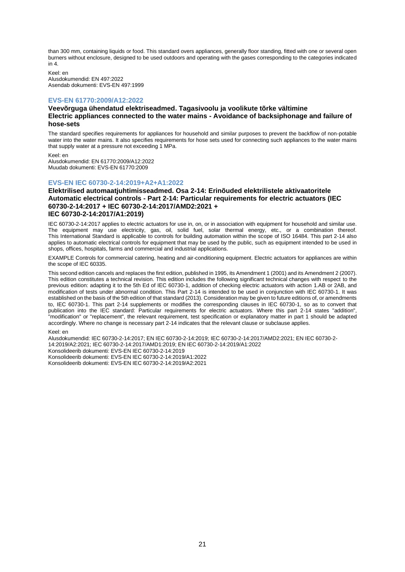than 300 mm, containing liquids or food. This standard overs appliances, generally floor standing, fitted with one or several open burners without enclosure, designed to be used outdoors and operating with the gases corresponding to the categories indicated  $in 4$ 

Keel: en Alusdokumendid: EN 497:2022 Asendab dokumenti: EVS-EN 497:1999

## **EVS-EN 61770:2009/A12:2022**

## **Veevõrguga ühendatud elektriseadmed. Tagasivoolu ja voolikute tõrke vältimine Electric appliances connected to the water mains - Avoidance of backsiphonage and failure of hose-sets**

The standard specifies requirements for appliances for household and similar purposes to prevent the backflow of non-potable water into the water mains. It also specifies requirements for hose sets used for connecting such appliances to the water mains that supply water at a pressure not exceeding 1 MPa.

Keel: en Alusdokumendid: EN 61770:2009/A12:2022 Muudab dokumenti: EVS-EN 61770:2009

#### **EVS-EN IEC 60730-2-14:2019+A2+A1:2022**

## **Elektrilised automaatjuhtimisseadmed. Osa 2-14: Erinõuded elektrilistele aktivaatoritele Automatic electrical controls - Part 2-14: Particular requirements for electric actuators (IEC 60730-2-14:2017 + IEC 60730-2-14:2017/AMD2:2021 + IEC 60730-2-14:2017/A1:2019)**

IEC 60730-2-14:2017 applies to electric actuators for use in, on, or in association with equipment for household and similar use. The equipment may use electricity, gas, oil, solid fuel, solar thermal energy, etc., or a combination thereof. This International Standard is applicable to controls for building automation within the scope of ISO 16484. This part 2-14 also applies to automatic electrical controls for equipment that may be used by the public, such as equipment intended to be used in shops, offices, hospitals, farms and commercial and industrial applications.

EXAMPLE Controls for commercial catering, heating and air-conditioning equipment. Electric actuators for appliances are within the scope of IEC 60335.

This second edition cancels and replaces the first edition, published in 1995, its Amendment 1 (2001) and its Amendment 2 (2007). This edition constitutes a technical revision. This edition includes the following significant technical changes with respect to the previous edition: adapting it to the 5th Ed of IEC 60730-1, addition of checking electric actuators with action 1.AB or 2AB, and modification of tests under abnormal condition. This Part 2-14 is intended to be used in conjunction with IEC 60730-1. It was established on the basis of the 5th edition of that standard (2013). Consideration may be given to future editions of, or amendments to, IEC 60730-1. This part 2-14 supplements or modifies the corresponding clauses in IEC 60730-1, so as to convert that publication into the IEC standard: Particular requirements for electric actuators. Where this part 2-14 states "addition", "modification" or "replacement", the relevant requirement, test specification or explanatory matter in part 1 should be adapted accordingly. Where no change is necessary part 2-14 indicates that the relevant clause or subclause applies.

#### Keel: en

Alusdokumendid: IEC 60730-2-14:2017; EN IEC 60730-2-14:2019; IEC 60730-2-14:2017/AMD2:2021; EN IEC 60730-2- 14:2019/A2:2021; IEC 60730-2-14:2017/AMD1:2019; EN IEC 60730-2-14:2019/A1:2022 Konsolideerib dokumenti: EVS-EN IEC 60730-2-14:2019 Konsolideerib dokumenti: EVS-EN IEC 60730-2-14:2019/A1:2022 Konsolideerib dokumenti: EVS-EN IEC 60730-2-14:2019/A2:2021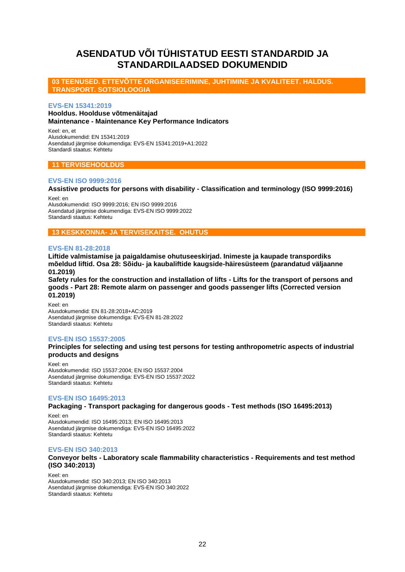# <span id="page-21-0"></span>**ASENDATUD VÕI TÜHISTATUD EESTI STANDARDID JA STANDARDILAADSED DOKUMENDID**

## **03 TEENUSED. ETTEVÕTTE ORGANISEERIMINE, JUHTIMINE JA KVALITEET. HALDUS. TRANSPORT. SOTSIOLOOGIA**

## **EVS-EN 15341:2019**

## **Hooldus. Hoolduse võtmenäitajad Maintenance - Maintenance Key Performance Indicators**

Keel: en, et Alusdokumendid: EN 15341:2019 Asendatud järgmise dokumendiga: EVS-EN 15341:2019+A1:2022 Standardi staatus: Kehtetu

## **11 TERVISEHOOLDUS**

## **EVS-EN ISO 9999:2016**

**Assistive products for persons with disability - Classification and terminology (ISO 9999:2016)**

Keel: en Alusdokumendid: ISO 9999:2016; EN ISO 9999:2016 Asendatud järgmise dokumendiga: EVS-EN ISO 9999:2022 Standardi staatus: Kehtetu

## **13 KESKKONNA- JA TERVISEKAITSE. OHUTUS**

## **EVS-EN 81-28:2018**

**Liftide valmistamise ja paigaldamise ohutuseeskirjad. Inimeste ja kaupade transpordiks mõeldud liftid. Osa 28: Sõidu- ja kaubaliftide kaugside-häiresüsteem (parandatud väljaanne 01.2019)**

**Safety rules for the construction and installation of lifts - Lifts for the transport of persons and goods - Part 28: Remote alarm on passenger and goods passenger lifts (Corrected version 01.2019)**

Keel: en Alusdokumendid: EN 81-28:2018+AC:2019 Asendatud järgmise dokumendiga: EVS-EN 81-28:2022 Standardi staatus: Kehtetu

## **EVS-EN ISO 15537:2005**

**Principles for selecting and using test persons for testing anthropometric aspects of industrial products and designs**

Keel: en Alusdokumendid: ISO 15537:2004; EN ISO 15537:2004 Asendatud järgmise dokumendiga: EVS-EN ISO 15537:2022 Standardi staatus: Kehtetu

#### **EVS-EN ISO 16495:2013**

**Packaging - Transport packaging for dangerous goods - Test methods (ISO 16495:2013)**

Keel: en Alusdokumendid: ISO 16495:2013; EN ISO 16495:2013 Asendatud järgmise dokumendiga: EVS-EN ISO 16495:2022 Standardi staatus: Kehtetu

## **EVS-EN ISO 340:2013**

## **Conveyor belts - Laboratory scale flammability characteristics - Requirements and test method (ISO 340:2013)**

Keel: en Alusdokumendid: ISO 340:2013; EN ISO 340:2013 Asendatud järgmise dokumendiga: EVS-EN ISO 340:2022 Standardi staatus: Kehtetu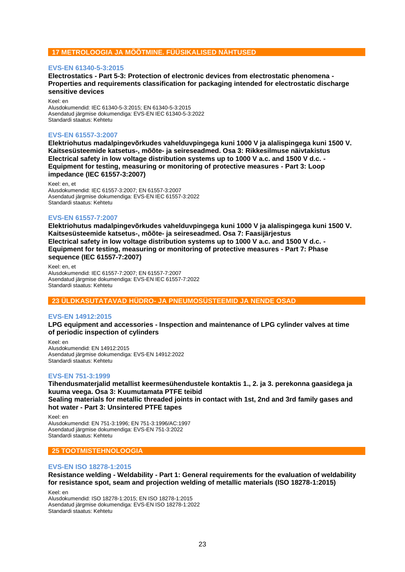## **17 METROLOOGIA JA MÕÕTMINE. FÜÜSIKALISED NÄHTUSED**

## **EVS-EN 61340-5-3:2015**

**Electrostatics - Part 5-3: Protection of electronic devices from electrostatic phenomena - Properties and requirements classification for packaging intended for electrostatic discharge sensitive devices**

Keel: en Alusdokumendid: IEC 61340-5-3:2015; EN 61340-5-3:2015 Asendatud järgmise dokumendiga: EVS-EN IEC 61340-5-3:2022 Standardi staatus: Kehtetu

## **EVS-EN 61557-3:2007**

**Elektriohutus madalpingevõrkudes vahelduvpingega kuni 1000 V ja alalispingega kuni 1500 V. Kaitsesüsteemide katsetus-, mõõte- ja seireseadmed. Osa 3: Rikkesilmuse näivtakistus Electrical safety in low voltage distribution systems up to 1000 V a.c. and 1500 V d.c. - Equipment for testing, measuring or monitoring of protective measures - Part 3: Loop impedance (IEC 61557-3:2007)**

Keel: en, et Alusdokumendid: IEC 61557-3:2007; EN 61557-3:2007 Asendatud järgmise dokumendiga: EVS-EN IEC 61557-3:2022 Standardi staatus: Kehtetu

## **EVS-EN 61557-7:2007**

**Elektriohutus madalpingevõrkudes vahelduvpingega kuni 1000 V ja alalispingega kuni 1500 V. Kaitsesüsteemide katsetus-, mõõte- ja seireseadmed. Osa 7: Faasijärjestus Electrical safety in low voltage distribution systems up to 1000 V a.c. and 1500 V d.c. - Equipment for testing, measuring or monitoring of protective measures - Part 7: Phase sequence (IEC 61557-7:2007)**

Keel: en, et Alusdokumendid: IEC 61557-7:2007; EN 61557-7:2007 Asendatud järgmise dokumendiga: EVS-EN IEC 61557-7:2022 Standardi staatus: Kehtetu

## **23 ÜLDKASUTATAVAD HÜDRO- JA PNEUMOSÜSTEEMID JA NENDE OSAD**

## **EVS-EN 14912:2015**

**LPG equipment and accessories - Inspection and maintenance of LPG cylinder valves at time of periodic inspection of cylinders**

Keel: en Alusdokumendid: EN 14912:2015 Asendatud järgmise dokumendiga: EVS-EN 14912:2022 Standardi staatus: Kehtetu

## **EVS-EN 751-3:1999**

**Tihendusmaterjalid metallist keermesühendustele kontaktis 1., 2. ja 3. perekonna gaasidega ja kuuma veega. Osa 3: Kuumutamata PTFE teibid Sealing materials for metallic threaded joints in contact with 1st, 2nd and 3rd family gases and hot water - Part 3: Unsintered PTFE tapes**

Keel: en Alusdokumendid: EN 751-3:1996; EN 751-3:1996/AC:1997 Asendatud järgmise dokumendiga: EVS-EN 751-3:2022 Standardi staatus: Kehtetu

## **25 TOOTMISTEHNOLOOGIA**

## **EVS-EN ISO 18278-1:2015**

**Resistance welding - Weldability - Part 1: General requirements for the evaluation of weldability for resistance spot, seam and projection welding of metallic materials (ISO 18278-1:2015)**

Keel: en

Alusdokumendid: ISO 18278-1:2015; EN ISO 18278-1:2015 Asendatud järgmise dokumendiga: EVS-EN ISO 18278-1:2022 Standardi staatus: Kehtetu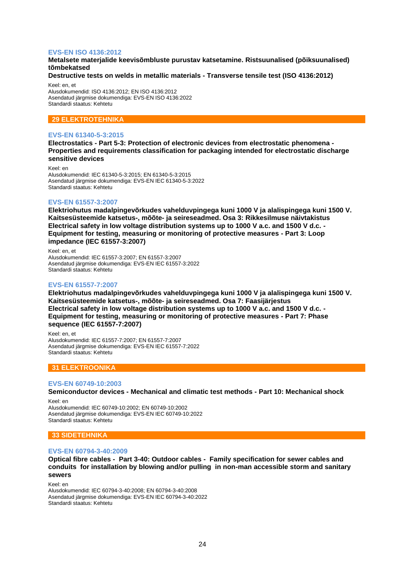## **EVS-EN ISO 4136:2012**

## **Metalsete materjalide keevisõmbluste purustav katsetamine. Ristsuunalised (põiksuunalised) tõmbekatsed**

## **Destructive tests on welds in metallic materials - Transverse tensile test (ISO 4136:2012)**

Keel: en, et Alusdokumendid: ISO 4136:2012; EN ISO 4136:2012 Asendatud järgmise dokumendiga: EVS-EN ISO 4136:2022 Standardi staatus: Kehtetu

## **29 ELEKTROTEHNIKA**

## **EVS-EN 61340-5-3:2015**

**Electrostatics - Part 5-3: Protection of electronic devices from electrostatic phenomena - Properties and requirements classification for packaging intended for electrostatic discharge sensitive devices**

Keel: en Alusdokumendid: IEC 61340-5-3:2015; EN 61340-5-3:2015 Asendatud järgmise dokumendiga: EVS-EN IEC 61340-5-3:2022 Standardi staatus: Kehtetu

## **EVS-EN 61557-3:2007**

**Elektriohutus madalpingevõrkudes vahelduvpingega kuni 1000 V ja alalispingega kuni 1500 V. Kaitsesüsteemide katsetus-, mõõte- ja seireseadmed. Osa 3: Rikkesilmuse näivtakistus Electrical safety in low voltage distribution systems up to 1000 V a.c. and 1500 V d.c. - Equipment for testing, measuring or monitoring of protective measures - Part 3: Loop impedance (IEC 61557-3:2007)**

Keel: en, et Alusdokumendid: IEC 61557-3:2007; EN 61557-3:2007 Asendatud järgmise dokumendiga: EVS-EN IEC 61557-3:2022 Standardi staatus: Kehtetu

## **EVS-EN 61557-7:2007**

**Elektriohutus madalpingevõrkudes vahelduvpingega kuni 1000 V ja alalispingega kuni 1500 V. Kaitsesüsteemide katsetus-, mõõte- ja seireseadmed. Osa 7: Faasijärjestus Electrical safety in low voltage distribution systems up to 1000 V a.c. and 1500 V d.c. - Equipment for testing, measuring or monitoring of protective measures - Part 7: Phase sequence (IEC 61557-7:2007)**

Keel: en, et Alusdokumendid: IEC 61557-7:2007; EN 61557-7:2007 Asendatud järgmise dokumendiga: EVS-EN IEC 61557-7:2022 Standardi staatus: Kehtetu

## **31 ELEKTROONIKA**

#### **EVS-EN 60749-10:2003**

**Semiconductor devices - Mechanical and climatic test methods - Part 10: Mechanical shock**

Keel: en Alusdokumendid: IEC 60749-10:2002; EN 60749-10:2002 Asendatud järgmise dokumendiga: EVS-EN IEC 60749-10:2022 Standardi staatus: Kehtetu

## **33 SIDETEHNIKA**

#### **EVS-EN 60794-3-40:2009**

**Optical fibre cables - Part 3-40: Outdoor cables - Family specification for sewer cables and conduits for installation by blowing and/or pulling in non-man accessible storm and sanitary sewers**

Keel: en

Alusdokumendid: IEC 60794-3-40:2008; EN 60794-3-40:2008 Asendatud järgmise dokumendiga: EVS-EN IEC 60794-3-40:2022 Standardi staatus: Kehtetu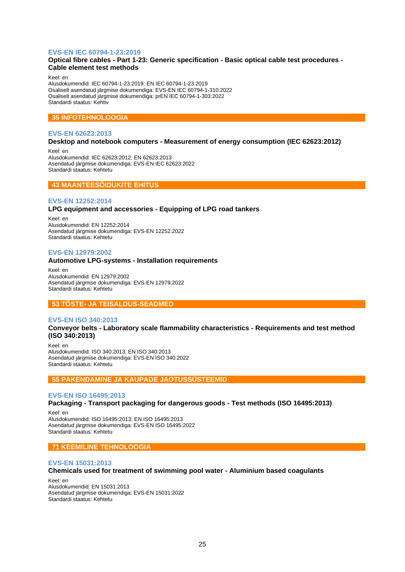## **EVS-EN IEC 60794-1-23:2019**

## **Optical fibre cables - Part 1-23: Generic specification - Basic optical cable test procedures - Cable element test methods**

Keel: en

Alusdokumendid: IEC 60794-1-23:2019; EN IEC 60794-1-23:2019 Osaliselt asendatud järgmise dokumendiga: EVS-EN IEC 60794-1-310:2022 Osaliselt asendatud järgmise dokumendiga: prEN IEC 60794-1-303:2022 Standardi staatus: Kehtiv

## **35 INFOTEHNOLOOGIA**

## **EVS-EN 62623:2013**

## **Desktop and notebook computers - Measurement of energy consumption (IEC 62623:2012)**

Keel: en Alusdokumendid: IEC 62623:2012; EN 62623:2013 Asendatud järgmise dokumendiga: EVS-EN IEC 62623:2022 Standardi staatus: Kehtetu

## **43 MAANTEESÕIDUKITE EHITUS**

## **EVS-EN 12252:2014**

## **LPG equipment and accessories - Equipping of LPG road tankers**

Keel: en Alusdokumendid: EN 12252:2014 Asendatud järgmise dokumendiga: EVS-EN 12252:2022 Standardi staatus: Kehtetu

## **EVS-EN 12979:2002**

#### **Automotive LPG-systems - Installation requirements**

Keel: en Alusdokumendid: EN 12979:2002 Asendatud järgmise dokumendiga: EVS-EN 12979:2022 Standardi staatus: Kehtetu

## **53 TÕSTE- JA TEISALDUS-SEADMED**

#### **EVS-EN ISO 340:2013**

## **Conveyor belts - Laboratory scale flammability characteristics - Requirements and test method (ISO 340:2013)**

Keel: en Alusdokumendid: ISO 340:2013; EN ISO 340:2013 Asendatud järgmise dokumendiga: EVS-EN ISO 340:2022 Standardi staatus: Kehtetu

#### **55 PAKENDAMINE JA KAUPADE JAOTUSSÜSTEEMID**

#### **EVS-EN ISO 16495:2013**

## **Packaging - Transport packaging for dangerous goods - Test methods (ISO 16495:2013)**

Keel: en Alusdokumendid: ISO 16495:2013; EN ISO 16495:2013 Asendatud järgmise dokumendiga: EVS-EN ISO 16495:2022 Standardi staatus: Kehtetu

## **71 KEEMILINE TEHNOLOOGIA**

#### **EVS-EN 15031:2013**

#### **Chemicals used for treatment of swimming pool water - Aluminium based coagulants**

Keel: en Alusdokumendid: EN 15031:2013 Asendatud järgmise dokumendiga: EVS-EN 15031:2022 Standardi staatus: Kehtetu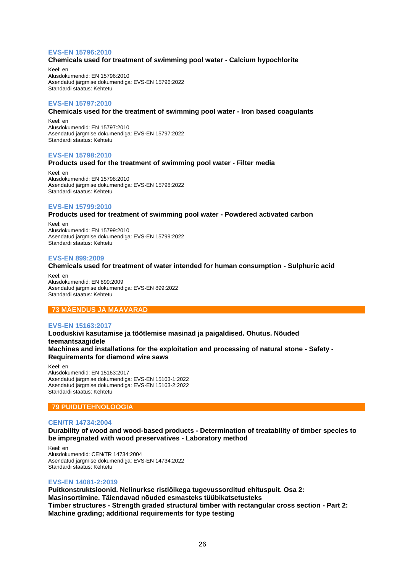## **EVS-EN 15796:2010**

## **Chemicals used for treatment of swimming pool water - Calcium hypochlorite**

Keel: en Alusdokumendid: EN 15796:2010 Asendatud järgmise dokumendiga: EVS-EN 15796:2022 Standardi staatus: Kehtetu

## **EVS-EN 15797:2010**

## **Chemicals used for the treatment of swimming pool water - Iron based coagulants**

Keel: en Alusdokumendid: EN 15797:2010 Asendatud järgmise dokumendiga: EVS-EN 15797:2022 Standardi staatus: Kehtetu

#### **EVS-EN 15798:2010**

#### **Products used for the treatment of swimming pool water - Filter media**

Keel: en Alusdokumendid: EN 15798:2010 Asendatud järgmise dokumendiga: EVS-EN 15798:2022 Standardi staatus: Kehtetu

## **EVS-EN 15799:2010**

**Products used for treatment of swimming pool water - Powdered activated carbon**

Keel: en Alusdokumendid: EN 15799:2010 Asendatud järgmise dokumendiga: EVS-EN 15799:2022 Standardi staatus: Kehtetu

#### **EVS-EN 899:2009**

## **Chemicals used for treatment of water intended for human consumption - Sulphuric acid**

Keel: en Alusdokumendid: EN 899:2009 Asendatud järgmise dokumendiga: EVS-EN 899:2022 Standardi staatus: Kehtetu

## **73 MÄENDUS JA MAAVARAD**

#### **EVS-EN 15163:2017**

**Looduskivi kasutamise ja töötlemise masinad ja paigaldised. Ohutus. Nõuded teemantsaagidele Machines and installations for the exploitation and processing of natural stone - Safety - Requirements for diamond wire saws**

Keel: en Alusdokumendid: EN 15163:2017 Asendatud järgmise dokumendiga: EVS-EN 15163-1:2022 Asendatud järgmise dokumendiga: EVS-EN 15163-2:2022 Standardi staatus: Kehtetu

## **79 PUIDUTEHNOLOOGIA**

#### **CEN/TR 14734:2004**

**Durability of wood and wood-based products - Determination of treatability of timber species to be impregnated with wood preservatives - Laboratory method**

Keel: en Alusdokumendid: CEN/TR 14734:2004 Asendatud järgmise dokumendiga: EVS-EN 14734:2022 Standardi staatus: Kehtetu

#### **EVS-EN 14081-2:2019**

**Puitkonstruktsioonid. Nelinurkse ristlõikega tugevussorditud ehituspuit. Osa 2: Masinsortimine. Täiendavad nõuded esmasteks tüübikatsetusteks Timber structures - Strength graded structural timber with rectangular cross section - Part 2: Machine grading; additional requirements for type testing**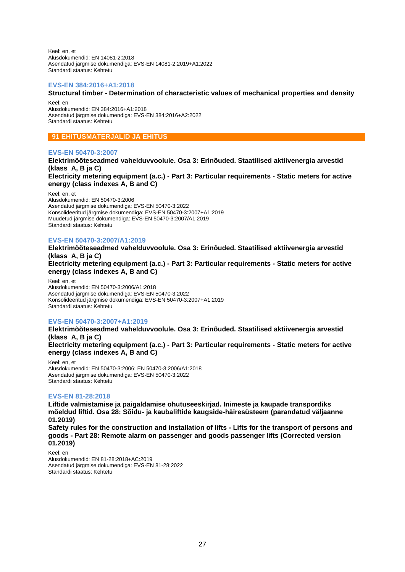Keel: en, et Alusdokumendid: EN 14081-2:2018 Asendatud järgmise dokumendiga: EVS-EN 14081-2:2019+A1:2022 Standardi staatus: Kehtetu

#### **EVS-EN 384:2016+A1:2018**

## **Structural timber - Determination of characteristic values of mechanical properties and density**

Keel: en Alusdokumendid: EN 384:2016+A1:2018 Asendatud järgmise dokumendiga: EVS-EN 384:2016+A2:2022 Standardi staatus: Kehtetu

## **91 EHITUSMATERJALID JA EHITUS**

## **EVS-EN 50470-3:2007**

**Elektrimõõteseadmed vahelduvvoolule. Osa 3: Erinõuded. Staatilised aktiivenergia arvestid (klass A, B ja C) Electricity metering equipment (a.c.) - Part 3: Particular requirements - Static meters for active** 

**energy (class indexes A, B and C)**

Keel: en, et

Alusdokumendid: EN 50470-3:2006 Asendatud järgmise dokumendiga: EVS-EN 50470-3:2022 Konsolideeritud järgmise dokumendiga: EVS-EN 50470-3:2007+A1:2019 Muudetud järgmise dokumendiga: EVS-EN 50470-3:2007/A1:2019 Standardi staatus: Kehtetu

## **EVS-EN 50470-3:2007/A1:2019**

**Elektrimõõteseadmed vahelduvvoolule. Osa 3: Erinõuded. Staatilised aktiivenergia arvestid (klass A, B ja C) Electricity metering equipment (a.c.) - Part 3: Particular requirements - Static meters for active energy (class indexes A, B and C)**

Keel: en, et Alusdokumendid: EN 50470-3:2006/A1:2018 Asendatud järgmise dokumendiga: EVS-EN 50470-3:2022 Konsolideeritud järgmise dokumendiga: EVS-EN 50470-3:2007+A1:2019 Standardi staatus: Kehtetu

## **EVS-EN 50470-3:2007+A1:2019**

**Elektrimõõteseadmed vahelduvvoolule. Osa 3: Erinõuded. Staatilised aktiivenergia arvestid (klass A, B ja C)**

**Electricity metering equipment (a.c.) - Part 3: Particular requirements - Static meters for active energy (class indexes A, B and C)**

Keel: en, et Alusdokumendid: EN 50470-3:2006; EN 50470-3:2006/A1:2018 Asendatud järgmise dokumendiga: EVS-EN 50470-3:2022 Standardi staatus: Kehtetu

## **EVS-EN 81-28:2018**

**Liftide valmistamise ja paigaldamise ohutuseeskirjad. Inimeste ja kaupade transpordiks mõeldud liftid. Osa 28: Sõidu- ja kaubaliftide kaugside-häiresüsteem (parandatud väljaanne 01.2019)**

**Safety rules for the construction and installation of lifts - Lifts for the transport of persons and goods - Part 28: Remote alarm on passenger and goods passenger lifts (Corrected version 01.2019)**

Keel: en Alusdokumendid: EN 81-28:2018+AC:2019 Asendatud järgmise dokumendiga: EVS-EN 81-28:2022 Standardi staatus: Kehtetu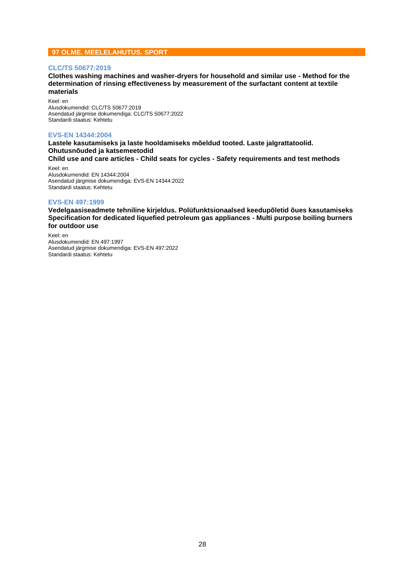## **97 OLME. MEELELAHUTUS. SPORT**

#### **CLC/TS 50677:2019**

**Clothes washing machines and washer-dryers for household and similar use - Method for the determination of rinsing effectiveness by measurement of the surfactant content at textile materials**

Keel: en Alusdokumendid: CLC/TS 50677:2019 Asendatud järgmise dokumendiga: CLC/TS 50677:2022 Standardi staatus: Kehtetu

#### **EVS-EN 14344:2004**

**Lastele kasutamiseks ja laste hooldamiseks mõeldud tooted. Laste jalgrattatoolid. Ohutusnõuded ja katsemeetodid Child use and care articles - Child seats for cycles - Safety requirements and test methods**

Keel: en Alusdokumendid: EN 14344:2004 Asendatud järgmise dokumendiga: EVS-EN 14344:2022 Standardi staatus: Kehtetu

#### **EVS-EN 497:1999**

**Vedelgaasiseadmete tehniline kirjeldus. Polüfunktsionaalsed keedupõletid õues kasutamiseks Specification for dedicated liquefied petroleum gas appliances - Multi purpose boiling burners for outdoor use**

Keel: en Alusdokumendid: EN 497:1997 Asendatud järgmise dokumendiga: EVS-EN 497:2022 Standardi staatus: Kehtetu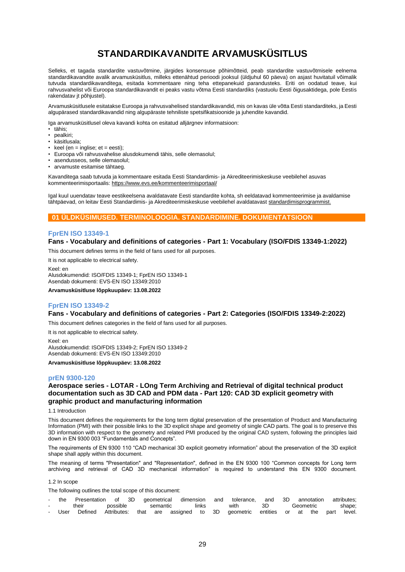# **STANDARDIKAVANDITE ARVAMUSKÜSITLUS**

<span id="page-28-0"></span>Selleks, et tagada standardite vastuvõtmine, järgides konsensuse põhimõtteid, peab standardite vastuvõtmisele eelnema standardikavandite avalik arvamusküsitlus, milleks ettenähtud perioodi jooksul (üldjuhul 60 päeva) on asjast huvitatuil võimalik tutvuda standardikavanditega, esitada kommentaare ning teha ettepanekuid parandusteks. Eriti on oodatud teave, kui rahvusvahelist või Euroopa standardikavandit ei peaks vastu võtma Eesti standardiks (vastuolu Eesti õigusaktidega, pole Eestis rakendatav jt põhjustel).

Arvamusküsitlusele esitatakse Euroopa ja rahvusvahelised standardikavandid, mis on kavas üle võtta Eesti standarditeks, ja Eesti algupärased standardikavandid ning algupäraste tehniliste spetsifikatsioonide ja juhendite kavandid.

Iga arvamusküsitlusel oleva kavandi kohta on esitatud alljärgnev informatsioon:

- tähis;
- pealkiri;
- käsitlusala;
- $keel (en = inglise; et = eesti);$
- Euroopa või rahvusvahelise alusdokumendi tähis, selle olemasolul;
- asendusseos, selle olemasolul;
- arvamuste esitamise tähtaeg.

Kavanditega saab tutvuda ja kommentaare esitada Eesti Standardimis- ja Akrediteerimiskeskuse veebilehel asuvas kommenteerimisportaalis[: https://www.evs.ee/kommenteerimisportaal/](https://www.evs.ee/kommenteerimisportaal/)

Igal kuul uuendatav teave eestikeelsena avaldatavate Eesti standardite kohta, sh eeldatavad kommenteerimise ja avaldamise tähtpäevad, on leitav Eesti Standardimis- ja Akrediteerimiskeskuse veebilehel avaldatavas[t standardimisprogrammist.](https://www.evs.ee/et/standardimisprogramm)

## **01 ÜLDKÜSIMUSED. TERMINOLOOGIA. STANDARDIMINE. DOKUMENTATSIOON**

## **FprEN ISO 13349-1**

## **Fans - Vocabulary and definitions of categories - Part 1: Vocabulary (ISO/FDIS 13349-1:2022)**

This document defines terms in the field of fans used for all purposes.

It is not applicable to electrical safety. Keel: en Alusdokumendid: ISO/FDIS 13349-1; FprEN ISO 13349-1

Asendab dokumenti: EVS-EN ISO 13349:2010

**Arvamusküsitluse lõppkuupäev: 13.08.2022**

## **FprEN ISO 13349-2**

## **Fans - Vocabulary and definitions of categories - Part 2: Categories (ISO/FDIS 13349-2:2022)**

This document defines categories in the field of fans used for all purposes.

It is not applicable to electrical safety. Keel: en Alusdokumendid: ISO/FDIS 13349-2; FprEN ISO 13349-2 Asendab dokumenti: EVS-EN ISO 13349:2010

**Arvamusküsitluse lõppkuupäev: 13.08.2022**

#### **prEN 9300-120**

## **Aerospace series - LOTAR - LOng Term Archiving and Retrieval of digital technical product documentation such as 3D CAD and PDM data - Part 120: CAD 3D explicit geometry with graphic product and manufacturing information**

#### 1.1 Introduction

This document defines the requirements for the long term digital preservation of the presentation of Product and Manufacturing Information (PMI) with their possible links to the 3D explicit shape and geometry of single CAD parts. The goal is to preserve this 3D information with respect to the geometry and related PMI produced by the original CAD system, following the principles laid down in EN 9300 003 "Fundamentals and Concepts".

The requirements of EN 9300 110 "CAD mechanical 3D explicit geometry information" about the preservation of the 3D explicit shape shall apply within this document.

The meaning of terms "Presentation" and "Representation", defined in the EN 9300 100 "Common concepts for Long term archiving and retrieval of CAD 3D mechanical information" is required to understand this EN 9300 document.

#### 1.2 In scope

The following outlines the total scope of this document:

|        | the  |       |          |          |       | Presentation of 3D geometrical dimension and tolerance, and 3D annotation attributes; |     |           |  |        |
|--------|------|-------|----------|----------|-------|---------------------------------------------------------------------------------------|-----|-----------|--|--------|
| $\sim$ |      | their | possible | semantic | links | with                                                                                  | 3D. | Geometric |  | shape; |
|        | User |       |          |          |       | Defined Attributes: that are assigned to 3D geometric entities or at the part level.  |     |           |  |        |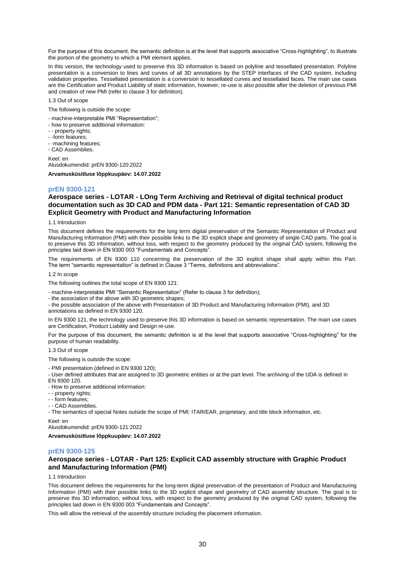For the purpose of this document, the semantic definition is at the level that supports associative "Cross-highlighting", to illustrate the portion of the geometry to which a PMI element applies.

In this version, the technology used to preserve this 3D information is based on polyline and tessellated presentation. Polyline presentation is a conversion to lines and curves of all 3D annotations by the STEP interfaces of the CAD system, including validation properties. Tessellated presentation is a conversion to tessellated curves and tessellated faces. The main use cases are the Certification and Product Liability of static information, however, re-use is also possible after the deletion of previous PMI and creation of new PMI (refer to clause 3 for definition).

1.3 Out of scope

The following is outside the scope:

- machine-interpretable PMI "Representation";
- how to preserve additional information:
- - property rights;
- -form features;
- -machining features;
- CAD Assemblies.

Keel: en Alusdokumendid: prEN 9300-120:2022

**Arvamusküsitluse lõppkuupäev: 14.07.2022**

#### **prEN 9300-121**

## **Aerospace series - LOTAR - LOng Term Archiving and Retrieval of digital technical product documentation such as 3D CAD and PDM data - Part 121: Semantic representation of CAD 3D Explicit Geometry with Product and Manufacturing Information**

#### 1.1 Introduction

This document defines the requirements for the long term digital preservation of the Semantic Representation of Product and Manufacturing Information (PMI) with their possible links to the 3D explicit shape and geometry of single CAD parts. The goal is to preserve this 3D information, without loss, with respect to the geometry produced by the original CAD system, following the principles laid down in EN 9300 003 "Fundamentals and Concepts".

The requirements of EN 9300 110 concerning the preservation of the 3D explicit shape shall apply within this Part. The term "semantic representation" is defined in Clause 3 "Terms, definitions and abbreviations".

1.2 In scope

The following outlines the total scope of EN 9300 121:

- machine-interpretable PMI "Semantic Representation" (Refer to clause 3 for definition);

- the association of the above with 3D geometric shapes;

- the possible association of the above with Presentation of 3D Product and Manufacturing Information (PMI), and 3D annotations as defined in EN 9300 120.

In EN 9300 121, the technology used to preserve this 3D information is based on semantic representation. The main use cases are Certification, Product Liability and Design re-use.

For the purpose of this document, the semantic definition is at the level that supports associative "Cross-highlighting" for the purpose of human readability.

1.3 Out of scope

The following is outside the scope:

- PMI presentation (defined in EN 9300 120);

- User defined attributes that are assigned to 3D geometric entities or at the part level. The archiving of the UDA is defined in EN 9300 120.

- How to preserve additional information:

- - property rights;
- - form features;

- - CAD Assemblies.

- The semantics of special Notes outside the scope of PMI: ITAR/EAR, proprietary, and title block information, etc.

Keel: en

Alusdokumendid: prEN 9300-121:2022

**Arvamusküsitluse lõppkuupäev: 14.07.2022**

#### **prEN 9300-125**

## **Aerospace series - LOTAR - Part 125: Explicit CAD assembly structure with Graphic Product and Manufacturing Information (PMI)**

1.1 Introduction

This document defines the requirements for the long-term digital preservation of the presentation of Product and Manufacturing Information (PMI) with their possible links to the 3D explicit shape and geometry of CAD assembly structure. The goal is to preserve this 3D information, without loss, with respect to the geometry produced by the original CAD system, following the principles laid down in EN 9300 003 "Fundamentals and Concepts".

This will allow the retrieval of the assembly structure including the placement information.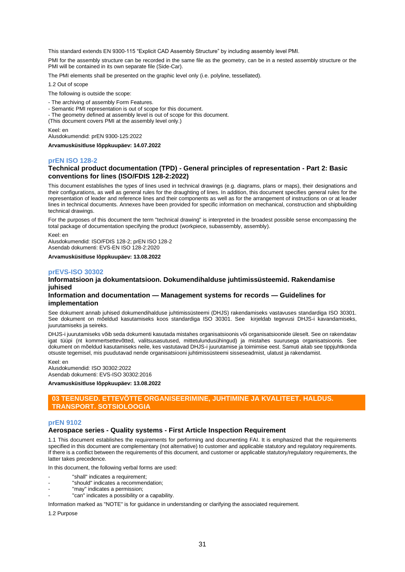This standard extends EN 9300-115 "Explicit CAD Assembly Structure" by including assembly level PMI.

PMI for the assembly structure can be recorded in the same file as the geometry, can be in a nested assembly structure or the PMI will be contained in its own separate file (Side-Car).

The PMI elements shall be presented on the graphic level only (i.e. polyline, tessellated).

1.2 Out of scope

The following is outside the scope:

- The archiving of assembly Form Features.
- Semantic PMI representation is out of scope for this document.
- The geometry defined at assembly level is out of scope for this document.
- (This document covers PMI at the assembly level only.)

Keel: en

Alusdokumendid: prEN 9300-125:2022

**Arvamusküsitluse lõppkuupäev: 14.07.2022**

#### **prEN ISO 128-2**

## **Technical product documentation (TPD) - General principles of representation - Part 2: Basic conventions for lines (ISO/FDIS 128-2:2022)**

This document establishes the types of lines used in technical drawings (e.g. diagrams, plans or maps), their designations and their configurations, as well as general rules for the draughting of lines. In addition, this document specifies general rules for the representation of leader and reference lines and their components as well as for the arrangement of instructions on or at leader lines in technical documents. Annexes have been provided for specific information on mechanical, construction and shipbuilding technical drawings.

For the purposes of this document the term "technical drawing" is interpreted in the broadest possible sense encompassing the total package of documentation specifying the product (workpiece, subassembly, assembly).

Keel: en Alusdokumendid: ISO/FDIS 128-2; prEN ISO 128-2 Asendab dokumenti: EVS-EN ISO 128-2:2020

**Arvamusküsitluse lõppkuupäev: 13.08.2022**

#### **prEVS-ISO 30302**

## **Informatsioon ja dokumentatsioon. Dokumendihalduse juhtimissüsteemid. Rakendamise juhised**

#### **Information and documentation — Management systems for records — Guidelines for implementation**

See dokument annab juhised dokumendihalduse juhtimissüsteemi (DHJS) rakendamiseks vastavuses standardiga ISO 30301. See dokument on mõeldud kasutamiseks koos standardiga ISO 30301. See kirjeldab tegevusi DHJS-i kavandamiseks, juurutamiseks ja seireks.

DHJS-i juurutamiseks võib seda dokumenti kasutada mistahes organisatsioonis või organisatsioonide üleselt. See on rakendatav igat tüüpi (nt kommertsettevõtted, valitsusasutused, mittetulundusühingud) ja mistahes suurusega organisatsioonis. See dokument on mõeldud kasutamiseks neile, kes vastutavad DHJS-i juurutamise ja toimimise eest. Samuti aitab see tippjuhtkonda otsuste tegemisel, mis puudutavad nende organisatsiooni juhtimissüsteemi sisseseadmist, ulatust ja rakendamist.

Keel: en Alusdokumendid: ISO 30302:2022 Asendab dokumenti: EVS-ISO 30302:2016

**Arvamusküsitluse lõppkuupäev: 13.08.2022**

## **03 TEENUSED. ETTEVÕTTE ORGANISEERIMINE, JUHTIMINE JA KVALITEET. HALDUS. TRANSPORT. SOTSIOLOOGIA**

#### **prEN 9102**

#### **Aerospace series - Quality systems - First Article Inspection Requirement**

1.1 This document establishes the requirements for performing and documenting FAI. It is emphasized that the requirements specified in this document are complementary (not alternative) to customer and applicable statutory and regulatory requirements. If there is a conflict between the requirements of this document, and customer or applicable statutory/regulatory requirements, the latter takes precedence.

In this document, the following verbal forms are used:

- "shall" indicates a requirement;
- "should" indicates a recommendation;
- "may" indicates a permission;
- "can" indicates a possibility or a capability.

Information marked as "NOTE" is for guidance in understanding or clarifying the associated requirement.

1.2 Purpose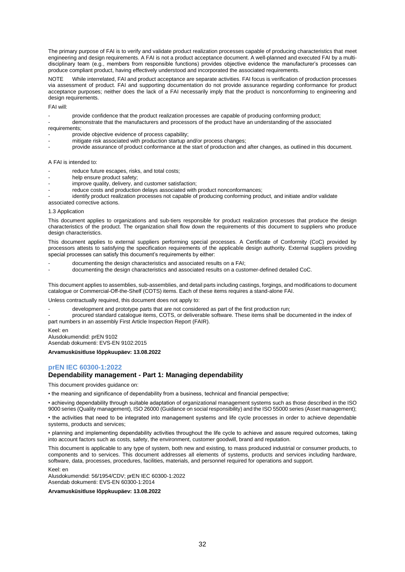The primary purpose of FAI is to verify and validate product realization processes capable of producing characteristics that meet engineering and design requirements. A FAI is not a product acceptance document. A well-planned and executed FAI by a multidisciplinary team (e.g., members from responsible functions) provides objective evidence the manufacturer's processes can produce compliant product, having effectively understood and incorporated the associated requirements.

NOTE While interrelated, FAI and product acceptance are separate activities. FAI focus is verification of production processes via assessment of product. FAI and supporting documentation do not provide assurance regarding conformance for product acceptance purposes; neither does the lack of a FAI necessarily imply that the product is nonconforming to engineering and design requirements.

FAI will:

- provide confidence that the product realization processes are capable of producing conforming product;
- demonstrate that the manufacturers and processors of the product have an understanding of the associated requirements:
- provide objective evidence of process capability;
- mitigate risk associated with production startup and/or process changes;
- provide assurance of product conformance at the start of production and after changes, as outlined in this document.

#### A FAI is intended to:

- reduce future escapes, risks, and total costs;
- help ensure product safety;
- improve quality, delivery, and customer satisfaction;
- reduce costs and production delays associated with product nonconformances;

identify product realization processes not capable of producing conforming product, and initiate and/or validate associated corrective actions.

#### 1.3 Application

This document applies to organizations and sub-tiers responsible for product realization processes that produce the design characteristics of the product. The organization shall flow down the requirements of this document to suppliers who produce design characteristics.

This document applies to external suppliers performing special processes. A Certificate of Conformity (CoC) provided by processors attests to satisfying the specification requirements of the applicable design authority. External suppliers providing special processes can satisfy this document's requirements by either:

- documenting the design characteristics and associated results on a FAI;
- documenting the design characteristics and associated results on a customer-defined detailed CoC.

This document applies to assemblies, sub-assemblies, and detail parts including castings, forgings, and modifications to document catalogue or Commercial-Off-the-Shelf (COTS) items. Each of these items requires a stand-alone FAI.

Unless contractually required, this document does not apply to:

- development and prototype parts that are not considered as part of the first production run;
- procured standard catalogue items, COTS, or deliverable software. These items shall be documented in the index of part numbers in an assembly First Article Inspection Report (FAIR).

Keel: en

Alusdokumendid: prEN 9102 Asendab dokumenti: EVS-EN 9102:2015

**Arvamusküsitluse lõppkuupäev: 13.08.2022**

## **prEN IEC 60300-1:2022**

#### **Dependability management - Part 1: Managing dependability**

This document provides guidance on:

• the meaning and significance of dependability from a business, technical and financial perspective;

• achieving dependability through suitable adaptation of organizational management systems such as those described in the ISO 9000 series (Quality management), ISO 26000 (Guidance on social responsibility) and the ISO 55000 series (Asset management);

• the activities that need to be integrated into management systems and life cycle processes in order to achieve dependable systems, products and services;

• planning and implementing dependability activities throughout the life cycle to achieve and assure required outcomes, taking into account factors such as costs, safety, the environment, customer goodwill, brand and reputation.

This document is applicable to any type of system, both new and existing, to mass produced industrial or consumer products, to components and to services. This document addresses all elements of systems, products and services including hardware, software, data, processes, procedures, facilities, materials, and personnel required for operations and support.

Keel: en

Alusdokumendid: 56/1954/CDV; prEN IEC 60300-1:2022 Asendab dokumenti: EVS-EN 60300-1:2014

**Arvamusküsitluse lõppkuupäev: 13.08.2022**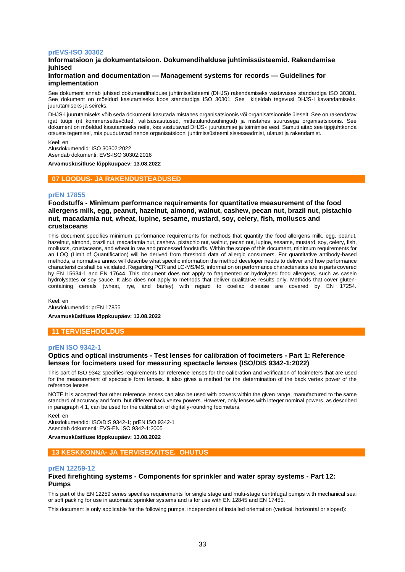#### **prEVS-ISO 30302**

## **Informatsioon ja dokumentatsioon. Dokumendihalduse juhtimissüsteemid. Rakendamise juhised**

## **Information and documentation — Management systems for records — Guidelines for implementation**

See dokument annab juhised dokumendihalduse juhtimissüsteemi (DHJS) rakendamiseks vastavuses standardiga ISO 30301. See dokument on mõeldud kasutamiseks koos standardiga ISO 30301. See kirjeldab tegevusi DHJS-i kavandamiseks, juurutamiseks ja seireks.

DHJS-i juurutamiseks võib seda dokumenti kasutada mistahes organisatsioonis või organisatsioonide üleselt. See on rakendatav igat tüüpi (nt kommertsettevõtted, valitsusasutused, mittetulundusühingud) ja mistahes suurusega organisatsioonis. See dokument on mõeldud kasutamiseks neile, kes vastutavad DHJS-i juurutamise ja toimimise eest. Samuti aitab see tippjuhtkonda otsuste tegemisel, mis puudutavad nende organisatsiooni juhtimissüsteemi sisseseadmist, ulatust ja rakendamist.

Keel: en Alusdokumendid: ISO 30302:2022 Asendab dokumenti: EVS-ISO 30302:2016

**Arvamusküsitluse lõppkuupäev: 13.08.2022**

## **07 LOODUS- JA RAKENDUSTEADUSED**

#### **prEN 17855**

**Foodstuffs - Minimum performance requirements for quantitative measurement of the food allergens milk, egg, peanut, hazelnut, almond, walnut, cashew, pecan nut, brazil nut, pistachio nut, macadamia nut, wheat, lupine, sesame, mustard, soy, celery, fish, molluscs and crustaceans**

This document specifies minimum performance requirements for methods that quantify the food allergens milk, egg, peanut, hazelnut, almond, brazil nut, macadamia nut, cashew, pistachio nut, walnut, pecan nut, lupine, sesame, mustard, soy, celery, fish, molluscs, crustaceans, and wheat in raw and processed foodstuffs. Within the scope of this document, minimum requirements for an LOQ (Limit of Quantification) will be derived from threshold data of allergic consumers. For quantitative antibody-based methods, a normative annex will describe what specific information the method developer needs to deliver and how performance characteristics shall be validated. Regarding PCR and LC-MS/MS, information on performance characteristics are in parts covered by EN 15634-1 and EN 17644. This document does not apply to fragmented or hydrolysed food allergens, such as casein hydrolysates or soy sauce. It also does not apply to methods that deliver qualitative results only. Methods that cover glutencontaining cereals (wheat, rye, and barley) with regard to coeliac disease are covered by EN 17254.

Keel: en Alusdokumendid: prEN 17855 **Arvamusküsitluse lõppkuupäev: 13.08.2022**

## **11 TERVISEHOOLDUS**

## **prEN ISO 9342-1**

## **Optics and optical instruments - Test lenses for calibration of focimeters - Part 1: Reference lenses for focimeters used for measuring spectacle lenses (ISO/DIS 9342-1:2022)**

This part of ISO 9342 specifies requirements for reference lenses for the calibration and verification of focimeters that are used for the measurement of spectacle form lenses. It also gives a method for the determination of the back vertex power of the reference lenses.

NOTE It is accepted that other reference lenses can also be used with powers within the given range, manufactured to the same standard of accuracy and form, but different back vertex powers. However, only lenses with integer nominal powers, as described in paragraph 4.1, can be used for the calibration of digitally-rounding focimeters.

Keel: en

Alusdokumendid: ISO/DIS 9342-1; prEN ISO 9342-1 Asendab dokumenti: EVS-EN ISO 9342-1:2005

**Arvamusküsitluse lõppkuupäev: 13.08.2022**

#### **13 KESKKONNA- JA TERVISEKAITSE. OHUTUS**

#### **prEN 12259-12**

#### **Fixed firefighting systems - Components for sprinkler and water spray systems - Part 12: Pumps**

This part of the EN 12259 series specifies requirements for single stage and multi-stage centrifugal pumps with mechanical seal or soft packing for use in automatic sprinkler systems and is for use with EN 12845 and EN 17451.

This document is only applicable for the following pumps, independent of installed orientation (vertical, horizontal or sloped):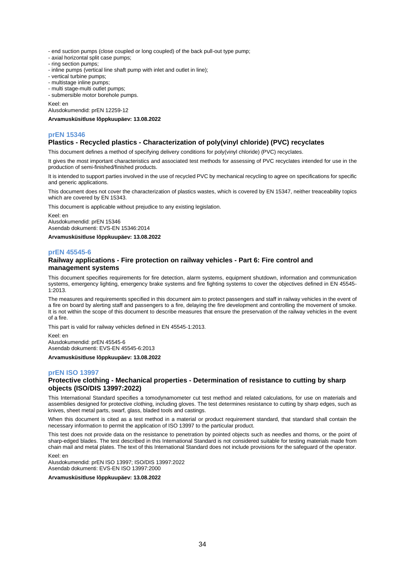- end suction pumps (close coupled or long coupled) of the back pull-out type pump;

- axial horizontal split case pumps;
- ring section pumps;
- inline pumps (vertical line shaft pump with inlet and outlet in line);
- vertical turbine pumps;
- multistage inline pumps;
- multi stage-multi outlet pumps;

- submersible motor borehole pumps.

Keel: en

Alusdokumendid: prEN 12259-12

**Arvamusküsitluse lõppkuupäev: 13.08.2022**

## **prEN 15346**

## **Plastics - Recycled plastics - Characterization of poly(vinyl chloride) (PVC) recyclates**

This document defines a method of specifying delivery conditions for poly(vinyl chloride) (PVC) recyclates.

It gives the most important characteristics and associated test methods for assessing of PVC recyclates intended for use in the production of semi-finished/finished products.

It is intended to support parties involved in the use of recycled PVC by mechanical recycling to agree on specifications for specific and generic applications.

This document does not cover the characterization of plastics wastes, which is covered by EN 15347, neither treaceability topics which are covered by EN 15343.

This document is applicable without prejudice to any existing legislation.

Keel: en Alusdokumendid: prEN 15346 Asendab dokumenti: EVS-EN 15346:2014

**Arvamusküsitluse lõppkuupäev: 13.08.2022**

## **prEN 45545-6**

## **Railway applications - Fire protection on railway vehicles - Part 6: Fire control and management systems**

This document specifies requirements for fire detection, alarm systems, equipment shutdown, information and communication systems, emergency lighting, emergency brake systems and fire fighting systems to cover the objectives defined in EN 45545- 1:2013.

The measures and requirements specified in this document aim to protect passengers and staff in railway vehicles in the event of a fire on board by alerting staff and passengers to a fire, delaying the fire development and controlling the movement of smoke. It is not within the scope of this document to describe measures that ensure the preservation of the railway vehicles in the event of a fire.

This part is valid for railway vehicles defined in EN 45545-1:2013.

Keel: en Alusdokumendid: prEN 45545-6 Asendab dokumenti: EVS-EN 45545-6:2013

**Arvamusküsitluse lõppkuupäev: 13.08.2022**

#### **prEN ISO 13997**

## **Protective clothing - Mechanical properties - Determination of resistance to cutting by sharp objects (ISO/DIS 13997:2022)**

This International Standard specifies a tomodynamometer cut test method and related calculations, for use on materials and assemblies designed for protective clothing, including gloves. The test determines resistance to cutting by sharp edges, such as knives, sheet metal parts, swarf, glass, bladed tools and castings.

When this document is cited as a test method in a material or product requirement standard, that standard shall contain the necessary information to permit the application of ISO 13997 to the particular product.

This test does not provide data on the resistance to penetration by pointed objects such as needles and thorns, or the point of sharp-edged blades. The test described in this International Standard is not considered suitable for testing materials made from chain mail and metal plates. The text of this International Standard does not include provisions for the safeguard of the operator. Keel: en

Alusdokumendid: prEN ISO 13997; ISO/DIS 13997:2022 Asendab dokumenti: EVS-EN ISO 13997:2000

**Arvamusküsitluse lõppkuupäev: 13.08.2022**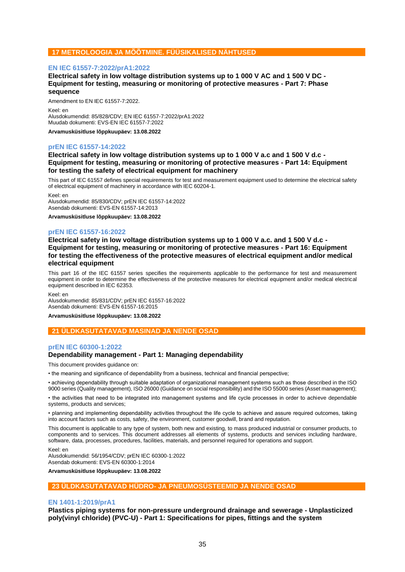## **17 METROLOOGIA JA MÕÕTMINE. FÜÜSIKALISED NÄHTUSED**

## **EN IEC 61557-7:2022/prA1:2022**

**Electrical safety in low voltage distribution systems up to 1 000 V AC and 1 500 V DC - Equipment for testing, measuring or monitoring of protective measures - Part 7: Phase sequence**

Amendment to EN IEC 61557-7:2022. Keel: en Alusdokumendid: 85/828/CDV; EN IEC 61557-7:2022/prA1:2022 Muudab dokumenti: EVS-EN IEC 61557-7:2022

**Arvamusküsitluse lõppkuupäev: 13.08.2022**

#### **prEN IEC 61557-14:2022**

## **Electrical safety in low voltage distribution systems up to 1 000 V a.c and 1 500 V d.c - Equipment for testing, measuring or monitoring of protective measures - Part 14: Equipment for testing the safety of electrical equipment for machinery**

This part of IEC 61557 defines special requirements for test and measurement equipment used to determine the electrical safety of electrical equipment of machinery in accordance with IEC 60204-1.

Keel: en

Alusdokumendid: 85/830/CDV; prEN IEC 61557-14:2022 Asendab dokumenti: EVS-EN 61557-14:2013

**Arvamusküsitluse lõppkuupäev: 13.08.2022**

#### **prEN IEC 61557-16:2022**

**Electrical safety in low voltage distribution systems up to 1 000 V a.c. and 1 500 V d.c - Equipment for testing, measuring or monitoring of protective measures - Part 16: Equipment for testing the effectiveness of the protective measures of electrical equipment and/or medical electrical equipment**

This part 16 of the IEC 61557 series specifies the requirements applicable to the performance for test and measurement equipment in order to determine the effectiveness of the protective measures for electrical equipment and/or medical electrical equipment described in IEC 62353.

Keel: en

Alusdokumendid: 85/831/CDV; prEN IEC 61557-16:2022 Asendab dokumenti: EVS-EN 61557-16:2015

**Arvamusküsitluse lõppkuupäev: 13.08.2022**

## **21 ÜLDKASUTATAVAD MASINAD JA NENDE OSAD**

## **prEN IEC 60300-1:2022**

## **Dependability management - Part 1: Managing dependability**

This document provides guidance on:

• the meaning and significance of dependability from a business, technical and financial perspective;

• achieving dependability through suitable adaptation of organizational management systems such as those described in the ISO 9000 series (Quality management), ISO 26000 (Guidance on social responsibility) and the ISO 55000 series (Asset management);

• the activities that need to be integrated into management systems and life cycle processes in order to achieve dependable systems, products and services;

• planning and implementing dependability activities throughout the life cycle to achieve and assure required outcomes, taking into account factors such as costs, safety, the environment, customer goodwill, brand and reputation.

This document is applicable to any type of system, both new and existing, to mass produced industrial or consumer products, to components and to services. This document addresses all elements of systems, products and services including hardware, software, data, processes, procedures, facilities, materials, and personnel required for operations and support.

Keel: en

Alusdokumendid: 56/1954/CDV; prEN IEC 60300-1:2022 Asendab dokumenti: EVS-EN 60300-1:2014

**Arvamusküsitluse lõppkuupäev: 13.08.2022**

## **23 ÜLDKASUTATAVAD HÜDRO- JA PNEUMOSÜSTEEMID JA NENDE OSAD**

#### **EN 1401-1:2019/prA1**

**Plastics piping systems for non-pressure underground drainage and sewerage - Unplasticized poly(vinyl chloride) (PVC-U) - Part 1: Specifications for pipes, fittings and the system**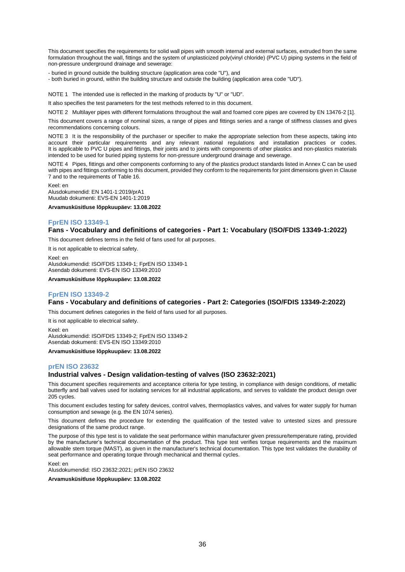This document specifies the requirements for solid wall pipes with smooth internal and external surfaces, extruded from the same formulation throughout the wall, fittings and the system of unplasticized poly(vinyl chloride) (PVC U) piping systems in the field of non-pressure underground drainage and sewerage:

- buried in ground outside the building structure (application area code "U"), and

- both buried in ground, within the building structure and outside the building (application area code "UD").

NOTE 1 The intended use is reflected in the marking of products by "U" or "UD".

It also specifies the test parameters for the test methods referred to in this document.

NOTE 2 Multilayer pipes with different formulations throughout the wall and foamed core pipes are covered by EN 13476-2 [1].

This document covers a range of nominal sizes, a range of pipes and fittings series and a range of stiffness classes and gives recommendations concerning colours.

NOTE 3 It is the responsibility of the purchaser or specifier to make the appropriate selection from these aspects, taking into account their particular requirements and any relevant national regulations and installation practices or codes. It is applicable to PVC U pipes and fittings, their joints and to joints with components of other plastics and non-plastics materials intended to be used for buried piping systems for non-pressure underground drainage and sewerage.

NOTE 4 Pipes, fittings and other components conforming to any of the plastics product standards listed in Annex C can be used with pipes and fittings conforming to this document, provided they conform to the requirements for joint dimensions given in Clause 7 and to the requirements of Table 16.

Keel: en

Alusdokumendid: EN 1401-1:2019/prA1 Muudab dokumenti: EVS-EN 1401-1:2019

**Arvamusküsitluse lõppkuupäev: 13.08.2022**

## **FprEN ISO 13349-1**

## **Fans - Vocabulary and definitions of categories - Part 1: Vocabulary (ISO/FDIS 13349-1:2022)**

This document defines terms in the field of fans used for all purposes.

It is not applicable to electrical safety. Keel: en Alusdokumendid: ISO/FDIS 13349-1; FprEN ISO 13349-1 Asendab dokumenti: EVS-EN ISO 13349:2010

**Arvamusküsitluse lõppkuupäev: 13.08.2022**

## **FprEN ISO 13349-2**

## **Fans - Vocabulary and definitions of categories - Part 2: Categories (ISO/FDIS 13349-2:2022)**

This document defines categories in the field of fans used for all purposes.

It is not applicable to electrical safety.

Keel: en

Alusdokumendid: ISO/FDIS 13349-2; FprEN ISO 13349-2 Asendab dokumenti: EVS-EN ISO 13349:2010

**Arvamusküsitluse lõppkuupäev: 13.08.2022**

#### **prEN ISO 23632**

## **Industrial valves - Design validation-testing of valves (ISO 23632:2021)**

This document specifies requirements and acceptance criteria for type testing, in compliance with design conditions, of metallic butterfly and ball valves used for isolating services for all industrial applications, and serves to validate the product design over 205 cycles.

This document excludes testing for safety devices, control valves, thermoplastics valves, and valves for water supply for human consumption and sewage (e.g. the EN 1074 series).

This document defines the procedure for extending the qualification of the tested valve to untested sizes and pressure designations of the same product range.

The purpose of this type test is to validate the seat performance within manufacturer given pressure/temperature rating, provided by the manufacturer's technical documentation of the product. This type test verifies torque requirements and the maximum allowable stem torque (MAST), as given in the manufacturer's technical documentation. This type test validates the durability of seat performance and operating torque through mechanical and thermal cycles.

Keel: en

Alusdokumendid: ISO 23632:2021; prEN ISO 23632

**Arvamusküsitluse lõppkuupäev: 13.08.2022**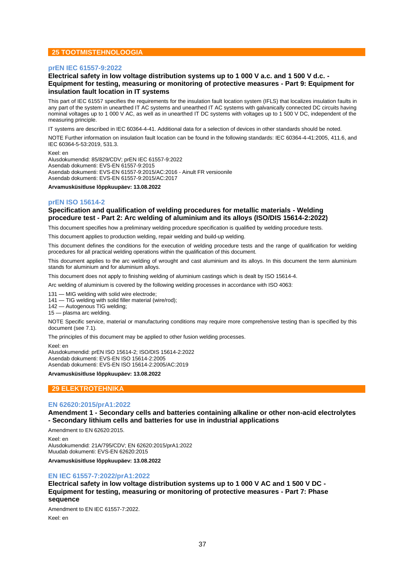## **25 TOOTMISTEHNOLOOGIA**

#### **prEN IEC 61557-9:2022**

## **Electrical safety in low voltage distribution systems up to 1 000 V a.c. and 1 500 V d.c. - Equipment for testing, measuring or monitoring of protective measures - Part 9: Equipment for insulation fault location in IT systems**

This part of IEC 61557 specifies the requirements for the insulation fault location system (IFLS) that localizes insulation faults in any part of the system in unearthed IT AC systems and unearthed IT AC systems with galvanically connected DC circuits having nominal voltages up to 1 000 V AC, as well as in unearthed IT DC systems with voltages up to 1 500 V DC, independent of the measuring principle.

IT systems are described in IEC 60364-4-41. Additional data for a selection of devices in other standards should be noted.

NOTE Further information on insulation fault location can be found in the following standards: IEC 60364-4-41:2005, 411.6, and IEC 60364-5-53:2019, 531.3.

Keel: en Alusdokumendid: 85/829/CDV; prEN IEC 61557-9:2022 Asendab dokumenti: EVS-EN 61557-9:2015 Asendab dokumenti: EVS-EN 61557-9:2015/AC:2016 - Ainult FR versioonile Asendab dokumenti: EVS-EN 61557-9:2015/AC:2017

**Arvamusküsitluse lõppkuupäev: 13.08.2022**

#### **prEN ISO 15614-2**

## **Specification and qualification of welding procedures for metallic materials - Welding procedure test - Part 2: Arc welding of aluminium and its alloys (ISO/DIS 15614-2:2022)**

This document specifies how a preliminary welding procedure specification is qualified by welding procedure tests.

This document applies to production welding, repair welding and build-up welding.

This document defines the conditions for the execution of welding procedure tests and the range of qualification for welding procedures for all practical welding operations within the qualification of this document.

This document applies to the arc welding of wrought and cast aluminium and its alloys. In this document the term aluminium stands for aluminium and for aluminium alloys.

This document does not apply to finishing welding of aluminium castings which is dealt by ISO 15614-4.

Arc welding of aluminium is covered by the following welding processes in accordance with ISO 4063:

131 — MIG welding with solid wire electrode;

141 — TIG welding with solid filler material (wire/rod);

142 — Autogenous TIG welding;

15 — plasma arc welding.

NOTE Specific service, material or manufacturing conditions may require more comprehensive testing than is specified by this document (see 7.1).

The principles of this document may be applied to other fusion welding processes.

Keel: en Alusdokumendid: prEN ISO 15614-2; ISO/DIS 15614-2:2022 Asendab dokumenti: EVS-EN ISO 15614-2:2005 Asendab dokumenti: EVS-EN ISO 15614-2:2005/AC:2019

**Arvamusküsitluse lõppkuupäev: 13.08.2022**

#### **29 ELEKTROTEHNIKA**

#### **EN 62620:2015/prA1:2022**

**Amendment 1 - Secondary cells and batteries containing alkaline or other non-acid electrolytes - Secondary lithium cells and batteries for use in industrial applications**

Amendment to EN 62620:2015.

Keel: en Alusdokumendid: 21A/795/CDV; EN 62620:2015/prA1:2022 Muudab dokumenti: EVS-EN 62620:2015

**Arvamusküsitluse lõppkuupäev: 13.08.2022**

#### **EN IEC 61557-7:2022/prA1:2022**

**Electrical safety in low voltage distribution systems up to 1 000 V AC and 1 500 V DC - Equipment for testing, measuring or monitoring of protective measures - Part 7: Phase sequence**

Amendment to EN IEC 61557-7:2022.

Keel: en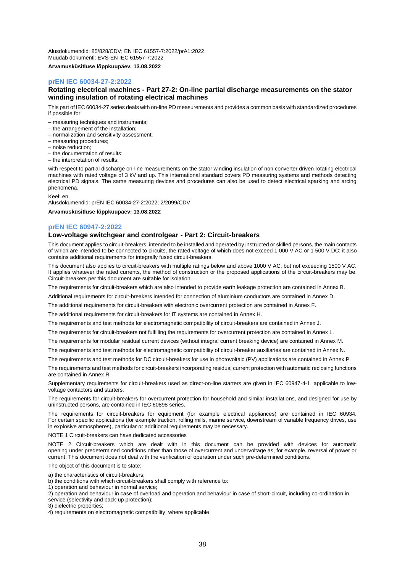Alusdokumendid: 85/828/CDV; EN IEC 61557-7:2022/prA1:2022 Muudab dokumenti: EVS-EN IEC 61557-7:2022

**Arvamusküsitluse lõppkuupäev: 13.08.2022**

## **prEN IEC 60034-27-2:2022**

## **Rotating electrical machines - Part 27-2: On-line partial discharge measurements on the stator winding insulation of rotating electrical machines**

This part of IEC 60034-27 series deals with on-line PD measurements and provides a common basis with standardized procedures if possible for

– measuring techniques and instruments;

- the arrangement of the installation;
- normalization and sensitivity assessment;
- measuring procedures;
- noise reduction;
- the documentation of results;
- the interpretation of results;

with respect to partial discharge on-line measurements on the stator winding insulation of non converter driven rotating electrical machines with rated voltage of 3 kV and up. This international standard covers PD measuring systems and methods detecting electrical PD signals. The same measuring devices and procedures can also be used to detect electrical sparking and arcing phenomena.

Keel: en

Alusdokumendid: prEN IEC 60034-27-2:2022; 2/2099/CDV

**Arvamusküsitluse lõppkuupäev: 13.08.2022**

#### **prEN IEC 60947-2:2022**

#### **Low-voltage switchgear and controlgear - Part 2: Circuit-breakers**

This document applies to circuit-breakers, intended to be installed and operated by instructed or skilled persons, the main contacts of which are intended to be connected to circuits, the rated voltage of which does not exceed 1 000 V AC or 1 500 V DC; it also contains additional requirements for integrally fused circuit-breakers.

This document also applies to circuit-breakers with multiple ratings below and above 1000 V AC, but not exceeding 1500 V AC. It applies whatever the rated currents, the method of construction or the proposed applications of the circuit-breakers may be. Circuit-breakers per this document are suitable for isolation.

The requirements for circuit-breakers which are also intended to provide earth leakage protection are contained in Annex B.

Additional requirements for circuit-breakers intended for connection of aluminium conductors are contained in Annex D.

The additional requirements for circuit-breakers with electronic overcurrent protection are contained in Annex F.

The additional requirements for circuit-breakers for IT systems are contained in Annex H.

The requirements and test methods for electromagnetic compatibility of circuit-breakers are contained in Annex J.

The requirements for circuit-breakers not fulfilling the requirements for overcurrent protection are contained in Annex L.

The requirements for modular residual current devices (without integral current breaking device) are contained in Annex M.

The requirements and test methods for electromagnetic compatibility of circuit-breaker auxiliaries are contained in Annex N.

The requirements and test methods for DC circuit-breakers for use in photovoltaic (PV) applications are contained in Annex P.

The requirements and test methods for circuit-breakers incorporating residual current protection with automatic reclosing functions are contained in Annex R.

Supplementary requirements for circuit-breakers used as direct-on-line starters are given in IEC 60947-4-1, applicable to lowvoltage contactors and starters.

The requirements for circuit-breakers for overcurrent protection for household and similar installations, and designed for use by uninstructed persons, are contained in IEC 60898 series.

The requirements for circuit-breakers for equipment (for example electrical appliances) are contained in IEC 60934. For certain specific applications (for example traction, rolling mills, marine service, downstream of variable frequency drives, use in explosive atmospheres), particular or additional requirements may be necessary.

NOTE 1 Circuit-breakers can have dedicated accessories

NOTE 2 Circuit-breakers which are dealt with in this document can be provided with devices for automatic opening under predetermined conditions other than those of overcurrent and undervoltage as, for example, reversal of power or current. This document does not deal with the verification of operation under such pre-determined conditions.

The object of this document is to state:

- a) the characteristics of circuit-breakers;
- b) the conditions with which circuit-breakers shall comply with reference to:
- 1) operation and behaviour in normal service;

2) operation and behaviour in case of overload and operation and behaviour in case of short-circuit, including co-ordination in service (selectivity and back-up protection);

3) dielectric properties;

4) requirements on electromagnetic compatibility, where applicable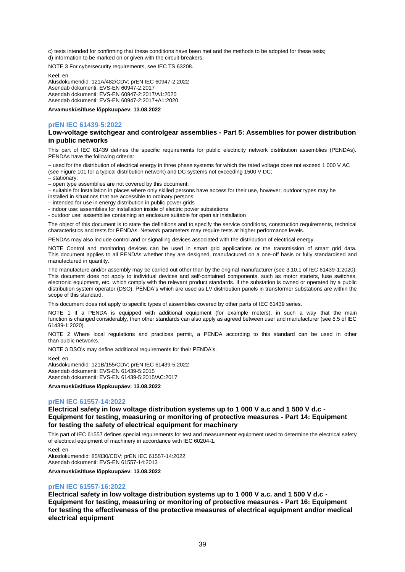c) tests intended for confirming that these conditions have been met and the methods to be adopted for these tests; d) information to be marked on or given with the circuit-breakers.

NOTE 3 For cybersecurity requirements, see IEC TS 63208.

Keel: en

Alusdokumendid: 121A/482/CDV; prEN IEC 60947-2:2022 Asendab dokumenti: EVS-EN 60947-2:2017 Asendab dokumenti: EVS-EN 60947-2:2017/A1:2020 Asendab dokumenti: EVS-EN 60947-2:2017+A1:2020

**Arvamusküsitluse lõppkuupäev: 13.08.2022**

## **prEN IEC 61439-5:2022**

#### **Low-voltage switchgear and controlgear assemblies - Part 5: Assemblies for power distribution in public networks**

This part of IEC 61439 defines the specific requirements for public electricity network distribution assemblies (PENDAs). PENDAs have the following criteria:

– used for the distribution of electrical energy in three phase systems for which the rated voltage does not exceed 1 000 V AC (see Figure 101 for a typical distribution network) and DC systems not exceeding 1500 V DC; – stationary;

– open type assemblies are not covered by this document;

– suitable for installation in places where only skilled persons have access for their use, however, outdoor types may be installed in situations that are accessible to ordinary persons;

– intended for use in energy distribution in public power grids

- indoor use: assemblies for installation inside of electric power substations

- outdoor use: assemblies containing an enclosure suitable for open air installation

The object of this document is to state the definitions and to specify the service conditions, construction requirements, technical characteristics and tests for PENDAs. Network parameters may require tests at higher performance levels.

PENDAs may also include control and or signalling devices associated with the distribution of electrical energy.

NOTE Control and monitoring devices can be used in smart grid applications or the transmission of smart grid data. This document applies to all PENDAs whether they are designed, manufactured on a one-off basis or fully standardised and manufactured in quantity.

The manufacture and/or assembly may be carried out other than by the original manufacturer (see 3.10.1 of IEC 61439-1:2020). This document does not apply to individual devices and self-contained components, such as motor starters, fuse switches, electronic equipment, etc. which comply with the relevant product standards. If the substation is owned or operated by a public distribution system operator (DSO), PENDA's which are used as LV distribution panels in transformer substations are within the scope of this standard,

This document does not apply to specific types of assemblies covered by other parts of IEC 61439 series.

NOTE 1 If a PENDA is equipped with additional equipment (for example meters), in such a way that the main function is changed considerably, then other standards can also apply as agreed between user and manufacturer (see 8.5 of IEC 61439-1:2020).

NOTE 2 Where local regulations and practices permit, a PENDA according to this standard can be used in other than public networks.

NOTE 3 DSO's may define additional requirements for their PENDA's.

Keel: en

Alusdokumendid: 121B/155/CDV; prEN IEC 61439-5:2022 Asendab dokumenti: EVS-EN 61439-5:2015 Asendab dokumenti: EVS-EN 61439-5:2015/AC:2017

**Arvamusküsitluse lõppkuupäev: 13.08.2022**

#### **prEN IEC 61557-14:2022**

**Electrical safety in low voltage distribution systems up to 1 000 V a.c and 1 500 V d.c - Equipment for testing, measuring or monitoring of protective measures - Part 14: Equipment for testing the safety of electrical equipment for machinery**

This part of IEC 61557 defines special requirements for test and measurement equipment used to determine the electrical safety of electrical equipment of machinery in accordance with IEC 60204-1.

Keel: en Alusdokumendid: 85/830/CDV; prEN IEC 61557-14:2022 Asendab dokumenti: EVS-EN 61557-14:2013 **Arvamusküsitluse lõppkuupäev: 13.08.2022**

## **prEN IEC 61557-16:2022**

**Electrical safety in low voltage distribution systems up to 1 000 V a.c. and 1 500 V d.c - Equipment for testing, measuring or monitoring of protective measures - Part 16: Equipment for testing the effectiveness of the protective measures of electrical equipment and/or medical electrical equipment**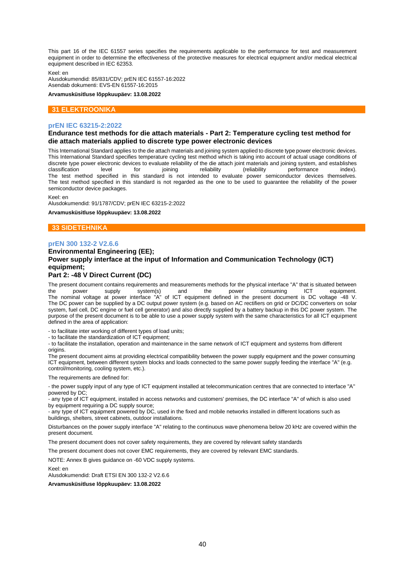This part 16 of the IEC 61557 series specifies the requirements applicable to the performance for test and measurement equipment in order to determine the effectiveness of the protective measures for electrical equipment and/or medical electrical equipment described in IEC 62353.

Keel: en

Alusdokumendid: 85/831/CDV; prEN IEC 61557-16:2022 Asendab dokumenti: EVS-EN 61557-16:2015

**Arvamusküsitluse lõppkuupäev: 13.08.2022**

## **31 ELEKTROONIKA**

#### **prEN IEC 63215-2:2022**

#### **Endurance test methods for die attach materials - Part 2: Temperature cycling test method for die attach materials applied to discrete type power electronic devices**

This International Standard applies to the die attach materials and joining system applied to discrete type power electronic devices. This International Standard specifies temperature cycling test method which is taking into account of actual usage conditions of discrete type power electronic devices to evaluate reliability of the die attach joint materials and joining system, and establishes classification level for poining classification level for proversion index). classification level for joining reliability (reliability performance index). The test method specified in this standard is not intended to evaluate power semiconductor devices themselves. The test method specified in this standard is not regarded as the one to be used to guarantee the reliability of the power semiconductor device packages.

Keel: en

Alusdokumendid: 91/1787/CDV; prEN IEC 63215-2:2022

**Arvamusküsitluse lõppkuupäev: 13.08.2022**

## **33 SIDETEHNIKA**

#### **prEN 300 132-2 V2.6.6**

## **Environmental Engineering (EE); Power supply interface at the input of Information and Communication Technology (ICT) equipment; Part 2: -48 V Direct Current (DC)**

The present document contains requirements and measurements methods for the physical interface "A" that is situated between the power supply system(s) and the power consuming ICT equipment. The nominal voltage at power interface "A" of ICT equipment defined in the present document is DC voltage -48 V. The DC power can be supplied by a DC output power system (e.g. based on AC rectifiers on grid or DC/DC converters on solar system, fuel cell, DC engine or fuel cell generator) and also directly supplied by a battery backup in this DC power system. The purpose of the present document is to be able to use a power supply system with the same characteristics for all ICT equipment defined in the area of application:

- to facilitate inter working of different types of load units;

- to facilitate the standardization of ICT equipment;

- to facilitate the installation, operation and maintenance in the same network of ICT equipment and systems from different origins.

The present document aims at providing electrical compatibility between the power supply equipment and the power consuming ICT equipment, between different system blocks and loads connected to the same power supply feeding the interface "A" (e.g. control/monitoring, cooling system, etc.).

The requirements are defined for:

- the power supply input of any type of ICT equipment installed at telecommunication centres that are connected to interface "A" powered by DC;

- any type of ICT equipment, installed in access networks and customers' premises, the DC interface "A" of which is also used by equipment requiring a DC supply source;

- any type of ICT equipment powered by DC, used in the fixed and mobile networks installed in different locations such as buildings, shelters, street cabinets, outdoor installations.

Disturbances on the power supply interface "A" relating to the continuous wave phenomena below 20 kHz are covered within the present document.

The present document does not cover safety requirements, they are covered by relevant safety standards

The present document does not cover EMC requirements, they are covered by relevant EMC standards.

NOTE: Annex B gives guidance on -60 VDC supply systems.

Keel: en

Alusdokumendid: Draft ETSI EN 300 132-2 V2.6.6

**Arvamusküsitluse lõppkuupäev: 13.08.2022**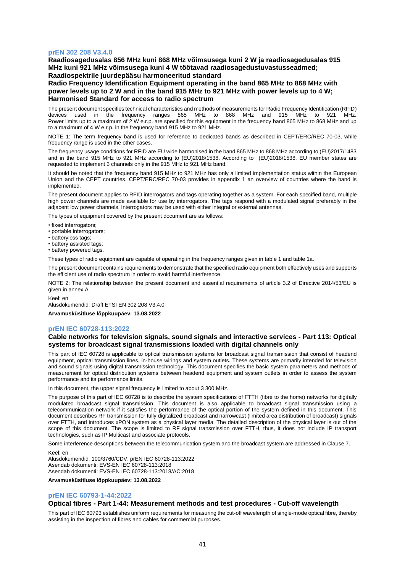## **prEN 302 208 V3.4.0**

**Raadiosagedusalas 856 MHz kuni 868 MHz võimsusega kuni 2 W ja raadiosagedusalas 915 MHz kuni 921 MHz võimsusega kuni 4 W töötavad raadiosagedustuvastusseadmed; Raadiospektrile juurdepääsu harmoneeritud standard**

**Radio Frequency Identification Equipment operating in the band 865 MHz to 868 MHz with power levels up to 2 W and in the band 915 MHz to 921 MHz with power levels up to 4 W; Harmonised Standard for access to radio spectrum**

The present document specifies technical characteristics and methods of measurements for Radio Frequency Identification (RFID) devices used in the frequency ranges 865 MHz to 868 MHz and 915 MHz to 921 MHz. Power limits up to a maximum of 2 W e.r.p. are specified for this equipment in the frequency band 865 MHz to 868 MHz and up to a maximum of 4 W e.r.p. in the frequency band 915 MHz to 921 MHz.

NOTE 1: The term frequency band is used for reference to dedicated bands as described in CEPT/ERC/REC 70-03, while frequency range is used in the other cases.

The frequency usage conditions for RFID are EU wide harmonised in the band 865 MHz to 868 MHz according to (EU)2017/1483 and in the band 915 MHz to 921 MHz according to (EU)2018/1538. According to (EU)2018/1538, EU member states are requested to implement 3 channels only in the 915 MHz to 921 MHz band.

It should be noted that the frequency band 915 MHz to 921 MHz has only a limited implementation status within the European Union and the CEPT countries. CEPT/ERC/REC 70-03 provides in appendix 1 an overview of countries where the band is implemented.

The present document applies to RFID interrogators and tags operating together as a system. For each specified band, multiple high power channels are made available for use by interrogators. The tags respond with a modulated signal preferably in the adjacent low power channels. Interrogators may be used with either integral or external antennas.

The types of equipment covered by the present document are as follows:

- fixed interrogators;
- portable interrogators;
- batteryless tags;
- battery assisted tags;
- battery powered tags.

These types of radio equipment are capable of operating in the frequency ranges given in table 1 and table 1a.

The present document contains requirements to demonstrate that the specified radio equipment both effectively uses and supports the efficient use of radio spectrum in order to avoid harmful interference.

NOTE 2: The relationship between the present document and essential requirements of article 3.2 of Directive 2014/53/EU is given in annex A.

Keel: en

Alusdokumendid: Draft ETSI EN 302 208 V3.4.0

**Arvamusküsitluse lõppkuupäev: 13.08.2022**

#### **prEN IEC 60728-113:2022**

#### **Cable networks for television signals, sound signals and interactive services - Part 113: Optical systems for broadcast signal transmissions loaded with digital channels only**

This part of IEC 60728 is applicable to optical transmission systems for broadcast signal transmission that consist of headend equipment, optical transmission lines, in-house wirings and system outlets. These systems are primarily intended for television and sound signals using digital transmission technology. This document specifies the basic system parameters and methods of measurement for optical distribution systems between headend equipment and system outlets in order to assess the system performance and its performance limits.

In this document, the upper signal frequency is limited to about 3 300 MHz.

The purpose of this part of IEC 60728 is to describe the system specifications of FTTH (fibre to the home) networks for digitally modulated broadcast signal transmission. This document is also applicable to broadcast signal transmission using a telecommunication network if it satisfies the performance of the optical portion of the system defined in this document. This document describes RF transmission for fully digitalized broadcast and narrowcast (limited area distribution of broadcast) signals over FTTH, and introduces xPON system as a physical layer media. The detailed description of the physical layer is out of the scope of this document. The scope is limited to RF signal transmission over FTTH, thus, it does not include IP transport technologies, such as IP Multicast and associate protocols.

Some interference descriptions between the telecommunication system and the broadcast system are addressed in Clause 7.

Keel: en Alusdokumendid: 100/3760/CDV; prEN IEC 60728-113:2022 Asendab dokumenti: EVS-EN IEC 60728-113:2018 Asendab dokumenti: EVS-EN IEC 60728-113:2018/AC:2018

**Arvamusküsitluse lõppkuupäev: 13.08.2022**

#### **prEN IEC 60793-1-44:2022**

#### **Optical fibres - Part 1-44: Measurement methods and test procedures - Cut-off wavelength**

This part of IEC 60793 establishes uniform requirements for measuring the cut-off wavelength of single-mode optical fibre, thereby assisting in the inspection of fibres and cables for commercial purposes.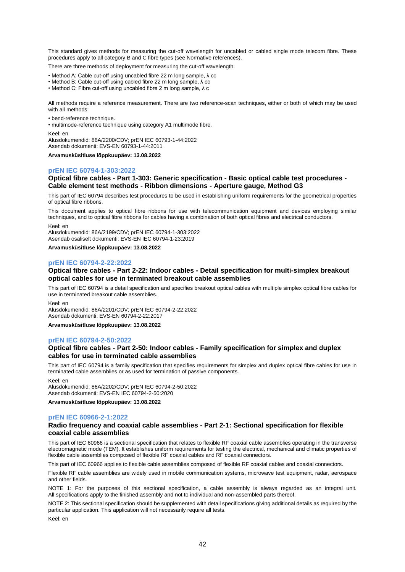This standard gives methods for measuring the cut-off wavelength for uncabled or cabled single mode telecom fibre. These procedures apply to all category B and C fibre types (see Normative references).

There are three methods of deployment for measuring the cut-off wavelength.

- Method A: Cable cut-off using uncabled fibre 22 m long sample, λ cc
- Method B: Cable cut-off using cabled fibre 22 m long sample, λ cc
- Method C: Fibre cut-off using uncabled fibre 2 m long sample, λ c

All methods require a reference measurement. There are two reference-scan techniques, either or both of which may be used with all methods:

- bend-reference technique.
- multimode-reference technique using category A1 multimode fibre.

Keel: en

Alusdokumendid: 86A/2200/CDV; prEN IEC 60793-1-44:2022 Asendab dokumenti: EVS-EN 60793-1-44:2011

**Arvamusküsitluse lõppkuupäev: 13.08.2022**

#### **prEN IEC 60794-1-303:2022**

## **Optical fibre cables - Part 1-303: Generic specification - Basic optical cable test procedures - Cable element test methods - Ribbon dimensions - Aperture gauge, Method G3**

This part of IEC 60794 describes test procedures to be used in establishing uniform requirements for the geometrical properties of optical fibre ribbons.

This document applies to optical fibre ribbons for use with telecommunication equipment and devices employing similar techniques, and to optical fibre ribbons for cables having a combination of both optical fibres and electrical conductors.

Keel: en

Alusdokumendid: 86A/2199/CDV; prEN IEC 60794-1-303:2022 Asendab osaliselt dokumenti: EVS-EN IEC 60794-1-23:2019

**Arvamusküsitluse lõppkuupäev: 13.08.2022**

#### **prEN IEC 60794-2-22:2022**

## **Optical fibre cables - Part 2-22: Indoor cables - Detail specification for multi-simplex breakout optical cables for use in terminated breakout cable assemblies**

This part of IEC 60794 is a detail specification and specifies breakout optical cables with multiple simplex optical fibre cables for use in terminated breakout cable assemblies.

Keel: en

Alusdokumendid: 86A/2201/CDV; prEN IEC 60794-2-22:2022 Asendab dokumenti: EVS-EN 60794-2-22:2017

**Arvamusküsitluse lõppkuupäev: 13.08.2022**

#### **prEN IEC 60794-2-50:2022**

## **Optical fibre cables - Part 2-50: Indoor cables - Family specification for simplex and duplex cables for use in terminated cable assemblies**

This part of IEC 60794 is a family specification that specifies requirements for simplex and duplex optical fibre cables for use in terminated cable assemblies or as used for termination of passive components.

Keel: en

Alusdokumendid: 86A/2202/CDV; prEN IEC 60794-2-50:2022 Asendab dokumenti: EVS-EN IEC 60794-2-50:2020

**Arvamusküsitluse lõppkuupäev: 13.08.2022**

#### **prEN IEC 60966-2-1:2022**

## **Radio frequency and coaxial cable assemblies - Part 2-1: Sectional specification for flexible coaxial cable assemblies**

This part of IEC 60966 is a sectional specification that relates to flexible RF coaxial cable assemblies operating in the transverse electromagnetic mode (TEM). It establishes uniform requirements for testing the electrical, mechanical and climatic properties of flexible cable assemblies composed of flexible RF coaxial cables and RF coaxial connectors.

This part of IEC 60966 applies to flexible cable assemblies composed of flexible RF coaxial cables and coaxial connectors.

Flexible RF cable assemblies are widely used in mobile communication systems, microwave test equipment, radar, aerospace and other fields.

NOTE 1: For the purposes of this sectional specification, a cable assembly is always regarded as an integral unit. All specifications apply to the finished assembly and not to individual and non-assembled parts thereof.

NOTE 2: This sectional specification should be supplemented with detail specifications giving additional details as required by the particular application. This application will not necessarily require all tests.

Keel: en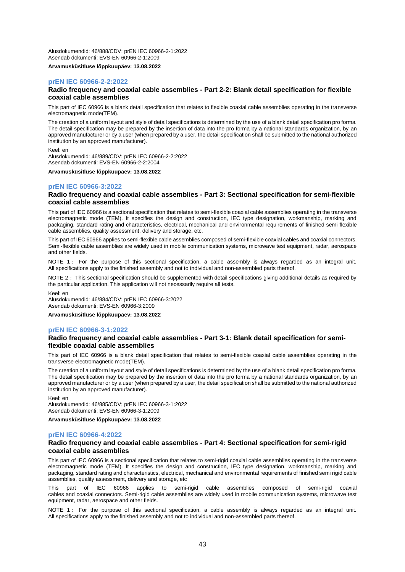Alusdokumendid: 46/888/CDV; prEN IEC 60966-2-1:2022 Asendab dokumenti: EVS-EN 60966-2-1:2009

**Arvamusküsitluse lõppkuupäev: 13.08.2022**

## **prEN IEC 60966-2-2:2022**

#### **Radio frequency and coaxial cable assemblies - Part 2-2: Blank detail specification for flexible coaxial cable assemblies**

This part of IEC 60966 is a blank detail specification that relates to flexible coaxial cable assemblies operating in the transverse electromagnetic mode(TEM).

The creation of a uniform layout and style of detail specifications is determined by the use of a blank detail specification pro forma. The detail specification may be prepared by the insertion of data into the pro forma by a national standards organization, by an approved manufacturer or by a user (when prepared by a user, the detail specification shall be submitted to the national authorized institution by an approved manufacturer).

#### Keel: en

Alusdokumendid: 46/889/CDV; prEN IEC 60966-2-2:2022 Asendab dokumenti: EVS-EN 60966-2-2:2004

**Arvamusküsitluse lõppkuupäev: 13.08.2022**

## **prEN IEC 60966-3:2022**

#### **Radio frequency and coaxial cable assemblies - Part 3: Sectional specification for semi-flexible coaxial cable assemblies**

This part of IEC 60966 is a sectional specification that relates to semi-flexible coaxial cable assemblies operating in the transverse electromagnetic mode (TEM). It specifies the design and construction, IEC type designation, workmanship, marking and packaging, standard rating and characteristics, electrical, mechanical and environmental requirements of finished semi flexible cable assemblies, quality assessment, delivery and storage, etc.

This part of IEC 60966 applies to semi-flexible cable assemblies composed of semi-flexible coaxial cables and coaxial connectors. Semi-flexible cable assemblies are widely used in mobile communication systems, microwave test equipment, radar, aerospace and other fields.

NOTE 1: For the purpose of this sectional specification, a cable assembly is always regarded as an integral unit. All specifications apply to the finished assembly and not to individual and non-assembled parts thereof.

NOTE 2: This sectional specification should be supplemented with detail specifications giving additional details as required by the particular application. This application will not necessarily require all tests.

Keel: en

Alusdokumendid: 46/884/CDV; prEN IEC 60966-3:2022 Asendab dokumenti: EVS-EN 60966-3:2009

**Arvamusküsitluse lõppkuupäev: 13.08.2022**

#### **prEN IEC 60966-3-1:2022**

#### **Radio frequency and coaxial cable assemblies - Part 3-1: Blank detail specification for semiflexible coaxial cable assemblies**

This part of IEC 60966 is a blank detail specification that relates to semi-flexible coaxial cable assemblies operating in the transverse electromagnetic mode(TEM).

The creation of a uniform layout and style of detail specifications is determined by the use of a blank detail specification pro forma. The detail specification may be prepared by the insertion of data into the pro forma by a national standards organization, by an approved manufacturer or by a user (when prepared by a user, the detail specification shall be submitted to the national authorized institution by an approved manufacturer).

Keel: en

Alusdokumendid: 46/885/CDV; prEN IEC 60966-3-1:2022 Asendab dokumenti: EVS-EN 60966-3-1:2009

**Arvamusküsitluse lõppkuupäev: 13.08.2022**

## **prEN IEC 60966-4:2022**

#### **Radio frequency and coaxial cable assemblies - Part 4: Sectional specification for semi-rigid coaxial cable assemblies**

This part of IEC 60966 is a sectional specification that relates to semi-rigid coaxial cable assemblies operating in the transverse electromagnetic mode (TEM). It specifies the design and construction, IEC type designation, workmanship, marking and packaging, standard rating and characteristics, electrical, mechanical and environmental requirements of finished semi rigid cable assemblies, quality assessment, delivery and storage, etc

part of IEC 60966 applies to semi-rigid cable assemblies composed of semi-rigid coaxial cables and coaxial connectors. Semi-rigid cable assemblies are widely used in mobile communication systems, microwave test equipment, radar, aerospace and other fields.

NOTE 1: For the purpose of this sectional specification, a cable assembly is always regarded as an integral unit. All specifications apply to the finished assembly and not to individual and non-assembled parts thereof.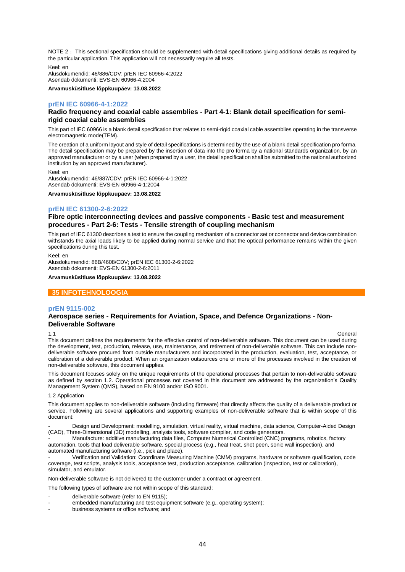NOTE 2: This sectional specification should be supplemented with detail specifications giving additional details as required by the particular application. This application will not necessarily require all tests.

Keel: en

Alusdokumendid: 46/886/CDV; prEN IEC 60966-4:2022 Asendab dokumenti: EVS-EN 60966-4:2004

**Arvamusküsitluse lõppkuupäev: 13.08.2022**

## **prEN IEC 60966-4-1:2022**

## **Radio frequency and coaxial cable assemblies - Part 4-1: Blank detail specification for semirigid coaxial cable assemblies**

This part of IEC 60966 is a blank detail specification that relates to semi-rigid coaxial cable assemblies operating in the transverse electromagnetic mode(TEM).

The creation of a uniform layout and style of detail specifications is determined by the use of a blank detail specification pro forma. The detail specification may be prepared by the insertion of data into the pro forma by a national standards organization, by an approved manufacturer or by a user (when prepared by a user, the detail specification shall be submitted to the national authorized institution by an approved manufacturer).

Keel: en

Alusdokumendid: 46/887/CDV; prEN IEC 60966-4-1:2022 Asendab dokumenti: EVS-EN 60966-4-1:2004

**Arvamusküsitluse lõppkuupäev: 13.08.2022**

## **prEN IEC 61300-2-6:2022**

## **Fibre optic interconnecting devices and passive components - Basic test and measurement procedures - Part 2-6: Tests - Tensile strength of coupling mechanism**

This part of IEC 61300 describes a test to ensure the coupling mechanism of a connector set or connector and device combination withstands the axial loads likely to be applied during normal service and that the optical performance remains within the given specifications during this test.

Keel: en

Alusdokumendid: 86B/4608/CDV; prEN IEC 61300-2-6:2022 Asendab dokumenti: EVS-EN 61300-2-6:2011

**Arvamusküsitluse lõppkuupäev: 13.08.2022**

## **35 INFOTEHNOLOOGIA**

#### **prEN 9115-002**

## **Aerospace series - Requirements for Aviation, Space, and Defence Organizations - Non-Deliverable Software**

1.1 General This document defines the requirements for the effective control of non-deliverable software. This document can be used during the development, test, production, release, use, maintenance, and retirement of non-deliverable software. This can include nondeliverable software procured from outside manufacturers and incorporated in the production, evaluation, test, acceptance, or calibration of a deliverable product. When an organization outsources one or more of the processes involved in the creation of non-deliverable software, this document applies.

This document focuses solely on the unique requirements of the operational processes that pertain to non-deliverable software as defined by section 1.2. Operational processes not covered in this document are addressed by the organization's Quality Management System (QMS), based on EN 9100 and/or ISO 9001.

#### 1.2 Application

This document applies to non-deliverable software (including firmware) that directly affects the quality of a deliverable product or service. Following are several applications and supporting examples of non-deliverable software that is within scope of this document:

Design and Development: modelling, simulation, virtual reality, virtual machine, data science, Computer-Aided Design (CAD), Three-Dimensional (3D) modelling, analysis tools, software compiler, and code generators.

- Manufacture: additive manufacturing data files, Computer Numerical Controlled (CNC) programs, robotics, factory automation, tools that load deliverable software, special process (e.g., heat treat, shot peen, sonic wall inspection), and automated manufacturing software (i.e., pick and place).

- Verification and Validation: Coordinate Measuring Machine (CMM) programs, hardware or software qualification, code coverage, test scripts, analysis tools, acceptance test, production acceptance, calibration (inspection, test or calibration), simulator, and emulator.

Non-deliverable software is not delivered to the customer under a contract or agreement.

- The following types of software are not within scope of this standard:
- deliverable software (refer to EN 9115);
- embedded manufacturing and test equipment software (e.g., operating system);
- business systems or office software; and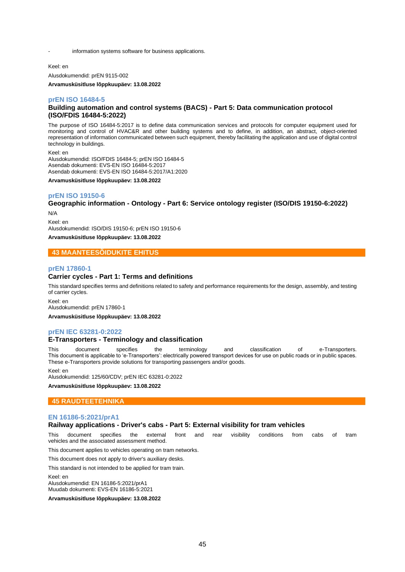information systems software for business applications.

Keel: en

Alusdokumendid: prEN 9115-002

**Arvamusküsitluse lõppkuupäev: 13.08.2022**

## **prEN ISO 16484-5**

#### **Building automation and control systems (BACS) - Part 5: Data communication protocol (ISO/FDIS 16484-5:2022)**

The purpose of ISO 16484-5:2017 is to define data communication services and protocols for computer equipment used for monitoring and control of HVAC&R and other building systems and to define, in addition, an abstract, object-oriented representation of information communicated between such equipment, thereby facilitating the application and use of digital control technology in buildings.

Keel: en Alusdokumendid: ISO/FDIS 16484-5; prEN ISO 16484-5 Asendab dokumenti: EVS-EN ISO 16484-5:2017 Asendab dokumenti: EVS-EN ISO 16484-5:2017/A1:2020

**Arvamusküsitluse lõppkuupäev: 13.08.2022**

#### **prEN ISO 19150-6**

## **Geographic information - Ontology - Part 6: Service ontology register (ISO/DIS 19150-6:2022)**

N/A Keel: en Alusdokumendid: ISO/DIS 19150-6; prEN ISO 19150-6

**Arvamusküsitluse lõppkuupäev: 13.08.2022**

## **43 MAANTEESÕIDUKITE EHITUS**

#### **prEN 17860-1**

#### **Carrier cycles - Part 1: Terms and definitions**

This standard specifies terms and definitions related to safety and performance requirements for the design, assembly, and testing of carrier cycles.

Keel: en Alusdokumendid: prEN 17860-1

**Arvamusküsitluse lõppkuupäev: 13.08.2022**

## **prEN IEC 63281-0:2022**

## **E-Transporters - Terminology and classification**

This document specifies the terminology and classification of e-Transporters. This document is applicable to 'e-Transporters': electrically powered transport devices for use on public roads or in public spaces. These e-Transporters provide solutions for transporting passengers and/or goods.

Keel: en Alusdokumendid: 125/60/CDV; prEN IEC 63281-0:2022

**Arvamusküsitluse lõppkuupäev: 13.08.2022**

#### **45 RAUDTEETEHNIKA**

#### **EN 16186-5:2021/prA1**

## **Railway applications - Driver's cabs - Part 5: External visibility for tram vehicles**

This document specifies the external front and rear visibility conditions from cabs of tram vehicles and the associated assessment method.

This document applies to vehicles operating on tram networks.

This document does not apply to driver's auxiliary desks.

This standard is not intended to be applied for tram train.

Keel: en

Alusdokumendid: EN 16186-5:2021/prA1 Muudab dokumenti: EVS-EN 16186-5:2021

**Arvamusküsitluse lõppkuupäev: 13.08.2022**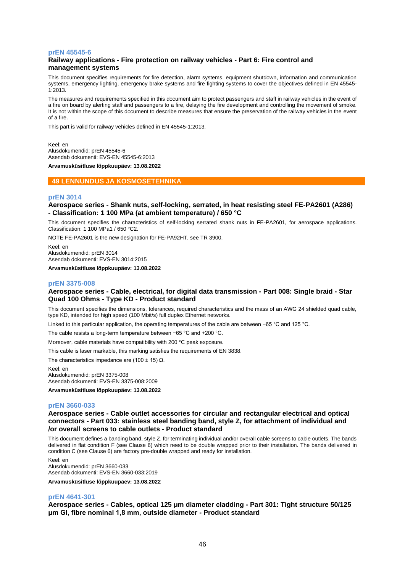#### **prEN 45545-6**

## **Railway applications - Fire protection on railway vehicles - Part 6: Fire control and management systems**

This document specifies requirements for fire detection, alarm systems, equipment shutdown, information and communication systems, emergency lighting, emergency brake systems and fire fighting systems to cover the objectives defined in EN 45545- 1:2013.

The measures and requirements specified in this document aim to protect passengers and staff in railway vehicles in the event of a fire on board by alerting staff and passengers to a fire, delaying the fire development and controlling the movement of smoke. It is not within the scope of this document to describe measures that ensure the preservation of the railway vehicles in the event of a fire.

This part is valid for railway vehicles defined in EN 45545-1:2013.

Keel: en Alusdokumendid: prEN 45545-6 Asendab dokumenti: EVS-EN 45545-6:2013

**Arvamusküsitluse lõppkuupäev: 13.08.2022**

## **49 LENNUNDUS JA KOSMOSETEHNIKA**

#### **prEN 3014**

## **Aerospace series - Shank nuts, self-locking, serrated, in heat resisting steel FE-PA2601 (A286) - Classification: 1 100 MPa (at ambient temperature) / 650 °C**

This document specifies the characteristics of self-locking serrated shank nuts in FE-PA2601, for aerospace applications. Classification: 1 100 MPa1 / 650 °C2.

NOTE FE-PA2601 is the new designation for FE-PA92HT, see TR 3900.

Keel: en Alusdokumendid: prEN 3014 Asendab dokumenti: EVS-EN 3014:2015

**Arvamusküsitluse lõppkuupäev: 13.08.2022**

#### **prEN 3375-008**

## **Aerospace series - Cable, electrical, for digital data transmission - Part 008: Single braid - Star Quad 100 Ohms - Type KD - Product standard**

This document specifies the dimensions, tolerances, required characteristics and the mass of an AWG 24 shielded quad cable, type KD, intended for high speed (100 Mbit/s) full duplex Ethernet networks.

Linked to this particular application, the operating temperatures of the cable are between −65 °C and 125 °C.

The cable resists a long-term temperature between −65 °C and +200 °C.

Moreover, cable materials have compatibility with 200 °C peak exposure.

This cable is laser markable, this marking satisfies the requirements of EN 3838.

The characteristics impedance are (100 ± 15)  $\Omega$ .

Keel: en Alusdokumendid: prEN 3375-008 Asendab dokumenti: EVS-EN 3375-008:2009

**Arvamusküsitluse lõppkuupäev: 13.08.2022**

## **prEN 3660-033**

**Aerospace series - Cable outlet accessories for circular and rectangular electrical and optical connectors - Part 033: stainless steel banding band, style Z, for attachment of individual and /or overall screens to cable outlets - Product standard**

This document defines a banding band, style Z, for terminating individual and/or overall cable screens to cable outlets. The bands delivered in flat condition F (see Clause 6) which need to be double wrapped prior to their installation. The bands delivered in condition C (see Clause 6) are factory pre-double wrapped and ready for installation.

Keel: en

Alusdokumendid: prEN 3660-033 Asendab dokumenti: EVS-EN 3660-033:2019

**Arvamusküsitluse lõppkuupäev: 13.08.2022**

#### **prEN 4641-301**

**Aerospace series - Cables, optical 125 μm diameter cladding - Part 301: Tight structure 50/125 μm GI, fibre nominal 1,8 mm, outside diameter - Product standard**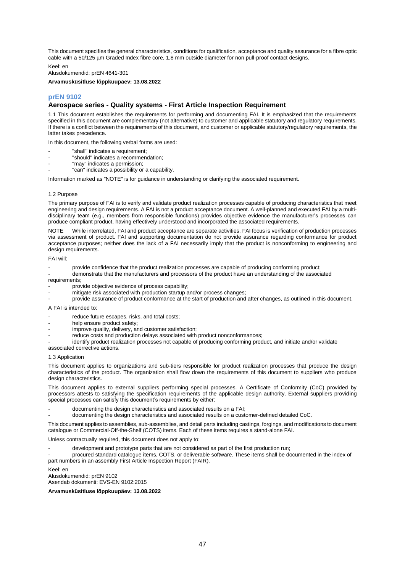This document specifies the general characteristics, conditions for qualification, acceptance and quality assurance for a fibre optic cable with a 50/125 µm Graded Index fibre core, 1,8 mm outside diameter for non pull-proof contact designs.

Keel: en

Alusdokumendid: prEN 4641-301

**Arvamusküsitluse lõppkuupäev: 13.08.2022**

## **prEN 9102**

#### **Aerospace series - Quality systems - First Article Inspection Requirement**

1.1 This document establishes the requirements for performing and documenting FAI. It is emphasized that the requirements specified in this document are complementary (not alternative) to customer and applicable statutory and regulatory requirements. If there is a conflict between the requirements of this document, and customer or applicable statutory/regulatory requirements, the latter takes precedence.

In this document, the following verbal forms are used:

- "shall" indicates a requirement;
- "should" indicates a recommendation;
- "may" indicates a permission;
- "can" indicates a possibility or a capability.

Information marked as "NOTE" is for guidance in understanding or clarifying the associated requirement.

#### 1.2 Purpose

The primary purpose of FAI is to verify and validate product realization processes capable of producing characteristics that meet engineering and design requirements. A FAI is not a product acceptance document. A well-planned and executed FAI by a multidisciplinary team (e.g., members from responsible functions) provides objective evidence the manufacturer's processes can produce compliant product, having effectively understood and incorporated the associated requirements.

While interrelated, FAI and product acceptance are separate activities. FAI focus is verification of production processes via assessment of product. FAI and supporting documentation do not provide assurance regarding conformance for product acceptance purposes; neither does the lack of a FAI necessarily imply that the product is nonconforming to engineering and design requirements.

#### FAI will:

provide confidence that the product realization processes are capable of producing conforming product;

- demonstrate that the manufacturers and processors of the product have an understanding of the associated requirements;

- provide objective evidence of process capability;
- mitigate risk associated with production startup and/or process changes;
- provide assurance of product conformance at the start of production and after changes, as outlined in this document.

#### A FAI is intended to:

- reduce future escapes, risks, and total costs;
- help ensure product safety;
- improve quality, delivery, and customer satisfaction;
- reduce costs and production delays associated with product nonconformances;
- identify product realization processes not capable of producing conforming product, and initiate and/or validate

associated corrective actions.

#### 1.3 Application

This document applies to organizations and sub-tiers responsible for product realization processes that produce the design characteristics of the product. The organization shall flow down the requirements of this document to suppliers who produce design characteristics.

This document applies to external suppliers performing special processes. A Certificate of Conformity (CoC) provided by processors attests to satisfying the specification requirements of the applicable design authority. External suppliers providing special processes can satisfy this document's requirements by either:

- documenting the design characteristics and associated results on a FAI;
	- documenting the design characteristics and associated results on a customer-defined detailed CoC.

This document applies to assemblies, sub-assemblies, and detail parts including castings, forgings, and modifications to document catalogue or Commercial-Off-the-Shelf (COTS) items. Each of these items requires a stand-alone FAI.

Unless contractually required, this document does not apply to:

- development and prototype parts that are not considered as part of the first production run;
- procured standard catalogue items, COTS, or deliverable software. These items shall be documented in the index of part numbers in an assembly First Article Inspection Report (FAIR).

Keel: en Alusdokumendid: prEN 9102 Asendab dokumenti: EVS-EN 9102:2015

**Arvamusküsitluse lõppkuupäev: 13.08.2022**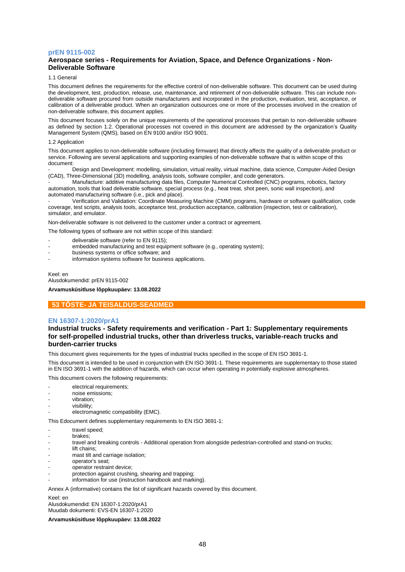## **prEN 9115-002**

## **Aerospace series - Requirements for Aviation, Space, and Defence Organizations - Non-Deliverable Software**

1.1 General

This document defines the requirements for the effective control of non-deliverable software. This document can be used during the development, test, production, release, use, maintenance, and retirement of non-deliverable software. This can include nondeliverable software procured from outside manufacturers and incorporated in the production, evaluation, test, acceptance, or calibration of a deliverable product. When an organization outsources one or more of the processes involved in the creation of non-deliverable software, this document applies.

This document focuses solely on the unique requirements of the operational processes that pertain to non-deliverable software as defined by section 1.2. Operational processes not covered in this document are addressed by the organization's Quality Management System (QMS), based on EN 9100 and/or ISO 9001.

#### 1.2 Application

This document applies to non-deliverable software (including firmware) that directly affects the quality of a deliverable product or service. Following are several applications and supporting examples of non-deliverable software that is within scope of this document:

Design and Development: modelling, simulation, virtual reality, virtual machine, data science, Computer-Aided Design (CAD), Three-Dimensional (3D) modelling, analysis tools, software compiler, and code generators.

- Manufacture: additive manufacturing data files, Computer Numerical Controlled (CNC) programs, robotics, factory automation, tools that load deliverable software, special process (e.g., heat treat, shot peen, sonic wall inspection), and automated manufacturing software (i.e., pick and place).

- Verification and Validation: Coordinate Measuring Machine (CMM) programs, hardware or software qualification, code coverage, test scripts, analysis tools, acceptance test, production acceptance, calibration (inspection, test or calibration), simulator, and emulator.

Non-deliverable software is not delivered to the customer under a contract or agreement.

The following types of software are not within scope of this standard:

- deliverable software (refer to EN 9115);
- embedded manufacturing and test equipment software (e.g., operating system);
- business systems or office software; and
- information systems software for business applications.

Keel: en Alusdokumendid: prEN 9115-002 **Arvamusküsitluse lõppkuupäev: 13.08.2022**

## **53 TÕSTE- JA TEISALDUS-SEADMED**

#### **EN 16307-1:2020/prA1**

## **Industrial trucks - Safety requirements and verification - Part 1: Supplementary requirements for self-propelled industrial trucks, other than driverless trucks, variable-reach trucks and burden-carrier trucks**

This document gives requirements for the types of industrial trucks specified in the scope of EN ISO 3691-1.

This document is intended to be used in conjunction with EN ISO 3691-1. These requirements are supplementary to those stated in EN ISO 3691-1 with the addition of hazards, which can occur when operating in potentially explosive atmospheres.

This document covers the following requirements:

- electrical requirements;
- noise emissions;
- vibration;
- visibility;
- electromagnetic compatibility (EMC).

This Edocument defines supplementary requirements to EN ISO 3691-1:

- travel speed;
- brakes;
- travel and breaking controls Additional operation from alongside pedestrian-controlled and stand-on trucks;
- lift chains:
- mast tilt and carriage isolation;
- operator's seat:
- operator restraint device;
- protection against crushing, shearing and trapping;
- information for use (instruction handbook and marking).

Annex A (informative) contains the list of significant hazards covered by this document.

#### Keel: en

Alusdokumendid: EN 16307-1:2020/prA1

Muudab dokumenti: EVS-EN 16307-1:2020

**Arvamusküsitluse lõppkuupäev: 13.08.2022**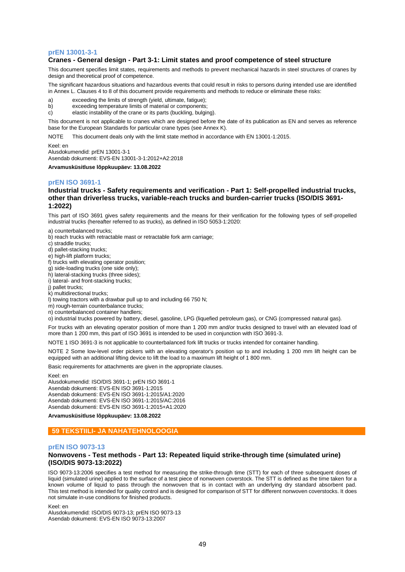#### **prEN 13001-3-1**

## **Cranes - General design - Part 3-1: Limit states and proof competence of steel structure**

This document specifies limit states, requirements and methods to prevent mechanical hazards in steel structures of cranes by design and theoretical proof of competence.

The significant hazardous situations and hazardous events that could result in risks to persons during intended use are identified in Annex L. Clauses 4 to 8 of this document provide requirements and methods to reduce or eliminate these risks:

- a) exceeding the limits of strength (yield, ultimate, fatigue);
- b) exceeding temperature limits of material or components;
- c) elastic instability of the crane or its parts (buckling, bulging).

This document is not applicable to cranes which are designed before the date of its publication as EN and serves as reference base for the European Standards for particular crane types (see Annex K).

NOTE This document deals only with the limit state method in accordance with EN 13001-1:2015.

Keel: en

Alusdokumendid: prEN 13001-3-1

Asendab dokumenti: EVS-EN 13001-3-1:2012+A2:2018

**Arvamusküsitluse lõppkuupäev: 13.08.2022**

#### **prEN ISO 3691-1**

## **Industrial trucks - Safety requirements and verification - Part 1: Self-propelled industrial trucks, other than driverless trucks, variable-reach trucks and burden-carrier trucks (ISO/DIS 3691- 1:2022)**

This part of ISO 3691 gives safety requirements and the means for their verification for the following types of self-propelled industrial trucks (hereafter referred to as trucks), as defined in ISO 5053-1:2020:

a) counterbalanced trucks;

b) reach trucks with retractable mast or retractable fork arm carriage;

c) straddle trucks;

d) pallet-stacking trucks;

e) high-lift platform trucks;

f) trucks with elevating operator position;

g) side-loading trucks (one side only);

h) lateral-stacking trucks (three sides);

i) lateral- and front-stacking trucks;

j) pallet trucks;

k) multidirectional trucks;

l) towing tractors with a drawbar pull up to and including 66 750 N;

m) rough-terrain counterbalance trucks;

n) counterbalanced container handlers;

o) industrial trucks powered by battery, diesel, gasoline, LPG (liquefied petroleum gas), or CNG (compressed natural gas).

For trucks with an elevating operator position of more than 1 200 mm and/or trucks designed to travel with an elevated load of more than 1 200 mm, this part of ISO 3691 is intended to be used in conjunction with ISO 3691-3.

NOTE 1 ISO 3691-3 is not applicable to counterbalanced fork lift trucks or trucks intended for container handling.

NOTE 2 Some low-level order pickers with an elevating operator's position up to and including 1 200 mm lift height can be equipped with an additional lifting device to lift the load to a maximum lift height of 1 800 mm.

Basic requirements for attachments are given in the appropriate clauses.

Keel: en

Alusdokumendid: ISO/DIS 3691-1; prEN ISO 3691-1 Asendab dokumenti: EVS-EN ISO 3691-1:2015 Asendab dokumenti: EVS-EN ISO 3691-1:2015/A1:2020 Asendab dokumenti: EVS-EN ISO 3691-1:2015/AC:2016 Asendab dokumenti: EVS-EN ISO 3691-1:2015+A1:2020

**Arvamusküsitluse lõppkuupäev: 13.08.2022**

## **59 TEKSTIILI- JA NAHATEHNOLOOGIA**

## **prEN ISO 9073-13**

#### **Nonwovens - Test methods - Part 13: Repeated liquid strike-through time (simulated urine) (ISO/DIS 9073-13:2022)**

ISO 9073-13:2006 specifies a test method for measuring the strike-through time (STT) for each of three subsequent doses of liquid (simulated urine) applied to the surface of a test piece of nonwoven coverstock. The STT is defined as the time taken for a known volume of liquid to pass through the nonwoven that is in contact with an underlying dry standard absorbent pad. This test method is intended for quality control and is designed for comparison of STT for different nonwoven coverstocks. It does not simulate in-use conditions for finished products.

Keel: en

Alusdokumendid: ISO/DIS 9073-13; prEN ISO 9073-13 Asendab dokumenti: EVS-EN ISO 9073-13:2007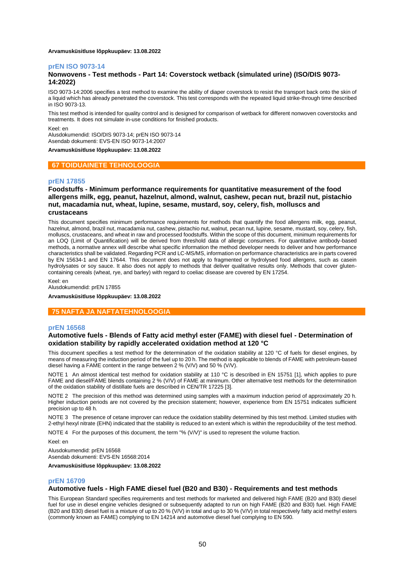#### **Arvamusküsitluse lõppkuupäev: 13.08.2022**

#### **prEN ISO 9073-14**

## **Nonwovens - Test methods - Part 14: Coverstock wetback (simulated urine) (ISO/DIS 9073- 14:2022)**

ISO 9073-14:2006 specifies a test method to examine the ability of diaper coverstock to resist the transport back onto the skin of a liquid which has already penetrated the coverstock. This test corresponds with the repeated liquid strike-through time described in ISO 9073-13.

This test method is intended for quality control and is designed for comparison of wetback for different nonwoven coverstocks and treatments. It does not simulate in-use conditions for finished products.

Keel: en

Alusdokumendid: ISO/DIS 9073-14; prEN ISO 9073-14 Asendab dokumenti: EVS-EN ISO 9073-14:2007

#### **Arvamusküsitluse lõppkuupäev: 13.08.2022**

#### **67 TOIDUAINETE TEHNOLOOGIA**

#### **prEN 17855**

**Foodstuffs - Minimum performance requirements for quantitative measurement of the food allergens milk, egg, peanut, hazelnut, almond, walnut, cashew, pecan nut, brazil nut, pistachio nut, macadamia nut, wheat, lupine, sesame, mustard, soy, celery, fish, molluscs and crustaceans**

This document specifies minimum performance requirements for methods that quantify the food allergens milk, egg, peanut, hazelnut, almond, brazil nut, macadamia nut, cashew, pistachio nut, walnut, pecan nut, lupine, sesame, mustard, soy, celery, fish, molluscs, crustaceans, and wheat in raw and processed foodstuffs. Within the scope of this document, minimum requirements for an LOQ (Limit of Quantification) will be derived from threshold data of allergic consumers. For quantitative antibody-based methods, a normative annex will describe what specific information the method developer needs to deliver and how performance characteristics shall be validated. Regarding PCR and LC-MS/MS, information on performance characteristics are in parts covered by EN 15634-1 and EN 17644. This document does not apply to fragmented or hydrolysed food allergens, such as casein hydrolysates or soy sauce. It also does not apply to methods that deliver qualitative results only. Methods that cover glutencontaining cereals (wheat, rye, and barley) with regard to coeliac disease are covered by EN 17254.

Keel: en

Alusdokumendid: prEN 17855

**Arvamusküsitluse lõppkuupäev: 13.08.2022**

#### **75 NAFTA JA NAFTATEHNOLOOGIA**

#### **prEN 16568**

#### **Automotive fuels - Blends of Fatty acid methyl ester (FAME) with diesel fuel - Determination of oxidation stability by rapidly accelerated oxidation method at 120 °C**

This document specifies a test method for the determination of the oxidation stability at 120 °C of fuels for diesel engines, by means of measuring the induction period of the fuel up to 20 h. The method is applicable to blends of FAME with petroleum-based diesel having a FAME content in the range between 2 % (V/V) and 50 % (V/V).

NOTE 1 An almost identical test method for oxidation stability at 110 °C is described in EN 15751 [1], which applies to pure FAME and diesel/FAME blends containing 2 % (V/V) of FAME at minimum. Other alternative test methods for the determination of the oxidation stability of distillate fuels are described in CEN/TR 17225 [3].

NOTE 2 The precision of this method was determined using samples with a maximum induction period of approximately 20 h. Higher induction periods are not covered by the precision statement; however, experience from EN 15751 indicates sufficient precision up to 48 h.

NOTE 3 The presence of cetane improver can reduce the oxidation stability determined by this test method. Limited studies with 2-ethyl hexyl nitrate (EHN) indicated that the stability is reduced to an extent which is within the reproducibility of the test method.

NOTE 4 For the purposes of this document, the term "% (V/V)" is used to represent the volume fraction.

Keel: en

Alusdokumendid: prEN 16568 Asendab dokumenti: EVS-EN 16568:2014

#### **Arvamusküsitluse lõppkuupäev: 13.08.2022**

#### **prEN 16709**

## **Automotive fuels - High FAME diesel fuel (B20 and B30) - Requirements and test methods**

This European Standard specifies requirements and test methods for marketed and delivered high FAME (B20 and B30) diesel fuel for use in diesel engine vehicles designed or subsequently adapted to run on high FAME (B20 and B30) fuel. High FAME (B20 and B30) diesel fuel is a mixture of up to 20 % (V/V) in total and up to 30 % (V/V) in total respectively fatty acid methyl esters (commonly known as FAME) complying to EN 14214 and automotive diesel fuel complying to EN 590.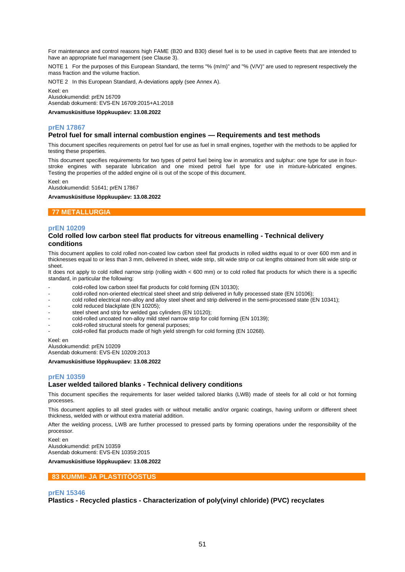For maintenance and control reasons high FAME (B20 and B30) diesel fuel is to be used in captive fleets that are intended to have an appropriate fuel management (see Clause 3).

NOTE 1 For the purposes of this European Standard, the terms "% (m/m)" and "% (V/V)" are used to represent respectively the mass fraction and the volume fraction.

NOTE 2 In this European Standard, A-deviations apply (see Annex A).

Keel: en Alusdokumendid: prEN 16709 Asendab dokumenti: EVS-EN 16709:2015+A1:2018

**Arvamusküsitluse lõppkuupäev: 13.08.2022**

## **prEN 17867**

#### **Petrol fuel for small internal combustion engines — Requirements and test methods**

This document specifies requirements on petrol fuel for use as fuel in small engines, together with the methods to be applied for testing these properties.

This document specifies requirements for two types of petrol fuel being low in aromatics and sulphur: one type for use in fourstroke engines with separate lubrication and one mixed petrol fuel type for use in mixture-lubricated engines. Testing the properties of the added engine oil is out of the scope of this document.

Keel: en Alusdokumendid: 51641; prEN 17867

**Arvamusküsitluse lõppkuupäev: 13.08.2022**

## **77 METALLURGIA**

#### **prEN 10209**

#### **Cold rolled low carbon steel flat products for vitreous enamelling - Technical delivery conditions**

This document applies to cold rolled non-coated low carbon steel flat products in rolled widths equal to or over 600 mm and in thicknesses equal to or less than 3 mm, delivered in sheet, wide strip, slit wide strip or cut lengths obtained from slit wide strip or sheet.

It does not apply to cold rolled narrow strip (rolling width < 600 mm) or to cold rolled flat products for which there is a specific standard, in particular the following:

- cold-rolled low carbon steel flat products for cold forming (EN 10130);
- cold-rolled non-oriented electrical steel sheet and strip delivered in fully processed state (EN 10106);
- cold rolled electrical non-alloy and alloy steel sheet and strip delivered in the semi-processed state (EN 10341);
- cold reduced blackplate (EN 10205);
- steel sheet and strip for welded gas cylinders (EN 10120);
- cold-rolled uncoated non-alloy mild steel narrow strip for cold forming (EN 10139);
- cold-rolled structural steels for general purposes;
- cold-rolled flat products made of high yield strength for cold forming (EN 10268).

Keel: en

Alusdokumendid: prEN 10209 Asendab dokumenti: EVS-EN 10209:2013

**Arvamusküsitluse lõppkuupäev: 13.08.2022**

#### **prEN 10359**

#### **Laser welded tailored blanks - Technical delivery conditions**

This document specifies the requirements for laser welded tailored blanks (LWB) made of steels for all cold or hot forming processes.

This document applies to all steel grades with or without metallic and/or organic coatings, having uniform or different sheet thickness, welded with or without extra material addition.

After the welding process, LWB are further processed to pressed parts by forming operations under the responsibility of the processor.

Keel: en Alusdokumendid: prEN 10359 Asendab dokumenti: EVS-EN 10359:2015

**Arvamusküsitluse lõppkuupäev: 13.08.2022**

#### **83 KUMMI- JA PLASTITÖÖSTUS**

#### **prEN 15346**

**Plastics - Recycled plastics - Characterization of poly(vinyl chloride) (PVC) recyclates**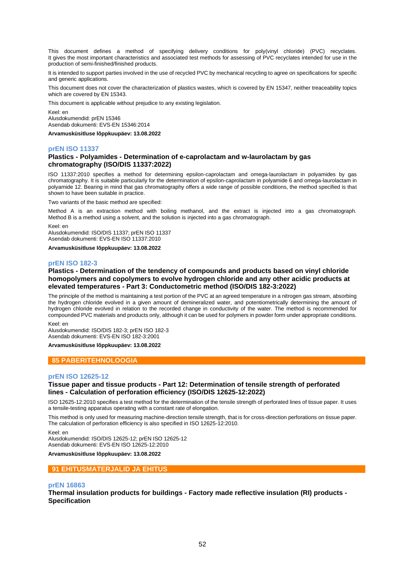This document defines a method of specifying delivery conditions for poly(vinyl chloride) (PVC) recyclates. It gives the most important characteristics and associated test methods for assessing of PVC recyclates intended for use in the production of semi-finished/finished products.

It is intended to support parties involved in the use of recycled PVC by mechanical recycling to agree on specifications for specific and generic applications.

This document does not cover the characterization of plastics wastes, which is covered by EN 15347, neither treaceability topics which are covered by EN 15343.

This document is applicable without prejudice to any existing legislation.

Keel: en Alusdokumendid: prEN 15346 Asendab dokumenti: EVS-EN 15346:2014

**Arvamusküsitluse lõppkuupäev: 13.08.2022**

## **prEN ISO 11337**

## **Plastics - Polyamides - Determination of e-caprolactam and w-laurolactam by gas chromatography (ISO/DIS 11337:2022)**

ISO 11337:2010 specifies a method for determining epsilon‐caprolactam and omega‐laurolactam in polyamides by gas chromatography. It is suitable particularly for the determination of epsilon‐caprolactam in polyamide 6 and omega‐laurolactam in polyamide 12. Bearing in mind that gas chromatography offers a wide range of possible conditions, the method specified is that shown to have been suitable in practice.

Two variants of the basic method are specified:

Method A is an extraction method with boiling methanol, and the extract is injected into a gas chromatograph. Method B is a method using a solvent, and the solution is injected into a gas chromatograph.

Keel: en

Alusdokumendid: ISO/DIS 11337; prEN ISO 11337 Asendab dokumenti: EVS-EN ISO 11337:2010

**Arvamusküsitluse lõppkuupäev: 13.08.2022**

## **prEN ISO 182-3**

## **Plastics - Determination of the tendency of compounds and products based on vinyl chloride homopolymers and copolymers to evolve hydrogen chloride and any other acidic products at elevated temperatures - Part 3: Conductometric method (ISO/DIS 182-3:2022)**

The principle of the method is maintaining a test portion of the PVC at an agreed temperature in a nitrogen gas stream, absorbing the hydrogen chloride evolved in a given amount of demineralized water, and potentiometrically determining the amount of hydrogen chloride evolved in relation to the recorded change in conductivity of the water. The method is recommended for compounded PVC materials and products only, although it can be used for polymers in powder form under appropriate conditions.

Keel: en

Alusdokumendid: ISO/DIS 182-3; prEN ISO 182-3 Asendab dokumenti: EVS-EN ISO 182-3:2001

#### **Arvamusküsitluse lõppkuupäev: 13.08.2022**

## **85 PABERITEHNOLOOGIA**

#### **prEN ISO 12625-12**

## **Tissue paper and tissue products - Part 12: Determination of tensile strength of perforated lines - Calculation of perforation efficiency (ISO/DIS 12625-12:2022)**

ISO 12625-12:2010 specifies a test method for the determination of the tensile strength of perforated lines of tissue paper. It uses a tensile-testing apparatus operating with a constant rate of elongation.

This method is only used for measuring machine-direction tensile strength, that is for cross-direction perforations on tissue paper. The calculation of perforation efficiency is also specified in ISO 12625-12:2010.

Keel: en Alusdokumendid: ISO/DIS 12625-12; prEN ISO 12625-12 Asendab dokumenti: EVS-EN ISO 12625-12:2010

**Arvamusküsitluse lõppkuupäev: 13.08.2022**

## **91 EHITUSMATERJALID JA EHITUS**

#### **prEN 16863**

**Thermal insulation products for buildings - Factory made reflective insulation (RI) products - Specification**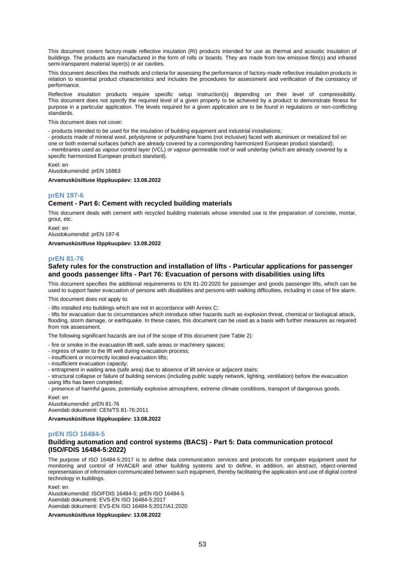This document covers factory-made reflective insulation (RI) products intended for use as thermal and acoustic insulation of buildings. The products are manufactured in the form of rolls or boards. They are made from low emissive film(s) and infrared semi-transparent material layer(s) or air cavities.

This document describes the methods and criteria for assessing the performance of factory-made reflective insulation products in relation to essential product characteristics and includes the procedures for assessment and verification of the constancy of performance.

Reflective insulation products require specific setup instruction(s) depending on their level of compressibility. This document does not specify the required level of a given property to be achieved by a product to demonstrate fitness for purpose in a particular application. The levels required for a given application are to be found in regulations or non-conflicting standards.

This document does not cover:

- products intended to be used for the insulation of building equipment and industrial installations;

- products made of mineral wool, polystyrene or polyurethane foams (not inclusive) faced with aluminium or metalized foil on one or both external surfaces (which are already covered by a corresponding harmonized European product standard);

- membranes used as vapour control layer (VCL) or vapour-permeable roof or wall underlay (which are already covered by a specific harmonized European product standard).

Keel: en

Alusdokumendid: prEN 16863

**Arvamusküsitluse lõppkuupäev: 13.08.2022**

## **prEN 197-6**

#### **Cement - Part 6: Cement with recycled building materials**

This document deals with cement with recycled building materials whose intended use is the preparation of concrete, mortar, grout, etc.

Keel: en Alusdokumendid: prEN 197-6

**Arvamusküsitluse lõppkuupäev: 13.08.2022**

#### **prEN 81-76**

## **Safety rules for the construction and installation of lifts - Particular applications for passenger and goods passenger lifts - Part 76: Evacuation of persons with disabilities using lifts**

This document specifies the additional requirements to EN 81-20:2020 for passenger and goods passenger lifts, which can be used to support faster evacuation of persons with disabilities and persons with walking difficulties, including in case of fire alarm.

This document does not apply to:

- lifts installed into buildings which are not in accordance with Annex C;

- lifts for evacuation due to circumstances which introduce other hazards such as explosion threat, chemical or biological attack, flooding, storm damage, or earthquake. In these cases, this document can be used as a basis with further measures as required from risk assessment.

The following significant hazards are out of the scope of this document (see Table 2):

- fire or smoke in the evacuation lift well, safe areas or machinery spaces;
- ingress of water to the lift well during evacuation process;
- insufficient or incorrectly located evacuation lifts;
- insufficient evacuation capacity;
- entrapment in waiting area (safe area) due to absence of lift service or adjacent stairs;
- structural collapse or failure of building services (including public supply network, lighting, ventilation) before the evacuation using lifts has been completed;

- presence of harmful gases, potentially explosive atmosphere, extreme climate conditions, transport of dangerous goods. Keel: en

Alusdokumendid: prEN 81-76 Asendab dokumenti: CEN/TS 81-76:2011

**Arvamusküsitluse lõppkuupäev: 13.08.2022**

#### **prEN ISO 16484-5**

## **Building automation and control systems (BACS) - Part 5: Data communication protocol (ISO/FDIS 16484-5:2022)**

The purpose of ISO 16484-5:2017 is to define data communication services and protocols for computer equipment used for monitoring and control of HVAC&R and other building systems and to define, in addition, an abstract, object-oriented representation of information communicated between such equipment, thereby facilitating the application and use of digital control technology in buildings.

Keel: en

Alusdokumendid: ISO/FDIS 16484-5; prEN ISO 16484-5 Asendab dokumenti: EVS-EN ISO 16484-5:2017 Asendab dokumenti: EVS-EN ISO 16484-5:2017/A1:2020

**Arvamusküsitluse lõppkuupäev: 13.08.2022**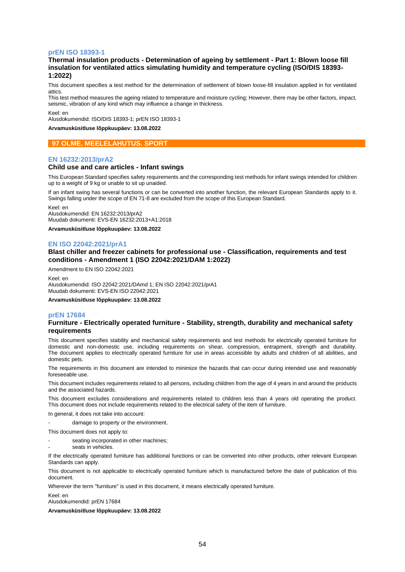#### **prEN ISO 18393-1**

## **Thermal insulation products - Determination of ageing by settlement - Part 1: Blown loose fill insulation for ventilated attics simulating humidity and temperature cycling (ISO/DIS 18393- 1:2022)**

This document specifies a test method for the determination of settlement of blown loose-fill insulation applied in for ventilated attics.

This test method measures the ageing related to temperature and moisture cycling; However, there may be other factors, impact, seismic, vibration of any kind which may influence a change in thickness.

Keel: en

Alusdokumendid: ISO/DIS 18393-1; prEN ISO 18393-1

**Arvamusküsitluse lõppkuupäev: 13.08.2022**

## **97 OLME. MEELELAHUTUS. SPORT**

#### **EN 16232:2013/prA2**

#### **Child use and care articles - Infant swings**

This European Standard specifies safety requirements and the corresponding test methods for infant swings intended for children up to a weight of 9 kg or unable to sit up unaided.

If an infant swing has several functions or can be converted into another function, the relevant European Standards apply to it. Swings falling under the scope of EN 71-8 are excluded from the scope of this European Standard.

Keel: en Alusdokumendid: EN 16232:2013/prA2 Muudab dokumenti: EVS-EN 16232:2013+A1:2018

**Arvamusküsitluse lõppkuupäev: 13.08.2022**

#### **EN ISO 22042:2021/prA1**

## **Blast chiller and freezer cabinets for professional use - Classification, requirements and test conditions - Amendment 1 (ISO 22042:2021/DAM 1:2022)**

Amendment to EN ISO 22042:2021

Keel: en Alusdokumendid: ISO 22042:2021/DAmd 1; EN ISO 22042:2021/prA1 Muudab dokumenti: EVS-EN ISO 22042:2021

**Arvamusküsitluse lõppkuupäev: 13.08.2022**

## **prEN 17684**

## **Furniture - Electrically operated furniture - Stability, strength, durability and mechanical safety requirements**

This document specifies stability and mechanical safety requirements and test methods for electrically operated furniture for domestic and non-domestic use, including requirements on shear, compression, entrapment, strength and durability. The document applies to electrically operated furniture for use in areas accessible by adults and children of all abilities, and domestic pets.

The requirements in this document are intended to minimize the hazards that can occur during intended use and reasonably foreseeable use.

This document includes requirements related to all persons, including children from the age of 4 years in and around the products and the associated hazards.

This document excludes considerations and requirements related to children less than 4 years old operating the product. This document does not include requirements related to the electrical safety of the item of furniture.

In general, it does not take into account:

damage to property or the environment.

This document does not apply to:

- seating incorporated in other machines;
- seats in vehicles.

If the electrically operated furniture has additional functions or can be converted into other products, other relevant European Standards can apply.

This document is not applicable to electrically operated furniture which is manufactured before the date of publication of this document.

Wherever the term "furniture" is used in this document, it means electrically operated furniture.

Keel: en

Alusdokumendid: prEN 17684

**Arvamusküsitluse lõppkuupäev: 13.08.2022**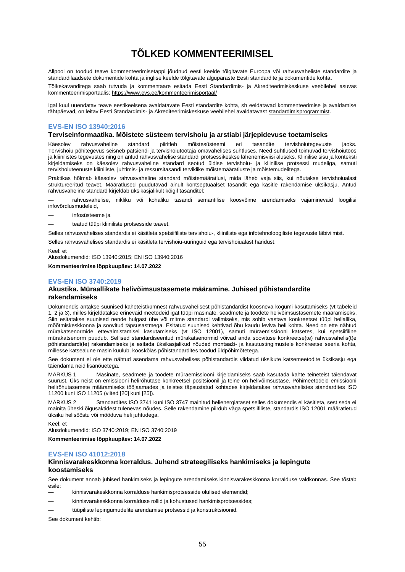# **TÕLKED KOMMENTEERIMISEL**

<span id="page-54-0"></span>Allpool on toodud teave kommenteerimisetappi jõudnud eesti keelde tõlgitavate Euroopa või rahvusvaheliste standardite ja standardilaadsete dokumentide kohta ja inglise keelde tõlgitavate algupäraste Eesti standardite ja dokumentide kohta.

Tõlkekavanditega saab tutvuda ja kommentaare esitada Eesti Standardimis- ja Akrediteerimiskeskuse veebilehel asuvas kommenteerimisportaalis[: https://www.evs.ee/kommenteerimisportaal/](https://www.evs.ee/kommenteerimisportaal/)

Igal kuul uuendatav teave eestikeelsena avaldatavate Eesti standardite kohta, sh eeldatavad kommenteerimise ja avaldamise tähtpäevad, on leitav Eesti Standardimis- ja Akrediteerimiskeskuse veebilehel avaldatavas[t standardimisprogrammist.](https://www.evs.ee/et/standardimisprogramm)

## **EVS-EN ISO 13940:2016**

## **Terviseinformaatika. Mõistete süsteem tervishoiu ja arstiabi järjepidevuse toetamiseks**

Käesolev rahvusvaheline standard piiritleb mõistesüsteemi eri tasandite tervishoiutegevuste jaoks. Tervishoiu põhitegevus seisneb patsiendi ja tervishoiutöötaja omavahelises suhtluses. Need suhtlused toimuvad tervishoiutöös ja kliinilistes tegevustes ning on antud rahvusvahelise standardi protsessikeskse lähenemisviisi aluseks. Kliinilise sisu ja konteksti kirjeldamiseks on käesolev rahvusvaheline standard seotud üldise tervishoiu- ja kliinilise protsessi mudeliga, samuti tervishoiuteenuste kliiniliste, juhtimis- ja ressursitasandi terviklike mõistemääratluste ja mõistemudelitega.

Praktikas hõlmab käesolev rahvusvaheline standard mõistemääratlusi, mida läheb vaja siis, kui nõutakse tervishoiualast struktureeritud teavet. Määratlused puudutavad ainult kontseptuaalset tasandit ega käsitle rakendamise üksikasju. Antud rahvusvaheline standard kirjeldab üksikasjalikult kõigil tasanditel:

— rahvusvahelise, riikliku või kohaliku tasandi semantilise koosvõime arendamiseks vajaminevaid loogilisi infovõrdlusmudeleid,

— infosüsteeme ja

— teatud tüüpi kliiniliste protsesside teavet.

Selles rahvusvahelises standardis ei käsitleta spetsiifiliste tervishoiu-, kliiniliste ega infotehnoloogiliste tegevuste läbiviimist.

Selles rahvusvahelises standardis ei käsitleta tervishoiu-uuringuid ega tervishoiualast haridust.

Keel: et

Alusdokumendid: ISO 13940:2015; EN ISO 13940:2016

**Kommenteerimise lõppkuupäev: 14.07.2022**

## **EVS-EN ISO 3740:2019**

## **Akustika. Müraallikate helivõimsustasemete määramine. Juhised põhistandardite rakendamiseks**

Dokumendis antakse suunised kaheteistkümnest rahvusvahelisest põhistandardist koosneva kogumi kasutamiseks (vt tabeleid 1, 2 ja 3), milles kirjeldatakse erinevaid meetodeid igat tüüpi masinate, seadmete ja toodete helivõimsustasemete määramiseks. Siin esitatakse suunised nende hulgast ühe või mitme standardi valimiseks, mis sobib vastava konkreetset tüüpi heliallika, mõõtmiskeskkonna ja soovitud täpsusastmega. Esitatud suunised kehtivad õhu kaudu leviva heli kohta. Need on ette nähtud mürakatsenormide ettevalmistamisel kasutamiseks (vt ISO 12001), samuti müraemissiooni katsetes, kui spetsiifiline mürakatsenorm puudub. Sellised standardiseeritud mürakatsenormid võivad anda soovituse konkreetse(te) rahvusvahelis(t)e põhistandardi(te) rakendamiseks ja esitada üksikasjalikud nõuded montaaži- ja kasutustingimustele konkreetse seeria kohta, millesse katsealune masin kuulub, kooskõlas põhistandardites toodud üldpõhimõtetega.

See dokument ei ole ette nähtud asendama rahvusvahelises põhistandardis viidatud üksikute katsemeetodite üksikasju ega täiendama neid lisanõuetega.

MÄRKUS 1 Masinate, seadmete ja toodete müraemissiooni kirjeldamiseks saab kasutada kahte teineteist täiendavat suurust. Üks neist on emissiooni helirõhutase konkreetsel positsioonil ja teine on helivõimsustase. Põhimeetodeid emissiooni helirõhutasemete määramiseks tööjaamades ja teistes täpsustatud kohtades kirjeldatakse rahvusvahelistes standardites ISO 11200 kuni ISO 11205 (viited [20] kuni [25]).

MÄRKUS 2 Standardites ISO 3741 kuni ISO 3747 mainitud helienergiataset selles dokumendis ei käsitleta, sest seda ei mainita üheski õigusaktidest tulenevas nõudes. Selle rakendamine piirdub väga spetsiifiliste, standardis ISO 12001 määratletud üksiku helisööstu või mööduva heli juhtudega.

Keel: et

Alusdokumendid: ISO 3740:2019; EN ISO 3740:2019

**Kommenteerimise lõppkuupäev: 14.07.2022**

#### **EVS-EN ISO 41012:2018**

## **Kinnisvarakeskkonna korraldus. Juhend strateegiliseks hankimiseks ja lepingute koostamiseks**

See dokument annab juhised hankimiseks ja lepingute arendamiseks kinnisvarakeskkonna korralduse valdkonnas. See tõstab esile:

— kinnisvarakeskkonna korralduse hankimisprotsesside olulised elemendid;

- kinnisvarakeskkonna korralduse rollid ja kohustused hankimisprotsessides;
- tüüpiliste lepingumudelite arendamise protsessid ja konstruktsioonid.

See dokument kehtib: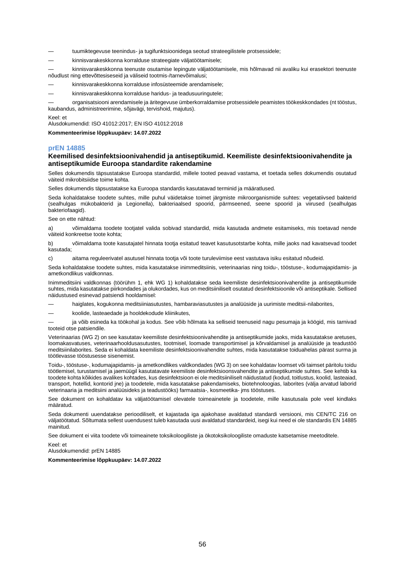- tuumiktegevuse teenindus- ja tugifunktsioonidega seotud strateegilistele protsessidele;
- kinnisvarakeskkonna korralduse strateegiate väljatöötamisele;

— kinnisvarakeskkonna teenuste osutamise lepingute väljatöötamisele, mis hõlmavad nii avaliku kui erasektori teenuste nõudlust ning ettevõttesiseseid ja väliseid tootmis-/tarnevõimalusi;

- kinnisvarakeskkonna korralduse infosüsteemide arendamisele;
- kinnisvarakeskkonna korralduse haridus- ja teadusuuringutele;

— organisatsiooni arendamisele ja äritegevuse ümberkorraldamise protsessidele peamistes töökeskkondades (nt tööstus, kaubandus, administreerimine, sõjavägi, tervishoid, majutus).

Keel: et

Alusdokumendid: ISO 41012:2017; EN ISO 41012:2018

**Kommenteerimise lõppkuupäev: 14.07.2022**

#### **prEN 14885**

#### **Keemilised desinfektsioonivahendid ja antiseptikumid. Keemiliste desinfektsioonivahendite ja antiseptikumide Euroopa standardite rakendamine**

Selles dokumendis täpsustatakse Euroopa standardid, millele tooted peavad vastama, et toetada selles dokumendis osutatud väiteid mikrobitsiidse toime kohta.

Selles dokumendis täpsustatakse ka Euroopa standardis kasutatavad terminid ja määratlused.

Seda kohaldatakse toodete suhtes, mille puhul väidetakse toimet järgmiste mikroorganismide suhtes: vegetatiivsed bakterid (sealhulgas mükobakterid ja Legionella), bakteriaalsed spoorid, pärmseened, seene spoorid ja viirused (sealhulgas bakteriofaagid).

See on ette nähtud:

a) võimaldama toodete tootjatel valida sobivad standardid, mida kasutada andmete esitamiseks, mis toetavad nende väiteid konkreetse toote kohta;

b) võimaldama toote kasutajatel hinnata tootja esitatud teavet kasutusotstarbe kohta, mille jaoks nad kavatsevad toodet kasutada;

c) aitama reguleerivatel asutusel hinnata tootja või toote turuleviimise eest vastutava isiku esitatud nõudeid.

Seda kohaldatakse toodete suhtes, mida kasutatakse inimmeditsiinis, veterinaarias ning toidu-, tööstuse-, kodumajapidamis- ja ametkondlikus valdkonnas.

Inimmeditsiini valdkonnas (töörühm 1, ehk WG 1) kohaldatakse seda keemiliste desinfektsioonivahendite ja antiseptikumide suhtes, mida kasutatakse piirkondades ja olukordades, kus on meditsiiniliselt osutatud desinfektsioonile või antiseptikale. Sellised näidustused esinevad patsiendi hooldamisel:

— haiglates, kogukonna meditsiiniasutustes, hambaraviasutustes ja analüüside ja uurimiste meditsii-nilaborites,

— koolide, lasteaedade ja hooldekodude kliinikutes,

— ja võib esineda ka töökohal ja kodus. See võib hõlmata ka selliseid teenuseid nagu pesumaja ja köögid, mis tarnivad tooteid otse patsiendile.

Veterinaarias (WG 2) on see kasutatav keemiliste desinfektsioonivahendite ja antiseptikumide jaoks, mida kasutatakse aretuses, loomakasvatuses, veterinaarhooldusasutustes, tootmisel, loomade transportimisel ja kõrvaldamisel ja analüüside ja teadustöö meditsiinilaborites. Seda ei kohaldata keemiliste desinfektsioonivahendite suhtes, mida kasutatakse toiduahelas pärast surma ja töötlevasse tööstusesse sisenemist.

Toidu-, tööstuse-, kodumajapidamis- ja ametkondlikes valdkondades (WG 3) on see kohaldatav loomset või taimset päritolu toidu töötlemisel, turustamisel ja jaemüügil kasutatavate keemiliste desinfektsioonsvahendite ja antiseptikumide suhtes. See kehtib ka toodete kohta kõikides avalikes kohtades, kus desinfektsioon ei ole meditsiiniliselt näidustatud (kodud, toitlustus, koolid, lasteaiad, transport, hotellid, kontorid jne) ja toodetele, mida kasutatakse pakendamiseks, biotehnoloogias, laborites (välja arvatud laborid veterinaaria ja meditsiini analüüsideks ja teadustööks) farmaatsia-, kosmeetika- jms tööstuses.

See dokument on kohaldatav ka väljatöötamisel olevatele toimeainetele ja toodetele, mille kasutusala pole veel kindlaks määratud.

Seda dokumenti uuendatakse perioodiliselt, et kajastada iga ajakohase avaldatud standardi versiooni, mis CEN/TC 216 on väljatöötatud. Sõltumata sellest uuendusest tuleb kasutada uusi avaldatud standardeid, isegi kui need ei ole standardis EN 14885 mainitud.

See dokument ei viita toodete või toimeainete toksikoloogiliste ja ökotoksikoloogiliste omaduste katsetamise meetoditele.

Keel: et

Alusdokumendid: prEN 14885

**Kommenteerimise lõppkuupäev: 14.07.2022**